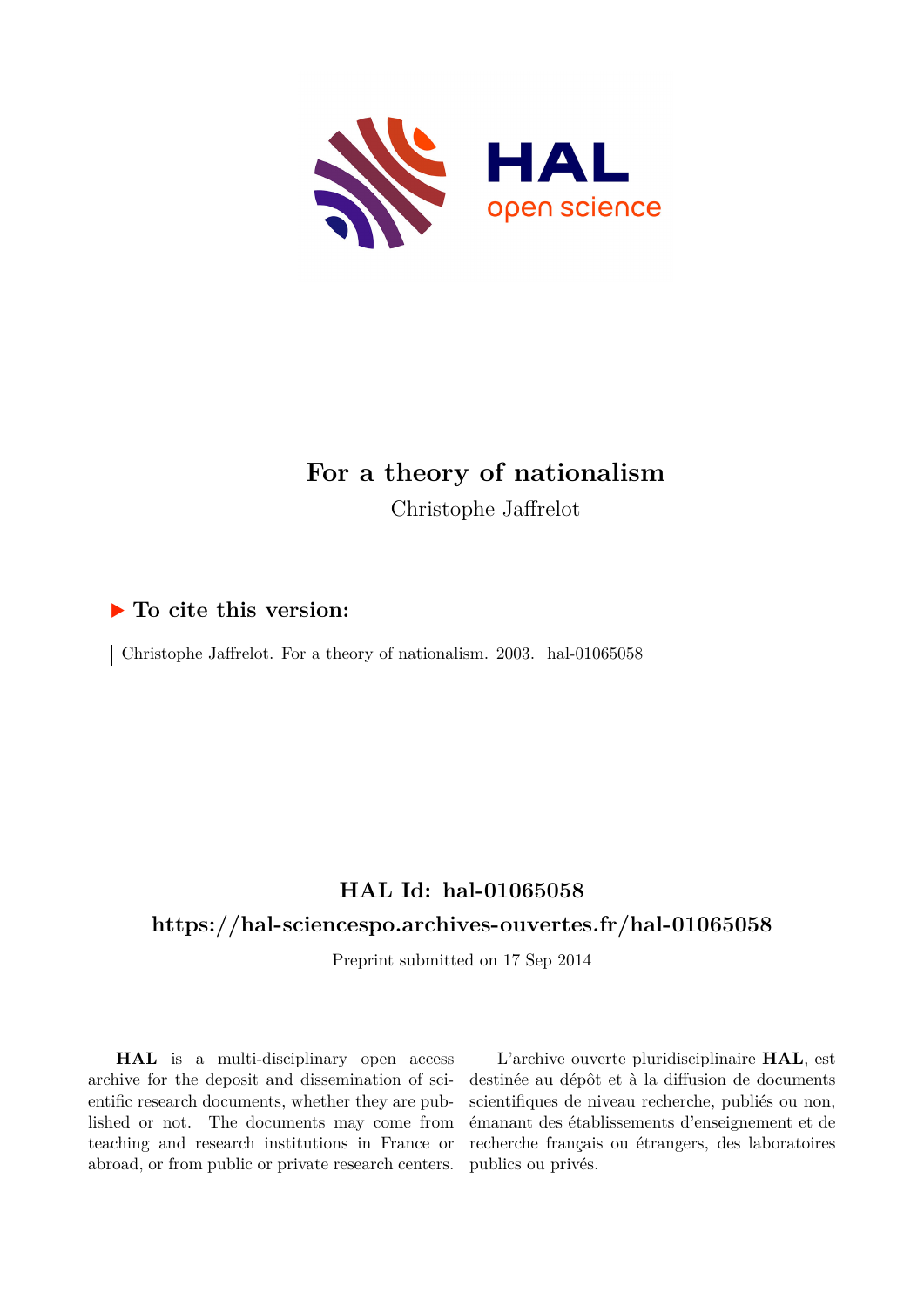

# **For a theory of nationalism** Christophe Jaffrelot

# **To cite this version:**

Christophe Jaffrelot. For a theory of nationalism.  $2003$ . hal-01065058

# **HAL Id: hal-01065058**

# **<https://hal-sciencespo.archives-ouvertes.fr/hal-01065058>**

Preprint submitted on 17 Sep 2014

**HAL** is a multi-disciplinary open access archive for the deposit and dissemination of scientific research documents, whether they are published or not. The documents may come from teaching and research institutions in France or abroad, or from public or private research centers.

L'archive ouverte pluridisciplinaire **HAL**, est destinée au dépôt et à la diffusion de documents scientifiques de niveau recherche, publiés ou non, émanant des établissements d'enseignement et de recherche français ou étrangers, des laboratoires publics ou privés.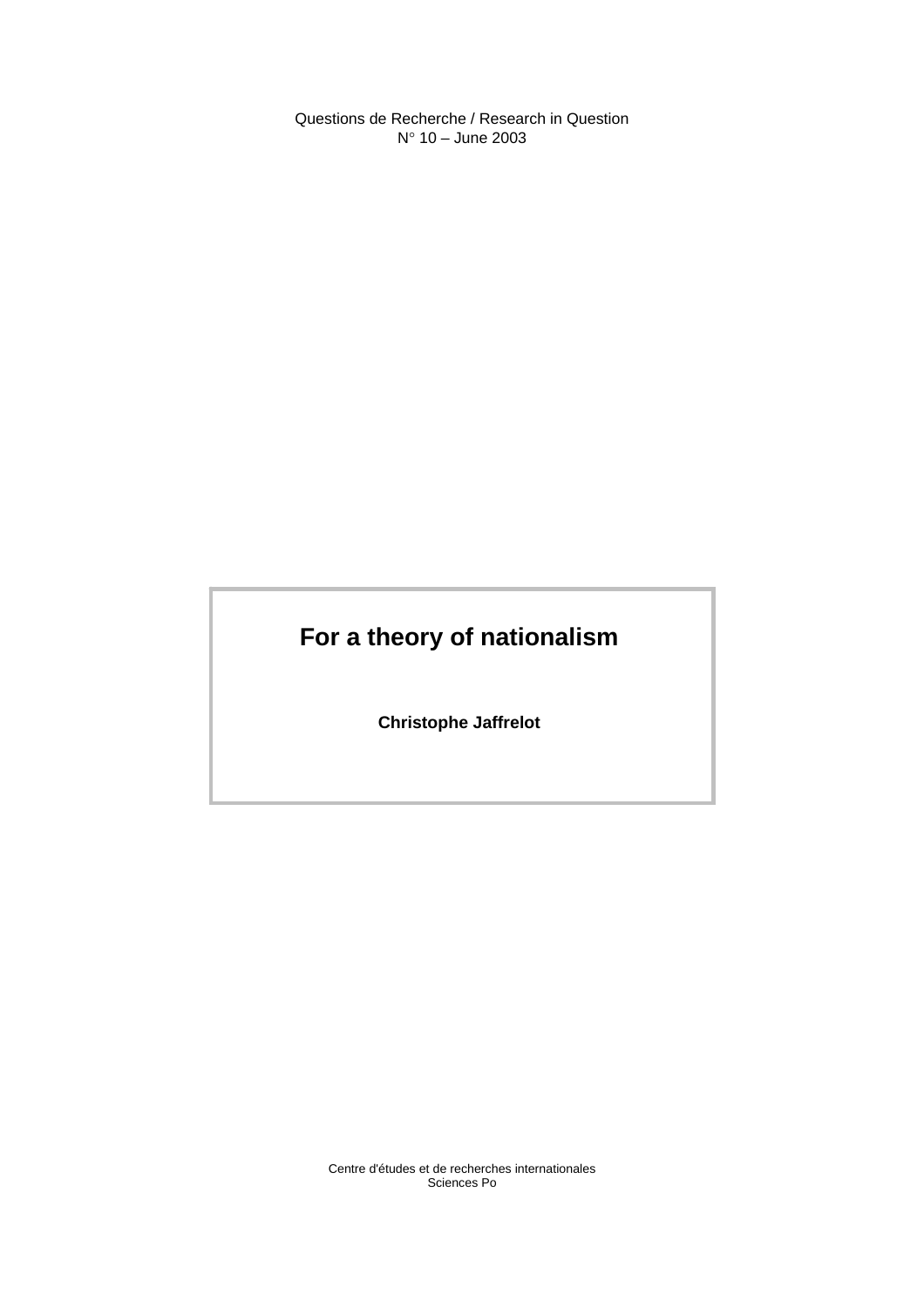Questions de Recherche / Research in Question N° 10 – June 2003

# **For a theory of nationalism**

**Christophe Jaffrelot** 

Centre d'études et de recherches internationales Sciences Po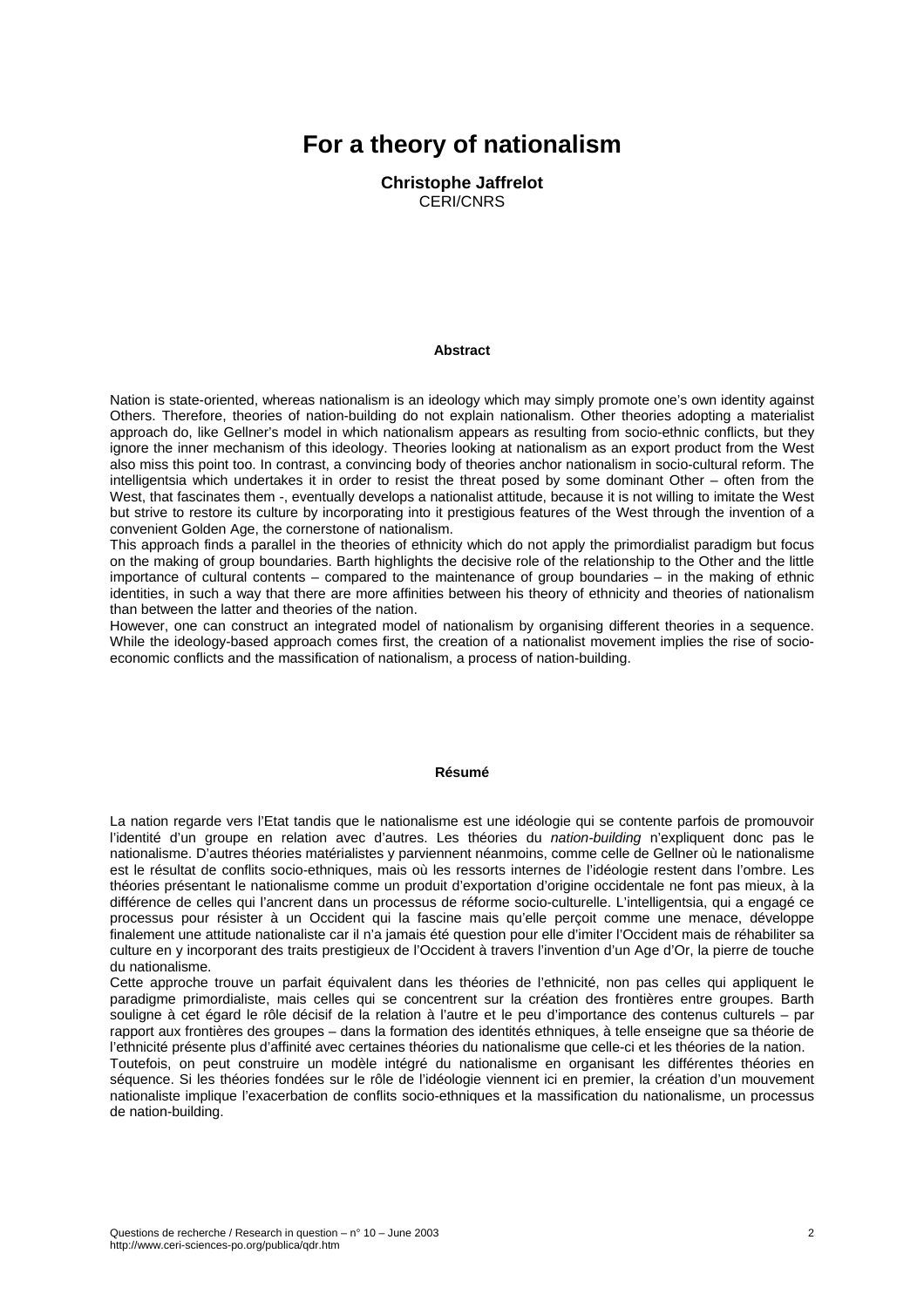# **For a theory of nationalism**

**Christophe Jaffrelot**  CERI/CNRS

#### **Abstract**

Nation is state-oriented, whereas nationalism is an ideology which may simply promote one's own identity against Others. Therefore, theories of nation-building do not explain nationalism. Other theories adopting a materialist approach do, like Gellner's model in which nationalism appears as resulting from socio-ethnic conflicts, but they ignore the inner mechanism of this ideology. Theories looking at nationalism as an export product from the West also miss this point too. In contrast, a convincing body of theories anchor nationalism in socio-cultural reform. The intelligentsia which undertakes it in order to resist the threat posed by some dominant Other – often from the West, that fascinates them -, eventually develops a nationalist attitude, because it is not willing to imitate the West but strive to restore its culture by incorporating into it prestigious features of the West through the invention of a convenient Golden Age, the cornerstone of nationalism.

This approach finds a parallel in the theories of ethnicity which do not apply the primordialist paradigm but focus on the making of group boundaries. Barth highlights the decisive role of the relationship to the Other and the little importance of cultural contents – compared to the maintenance of group boundaries – in the making of ethnic identities, in such a way that there are more affinities between his theory of ethnicity and theories of nationalism than between the latter and theories of the nation.

However, one can construct an integrated model of nationalism by organising different theories in a sequence. While the ideology-based approach comes first, the creation of a nationalist movement implies the rise of socioeconomic conflicts and the massification of nationalism, a process of nation-building.

#### **Résumé**

La nation regarde vers l'Etat tandis que le nationalisme est une idéologie qui se contente parfois de promouvoir l'identité d'un groupe en relation avec d'autres. Les théories du *nation-building* n'expliquent donc pas le nationalisme. D'autres théories matérialistes y parviennent néanmoins, comme celle de Gellner où le nationalisme est le résultat de conflits socio-ethniques, mais où les ressorts internes de l'idéologie restent dans l'ombre. Les théories présentant le nationalisme comme un produit d'exportation d'origine occidentale ne font pas mieux, à la différence de celles qui l'ancrent dans un processus de réforme socio-culturelle. L'intelligentsia, qui a engagé ce processus pour résister à un Occident qui la fascine mais qu'elle perçoit comme une menace, développe finalement une attitude nationaliste car il n'a jamais été question pour elle d'imiter l'Occident mais de réhabiliter sa culture en y incorporant des traits prestigieux de l'Occident à travers l'invention d'un Age d'Or, la pierre de touche du nationalisme.

Cette approche trouve un parfait équivalent dans les théories de l'ethnicité, non pas celles qui appliquent le paradigme primordialiste, mais celles qui se concentrent sur la création des frontières entre groupes. Barth souligne à cet égard le rôle décisif de la relation à l'autre et le peu d'importance des contenus culturels – par rapport aux frontières des groupes – dans la formation des identités ethniques, à telle enseigne que sa théorie de l'ethnicité présente plus d'affinité avec certaines théories du nationalisme que celle-ci et les théories de la nation.

Toutefois, on peut construire un modèle intégré du nationalisme en organisant les différentes théories en séquence. Si les théories fondées sur le rôle de l'idéologie viennent ici en premier, la création d'un mouvement nationaliste implique l'exacerbation de conflits socio-ethniques et la massification du nationalisme, un processus de nation-building.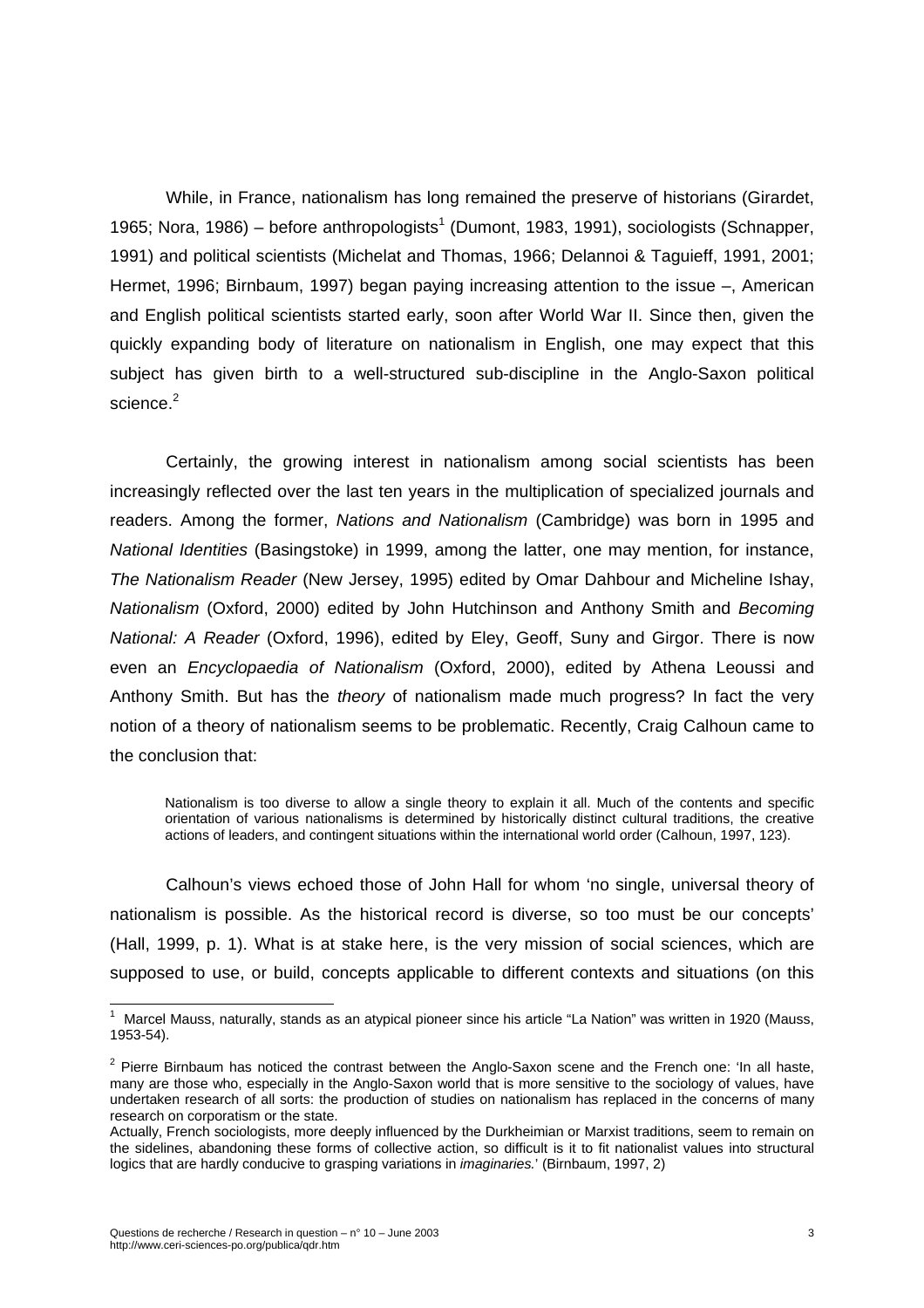While, in France, nationalism has long remained the preserve of historians (Girardet, [1](#page-3-0)965; Nora, 1986) – before anthropologists<sup>1</sup> (Dumont, 1983, 1991), sociologists (Schnapper, 1991) and political scientists (Michelat and Thomas, 1966; Delannoi & Taguieff, 1991, 2001; Hermet, 1996; Birnbaum, 1997) began paying increasing attention to the issue –, American and English political scientists started early, soon after World War II. Since then, given the quickly expanding body of literature on nationalism in English, one may expect that this subject has given birth to a well-structured sub-discipline in the Anglo-Saxon political science. $2$ 

Certainly, the growing interest in nationalism among social scientists has been increasingly reflected over the last ten years in the multiplication of specialized journals and readers. Among the former, *Nations and Nationalism* (Cambridge) was born in 1995 and *National Identities* (Basingstoke) in 1999, among the latter, one may mention, for instance, *The Nationalism Reader* (New Jersey, 1995) edited by Omar Dahbour and Micheline Ishay, *Nationalism* (Oxford, 2000) edited by John Hutchinson and Anthony Smith and *Becoming National: A Reader* (Oxford, 1996), edited by Eley, Geoff, Suny and Girgor. There is now even an *Encyclopaedia of Nationalism* (Oxford, 2000), edited by Athena Leoussi and Anthony Smith. But has the *theory* of nationalism made much progress? In fact the very notion of a theory of nationalism seems to be problematic. Recently, Craig Calhoun came to the conclusion that:

 Nationalism is too diverse to allow a single theory to explain it all. Much of the contents and specific orientation of various nationalisms is determined by historically distinct cultural traditions, the creative actions of leaders, and contingent situations within the international world order (Calhoun, 1997, 123).

 Calhoun's views echoed those of John Hall for whom 'no single, universal theory of nationalism is possible. As the historical record is diverse, so too must be our concepts' (Hall, 1999, p. 1). What is at stake here, is the very mission of social sciences, which are supposed to use, or build, concepts applicable to different contexts and situations (on this

<span id="page-3-0"></span> 1 Marcel Mauss, naturally, stands as an atypical pioneer since his article "La Nation" was written in 1920 (Mauss, 1953-54).

<span id="page-3-1"></span> $2$  Pierre Birnbaum has noticed the contrast between the Anglo-Saxon scene and the French one: 'In all haste, many are those who, especially in the Anglo-Saxon world that is more sensitive to the sociology of values, have undertaken research of all sorts: the production of studies on nationalism has replaced in the concerns of many research on corporatism or the state.

Actually, French sociologists, more deeply influenced by the Durkheimian or Marxist traditions, seem to remain on the sidelines, abandoning these forms of collective action, so difficult is it to fit nationalist values into structural logics that are hardly conducive to grasping variations in *imaginaries.*' (Birnbaum, 1997, 2)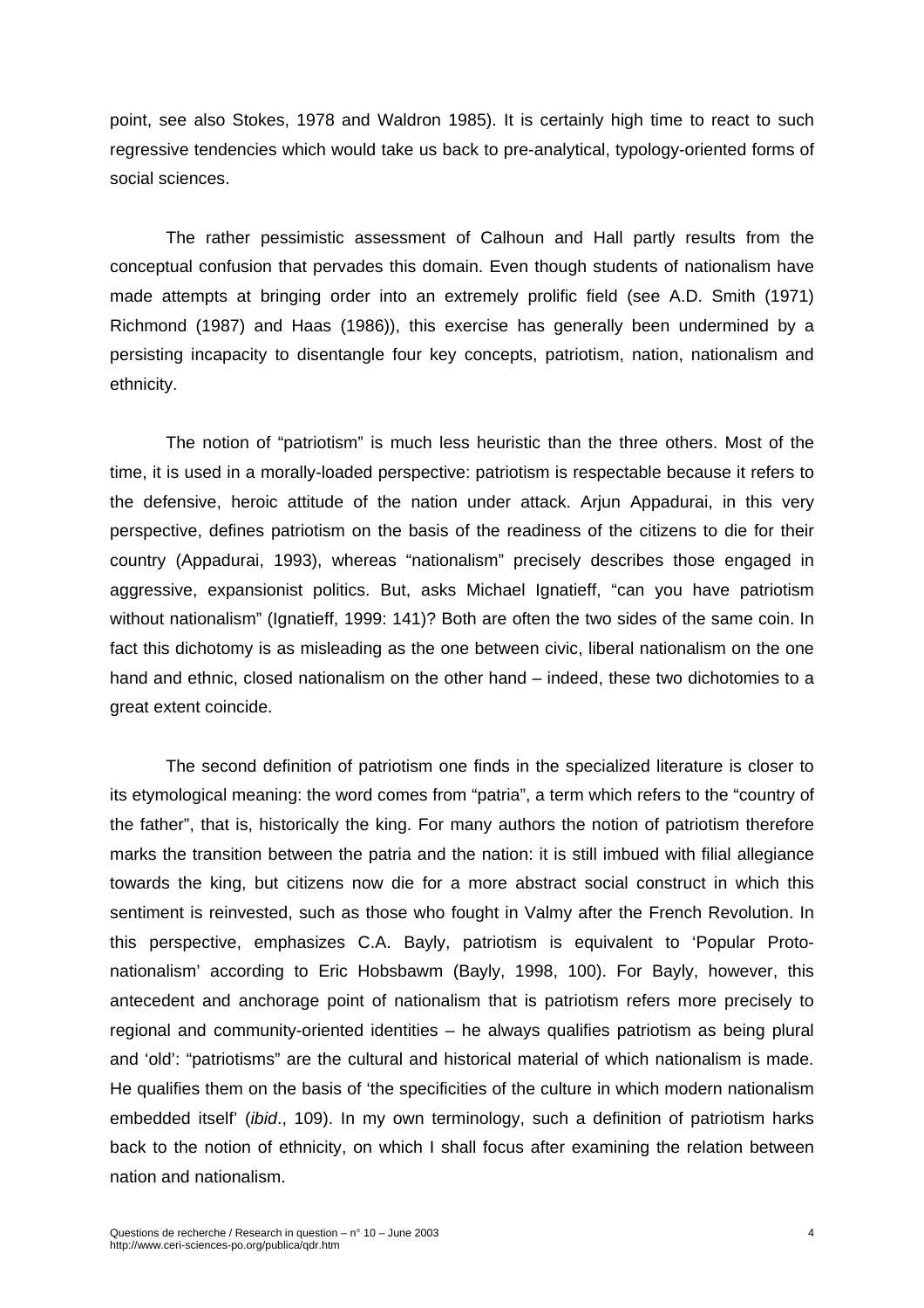point, see also Stokes, 1978 and Waldron 1985). It is certainly high time to react to such regressive tendencies which would take us back to pre-analytical, typology-oriented forms of social sciences.

The rather pessimistic assessment of Calhoun and Hall partly results from the conceptual confusion that pervades this domain. Even though students of nationalism have made attempts at bringing order into an extremely prolific field (see A.D. Smith (1971) Richmond (1987) and Haas (1986)), this exercise has generally been undermined by a persisting incapacity to disentangle four key concepts, patriotism, nation, nationalism and ethnicity.

The notion of "patriotism" is much less heuristic than the three others. Most of the time, it is used in a morally-loaded perspective: patriotism is respectable because it refers to the defensive, heroic attitude of the nation under attack. Arjun Appadurai, in this very perspective, defines patriotism on the basis of the readiness of the citizens to die for their country (Appadurai, 1993), whereas "nationalism" precisely describes those engaged in aggressive, expansionist politics. But, asks Michael Ignatieff, "can you have patriotism without nationalism" (Ignatieff, 1999: 141)? Both are often the two sides of the same coin. In fact this dichotomy is as misleading as the one between civic, liberal nationalism on the one hand and ethnic, closed nationalism on the other hand – indeed, these two dichotomies to a great extent coincide.

The second definition of patriotism one finds in the specialized literature is closer to its etymological meaning: the word comes from "patria", a term which refers to the "country of the father", that is, historically the king. For many authors the notion of patriotism therefore marks the transition between the patria and the nation: it is still imbued with filial allegiance towards the king, but citizens now die for a more abstract social construct in which this sentiment is reinvested, such as those who fought in Valmy after the French Revolution. In this perspective, emphasizes C.A. Bayly, patriotism is equivalent to 'Popular Protonationalism' according to Eric Hobsbawm (Bayly, 1998, 100). For Bayly, however, this antecedent and anchorage point of nationalism that is patriotism refers more precisely to regional and community-oriented identities – he always qualifies patriotism as being plural and 'old': "patriotisms" are the cultural and historical material of which nationalism is made. He qualifies them on the basis of 'the specificities of the culture in which modern nationalism embedded itself' (*ibid*., 109). In my own terminology, such a definition of patriotism harks back to the notion of ethnicity, on which I shall focus after examining the relation between nation and nationalism.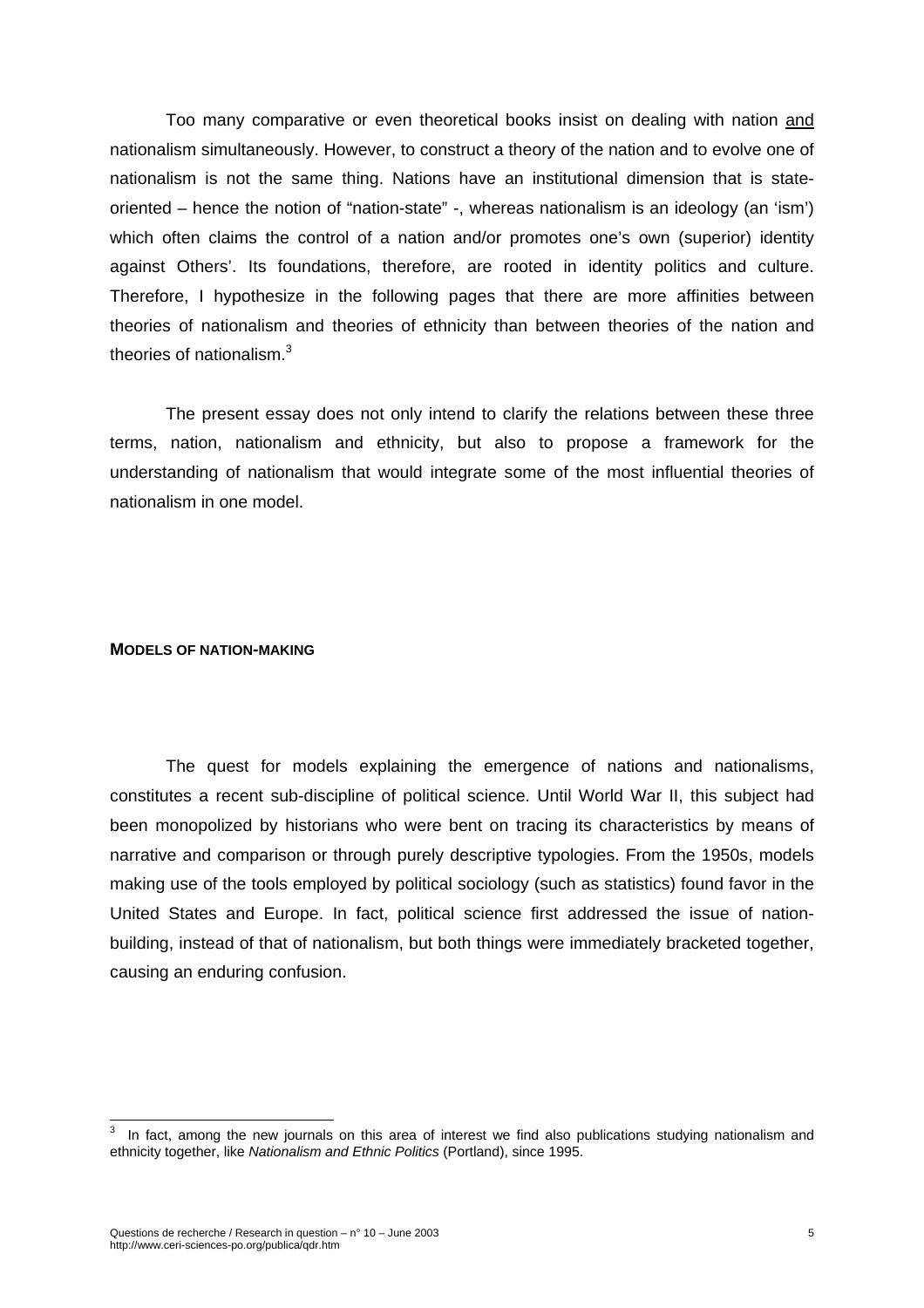Too many comparative or even theoretical books insist on dealing with nation and nationalism simultaneously. However, to construct a theory of the nation and to evolve one of nationalism is not the same thing. Nations have an institutional dimension that is stateoriented – hence the notion of "nation-state" -, whereas nationalism is an ideology (an 'ism') which often claims the control of a nation and/or promotes one's own (superior) identity against Others'. Its foundations, therefore, are rooted in identity politics and culture. Therefore, I hypothesize in the following pages that there are more affinities between theories of nationalism and theories of ethnicity than between theories of the nation and theories of nationalism. $^3$  $^3$ 

 The present essay does not only intend to clarify the relations between these three terms, nation, nationalism and ethnicity, but also to propose a framework for the understanding of nationalism that would integrate some of the most influential theories of nationalism in one model.

### **MODELS OF NATION-MAKING**

 The quest for models explaining the emergence of nations and nationalisms, constitutes a recent sub-discipline of political science. Until World War II, this subject had been monopolized by historians who were bent on tracing its characteristics by means of narrative and comparison or through purely descriptive typologies. From the 1950s, models making use of the tools employed by political sociology (such as statistics) found favor in the United States and Europe. In fact, political science first addressed the issue of nationbuilding, instead of that of nationalism, but both things were immediately bracketed together, causing an enduring confusion.

<span id="page-5-0"></span> 3 In fact, among the new journals on this area of interest we find also publications studying nationalism and ethnicity together, like *Nationalism and Ethnic Politics* (Portland), since 1995.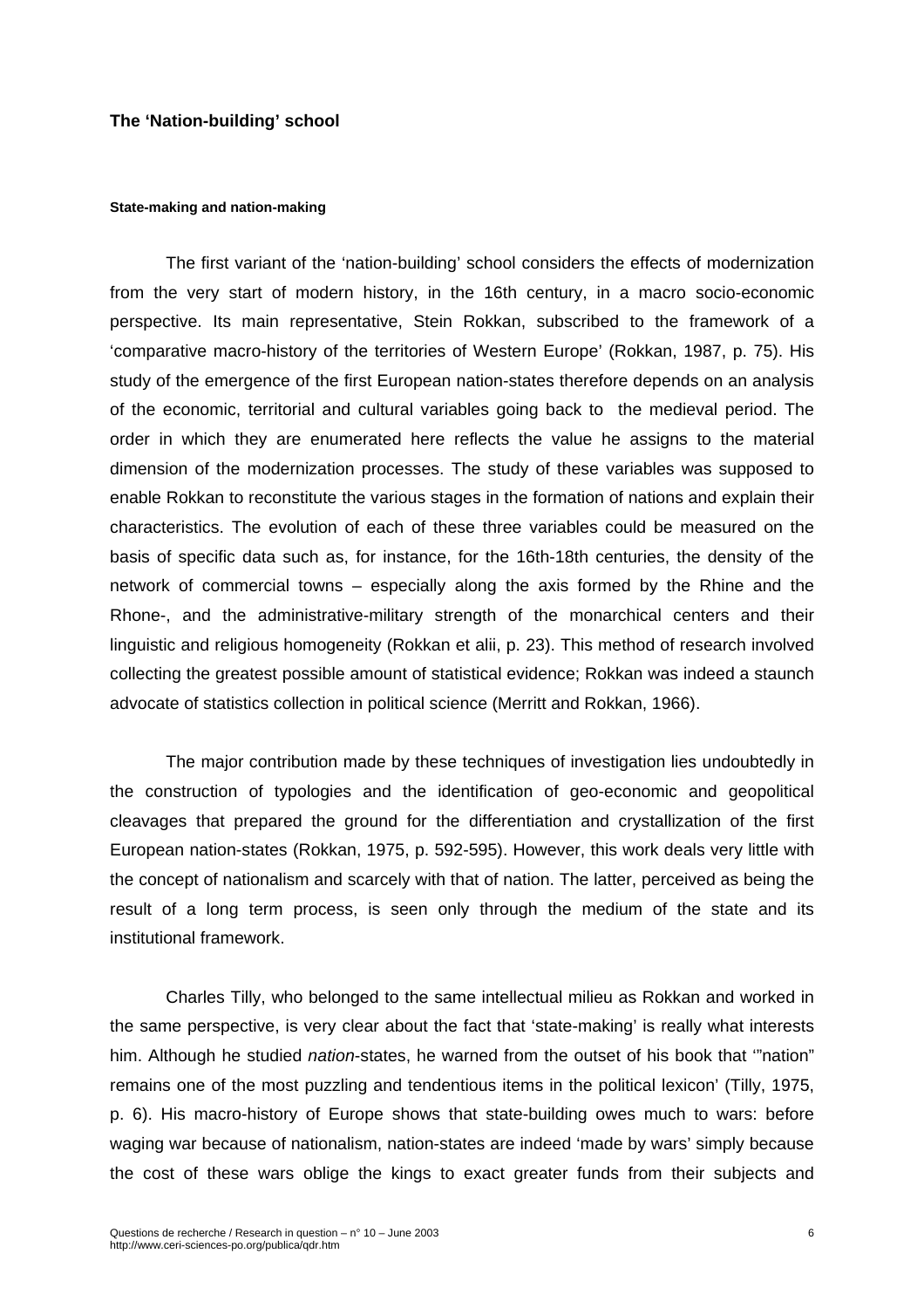# **The 'Nation-building' school**

### **State-making and nation-making**

 The first variant of the 'nation-building' school considers the effects of modernization from the very start of modern history, in the 16th century, in a macro socio-economic perspective. Its main representative, Stein Rokkan, subscribed to the framework of a 'comparative macro-history of the territories of Western Europe' (Rokkan, 1987, p. 75). His study of the emergence of the first European nation-states therefore depends on an analysis of the economic, territorial and cultural variables going back to the medieval period. The order in which they are enumerated here reflects the value he assigns to the material dimension of the modernization processes. The study of these variables was supposed to enable Rokkan to reconstitute the various stages in the formation of nations and explain their characteristics. The evolution of each of these three variables could be measured on the basis of specific data such as, for instance, for the 16th-18th centuries, the density of the network of commercial towns – especially along the axis formed by the Rhine and the Rhone-, and the administrative-military strength of the monarchical centers and their linguistic and religious homogeneity (Rokkan et alii, p. 23). This method of research involved collecting the greatest possible amount of statistical evidence; Rokkan was indeed a staunch advocate of statistics collection in political science (Merritt and Rokkan, 1966).

 The major contribution made by these techniques of investigation lies undoubtedly in the construction of typologies and the identification of geo-economic and geopolitical cleavages that prepared the ground for the differentiation and crystallization of the first European nation-states (Rokkan, 1975, p. 592-595). However, this work deals very little with the concept of nationalism and scarcely with that of nation. The latter, perceived as being the result of a long term process, is seen only through the medium of the state and its institutional framework.

Charles Tilly, who belonged to the same intellectual milieu as Rokkan and worked in the same perspective, is very clear about the fact that 'state-making' is really what interests him. Although he studied *nation*-states, he warned from the outset of his book that '"nation" remains one of the most puzzling and tendentious items in the political lexicon' (Tilly, 1975, p. 6). His macro-history of Europe shows that state-building owes much to wars: before waging war because of nationalism, nation-states are indeed 'made by wars' simply because the cost of these wars oblige the kings to exact greater funds from their subjects and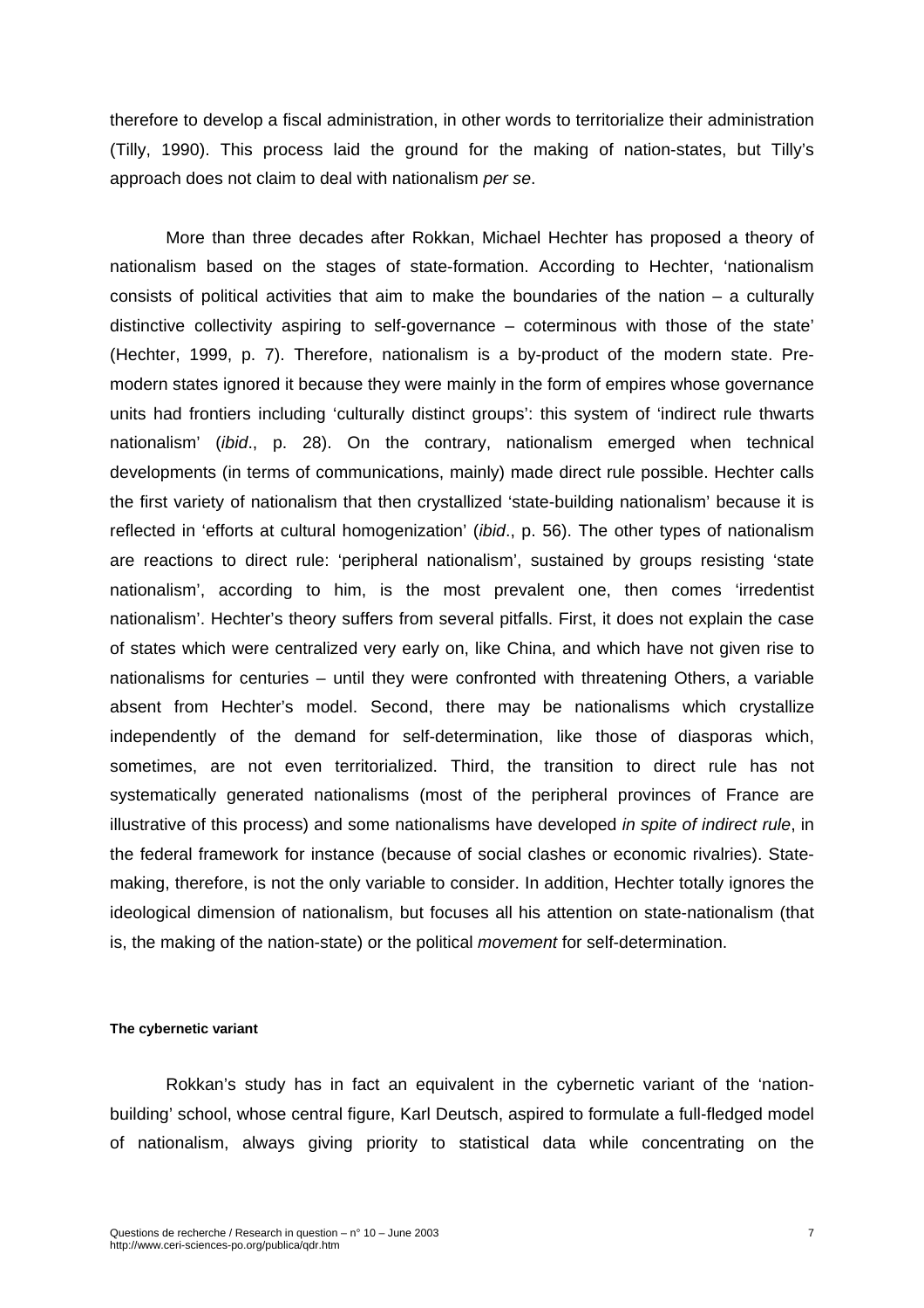therefore to develop a fiscal administration, in other words to territorialize their administration (Tilly, 1990). This process laid the ground for the making of nation-states, but Tilly's approach does not claim to deal with nationalism *per se*.

 More than three decades after Rokkan, Michael Hechter has proposed a theory of nationalism based on the stages of state-formation. According to Hechter, 'nationalism consists of political activities that aim to make the boundaries of the nation – a culturally distinctive collectivity aspiring to self-governance – coterminous with those of the state' (Hechter, 1999, p. 7). Therefore, nationalism is a by-product of the modern state. Premodern states ignored it because they were mainly in the form of empires whose governance units had frontiers including 'culturally distinct groups': this system of 'indirect rule thwarts nationalism' (*ibid*., p. 28). On the contrary, nationalism emerged when technical developments (in terms of communications, mainly) made direct rule possible. Hechter calls the first variety of nationalism that then crystallized 'state-building nationalism' because it is reflected in 'efforts at cultural homogenization' (*ibid*., p. 56). The other types of nationalism are reactions to direct rule: 'peripheral nationalism', sustained by groups resisting 'state nationalism', according to him, is the most prevalent one, then comes 'irredentist nationalism'. Hechter's theory suffers from several pitfalls. First, it does not explain the case of states which were centralized very early on, like China, and which have not given rise to nationalisms for centuries – until they were confronted with threatening Others, a variable absent from Hechter's model. Second, there may be nationalisms which crystallize independently of the demand for self-determination, like those of diasporas which, sometimes, are not even territorialized. Third, the transition to direct rule has not systematically generated nationalisms (most of the peripheral provinces of France are illustrative of this process) and some nationalisms have developed *in spite of indirect rule*, in the federal framework for instance (because of social clashes or economic rivalries). Statemaking, therefore, is not the only variable to consider. In addition, Hechter totally ignores the ideological dimension of nationalism, but focuses all his attention on state-nationalism (that is, the making of the nation-state) or the political *movement* for self-determination.

## **The cybernetic variant**

 Rokkan's study has in fact an equivalent in the cybernetic variant of the 'nationbuilding' school, whose central figure, Karl Deutsch, aspired to formulate a full-fledged model of nationalism, always giving priority to statistical data while concentrating on the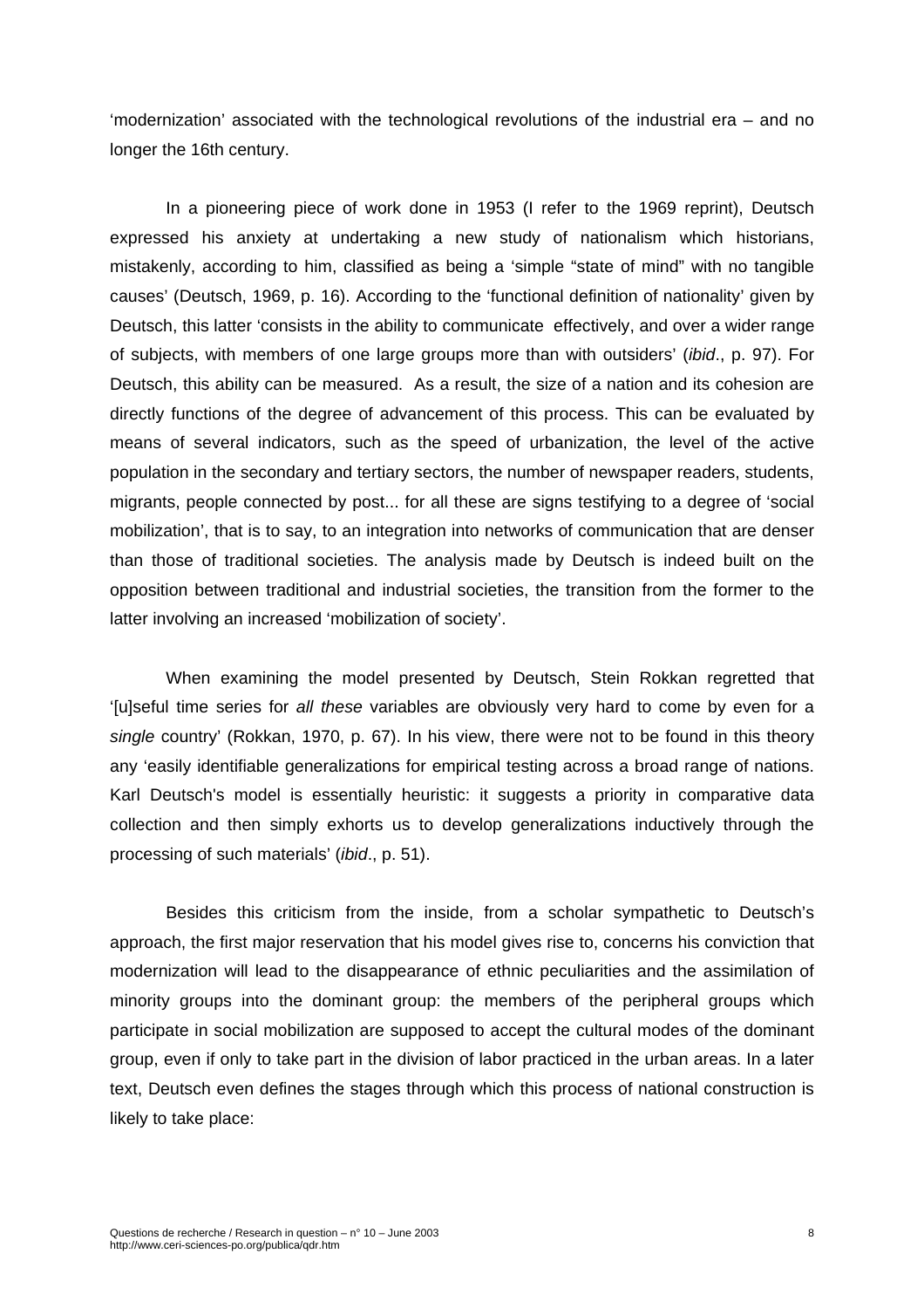'modernization' associated with the technological revolutions of the industrial era – and no longer the 16th century.

 In a pioneering piece of work done in 1953 (I refer to the 1969 reprint), Deutsch expressed his anxiety at undertaking a new study of nationalism which historians, mistakenly, according to him, classified as being a 'simple "state of mind" with no tangible causes' (Deutsch, 1969, p. 16). According to the 'functional definition of nationality' given by Deutsch, this latter 'consists in the ability to communicate effectively, and over a wider range of subjects, with members of one large groups more than with outsiders' (*ibid*., p. 97). For Deutsch, this ability can be measured. As a result, the size of a nation and its cohesion are directly functions of the degree of advancement of this process. This can be evaluated by means of several indicators, such as the speed of urbanization, the level of the active population in the secondary and tertiary sectors, the number of newspaper readers, students, migrants, people connected by post... for all these are signs testifying to a degree of 'social mobilization', that is to say, to an integration into networks of communication that are denser than those of traditional societies. The analysis made by Deutsch is indeed built on the opposition between traditional and industrial societies, the transition from the former to the latter involving an increased 'mobilization of society'.

 When examining the model presented by Deutsch, Stein Rokkan regretted that '[u]seful time series for *all these* variables are obviously very hard to come by even for a *single* country' (Rokkan, 1970, p. 67). In his view, there were not to be found in this theory any 'easily identifiable generalizations for empirical testing across a broad range of nations. Karl Deutsch's model is essentially heuristic: it suggests a priority in comparative data collection and then simply exhorts us to develop generalizations inductively through the processing of such materials' (*ibid*., p. 51).

Besides this criticism from the inside, from a scholar sympathetic to Deutsch's approach, the first major reservation that his model gives rise to, concerns his conviction that modernization will lead to the disappearance of ethnic peculiarities and the assimilation of minority groups into the dominant group: the members of the peripheral groups which participate in social mobilization are supposed to accept the cultural modes of the dominant group, even if only to take part in the division of labor practiced in the urban areas. In a later text, Deutsch even defines the stages through which this process of national construction is likely to take place: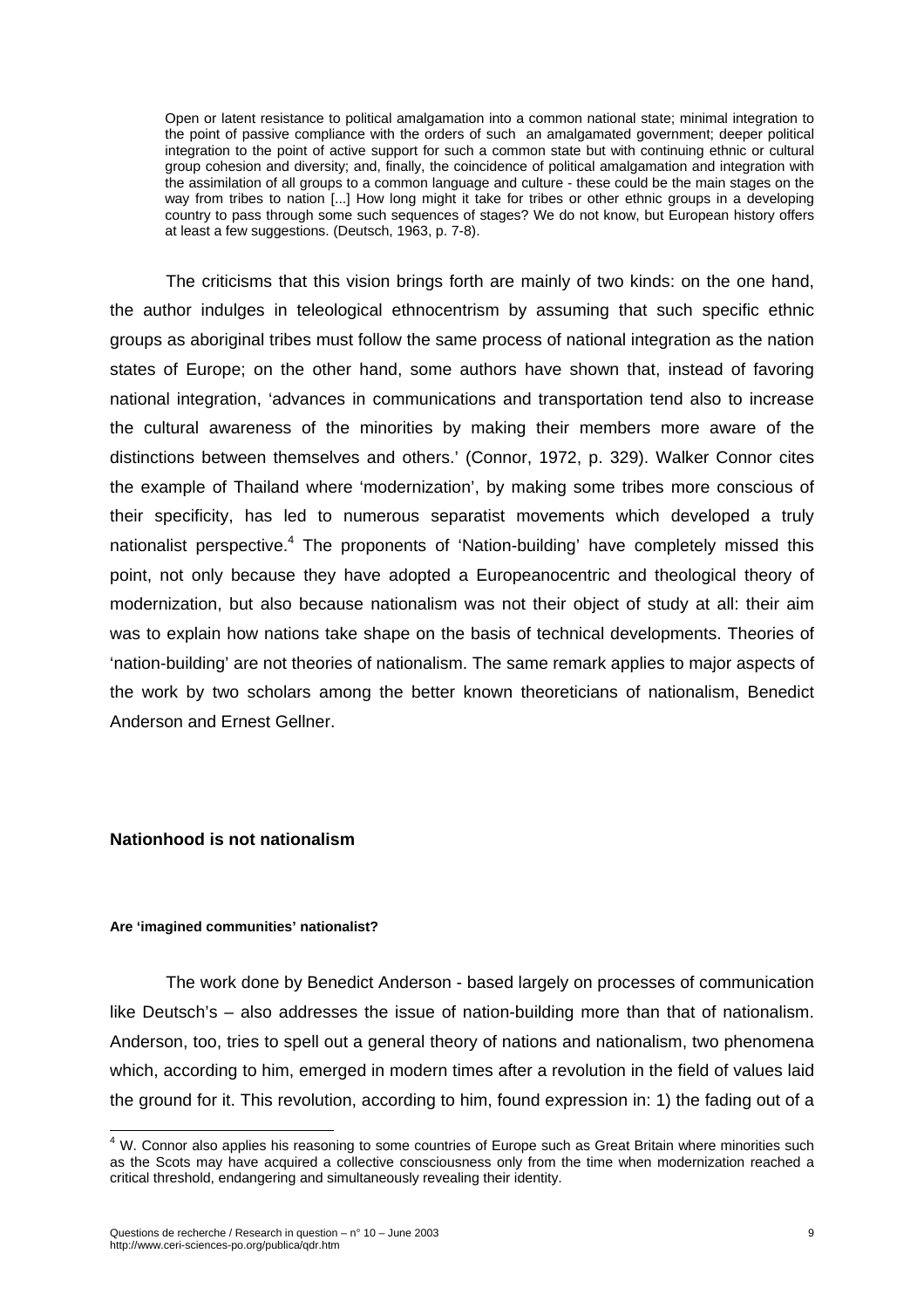Open or latent resistance to political amalgamation into a common national state; minimal integration to the point of passive compliance with the orders of such an amalgamated government; deeper political integration to the point of active support for such a common state but with continuing ethnic or cultural group cohesion and diversity; and, finally, the coincidence of political amalgamation and integration with the assimilation of all groups to a common language and culture - these could be the main stages on the way from tribes to nation [...] How long might it take for tribes or other ethnic groups in a developing country to pass through some such sequences of stages? We do not know, but European history offers at least a few suggestions. (Deutsch, 1963, p. 7-8).

 The criticisms that this vision brings forth are mainly of two kinds: on the one hand, the author indulges in teleological ethnocentrism by assuming that such specific ethnic groups as aboriginal tribes must follow the same process of national integration as the nation states of Europe; on the other hand, some authors have shown that, instead of favoring national integration, 'advances in communications and transportation tend also to increase the cultural awareness of the minorities by making their members more aware of the distinctions between themselves and others.' (Connor, 1972, p. 329). Walker Connor cites the example of Thailand where 'modernization', by making some tribes more conscious of their specificity, has led to numerous separatist movements which developed a truly nationalist perspective.<sup>[4](#page-9-0)</sup> The proponents of 'Nation-building' have completely missed this point, not only because they have adopted a Europeanocentric and theological theory of modernization, but also because nationalism was not their object of study at all: their aim was to explain how nations take shape on the basis of technical developments. Theories of 'nation-building' are not theories of nationalism. The same remark applies to major aspects of the work by two scholars among the better known theoreticians of nationalism, Benedict Anderson and Ernest Gellner.

# **Nationhood is not nationalism**

## **Are 'imagined communities' nationalist?**

 The work done by Benedict Anderson - based largely on processes of communication like Deutsch's – also addresses the issue of nation-building more than that of nationalism. Anderson, too, tries to spell out a general theory of nations and nationalism, two phenomena which, according to him, emerged in modern times after a revolution in the field of values laid the ground for it. This revolution, according to him, found expression in: 1) the fading out of a

<span id="page-9-0"></span> 4 W. Connor also applies his reasoning to some countries of Europe such as Great Britain where minorities such as the Scots may have acquired a collective consciousness only from the time when modernization reached a critical threshold, endangering and simultaneously revealing their identity.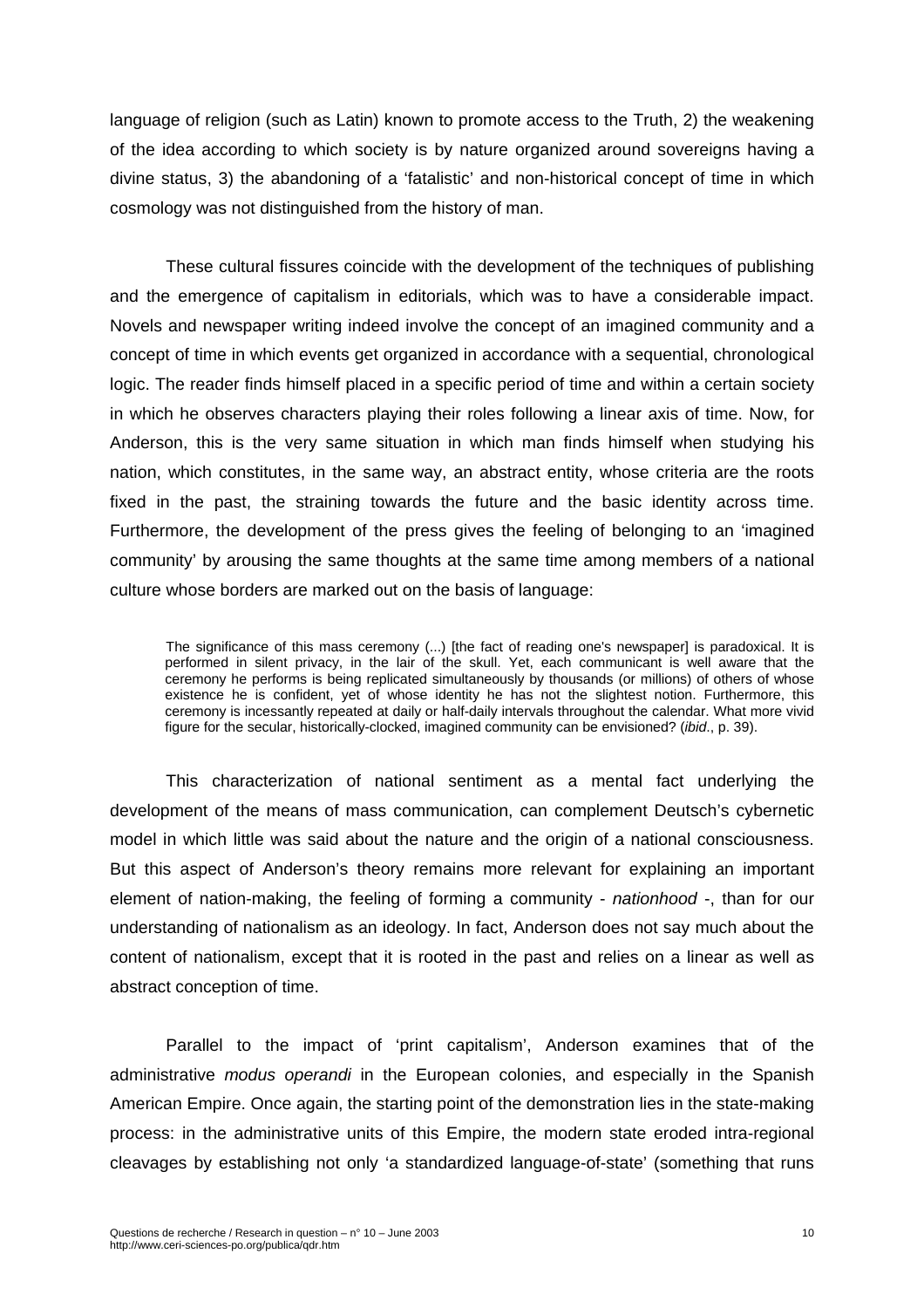language of religion (such as Latin) known to promote access to the Truth, 2) the weakening of the idea according to which society is by nature organized around sovereigns having a divine status, 3) the abandoning of a 'fatalistic' and non-historical concept of time in which cosmology was not distinguished from the history of man.

 These cultural fissures coincide with the development of the techniques of publishing and the emergence of capitalism in editorials, which was to have a considerable impact. Novels and newspaper writing indeed involve the concept of an imagined community and a concept of time in which events get organized in accordance with a sequential, chronological logic. The reader finds himself placed in a specific period of time and within a certain society in which he observes characters playing their roles following a linear axis of time. Now, for Anderson, this is the very same situation in which man finds himself when studying his nation, which constitutes, in the same way, an abstract entity, whose criteria are the roots fixed in the past, the straining towards the future and the basic identity across time. Furthermore, the development of the press gives the feeling of belonging to an 'imagined community' by arousing the same thoughts at the same time among members of a national culture whose borders are marked out on the basis of language:

The significance of this mass ceremony (...) [the fact of reading one's newspaper] is paradoxical. It is performed in silent privacy, in the lair of the skull. Yet, each communicant is well aware that the ceremony he performs is being replicated simultaneously by thousands (or millions) of others of whose existence he is confident, yet of whose identity he has not the slightest notion. Furthermore, this ceremony is incessantly repeated at daily or half-daily intervals throughout the calendar. What more vivid figure for the secular, historically-clocked, imagined community can be envisioned? (*ibid*., p. 39).

 This characterization of national sentiment as a mental fact underlying the development of the means of mass communication, can complement Deutsch's cybernetic model in which little was said about the nature and the origin of a national consciousness. But this aspect of Anderson's theory remains more relevant for explaining an important element of nation-making, the feeling of forming a community - *nationhood* -, than for our understanding of nationalism as an ideology. In fact, Anderson does not say much about the content of nationalism, except that it is rooted in the past and relies on a linear as well as abstract conception of time.

Parallel to the impact of 'print capitalism', Anderson examines that of the administrative *modus operandi* in the European colonies, and especially in the Spanish American Empire. Once again, the starting point of the demonstration lies in the state-making process: in the administrative units of this Empire, the modern state eroded intra-regional cleavages by establishing not only 'a standardized language-of-state' (something that runs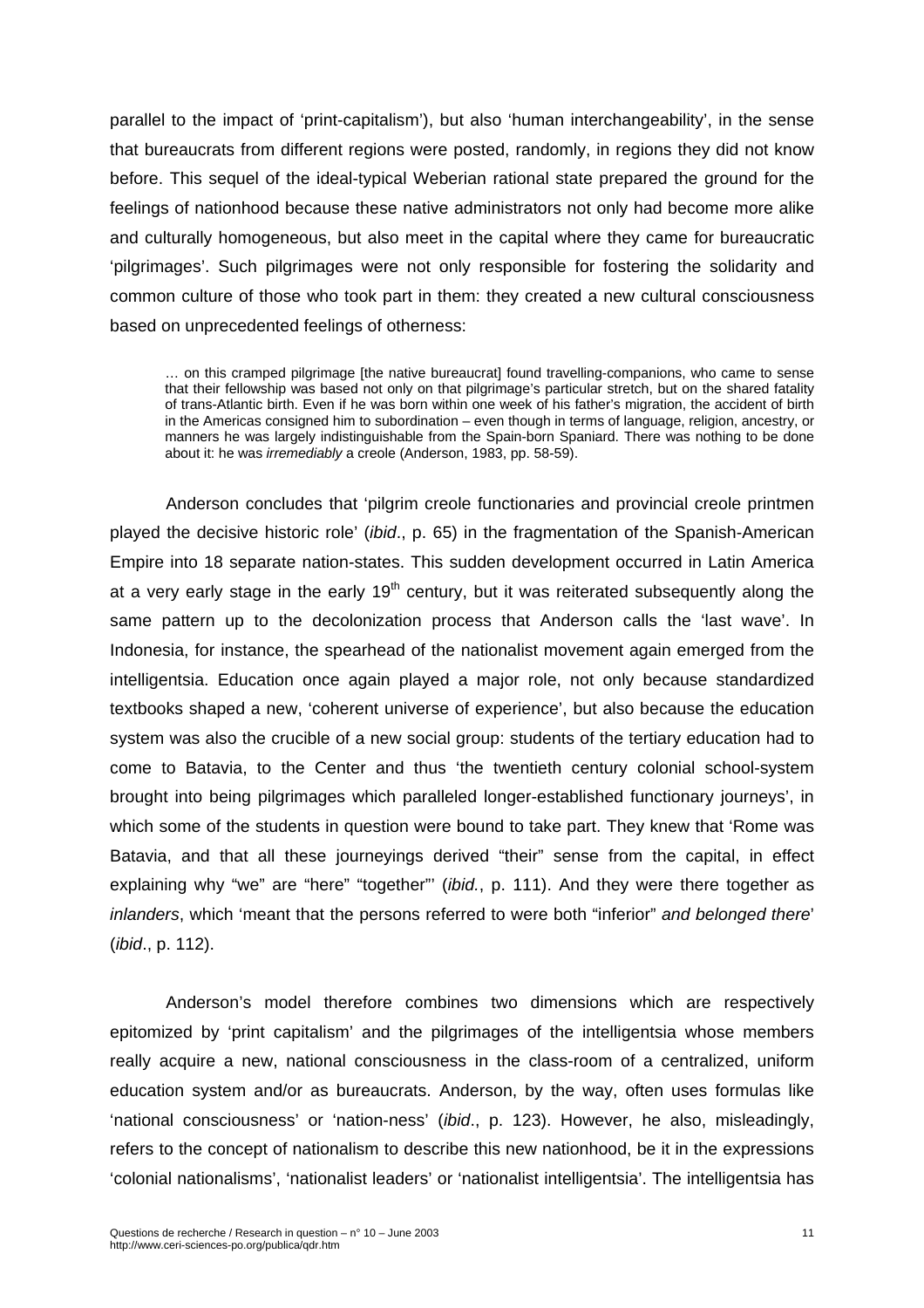parallel to the impact of 'print-capitalism'), but also 'human interchangeability', in the sense that bureaucrats from different regions were posted, randomly, in regions they did not know before. This sequel of the ideal-typical Weberian rational state prepared the ground for the feelings of nationhood because these native administrators not only had become more alike and culturally homogeneous, but also meet in the capital where they came for bureaucratic 'pilgrimages'. Such pilgrimages were not only responsible for fostering the solidarity and common culture of those who took part in them: they created a new cultural consciousness based on unprecedented feelings of otherness:

... on this cramped pilgrimage [the native bureaucrat] found travelling-companions, who came to sense that their fellowship was based not only on that pilgrimage's particular stretch, but on the shared fatality of trans-Atlantic birth. Even if he was born within one week of his father's migration, the accident of birth in the Americas consigned him to subordination – even though in terms of language, religion, ancestry, or manners he was largely indistinguishable from the Spain-born Spaniard. There was nothing to be done about it: he was *irremediably* a creole (Anderson, 1983, pp. 58-59).

 Anderson concludes that 'pilgrim creole functionaries and provincial creole printmen played the decisive historic role' (*ibid*., p. 65) in the fragmentation of the Spanish-American Empire into 18 separate nation-states. This sudden development occurred in Latin America at a very early stage in the early  $19<sup>th</sup>$  century, but it was reiterated subsequently along the same pattern up to the decolonization process that Anderson calls the 'last wave'. In Indonesia, for instance, the spearhead of the nationalist movement again emerged from the intelligentsia. Education once again played a major role, not only because standardized textbooks shaped a new, 'coherent universe of experience', but also because the education system was also the crucible of a new social group: students of the tertiary education had to come to Batavia, to the Center and thus 'the twentieth century colonial school-system brought into being pilgrimages which paralleled longer-established functionary journeys', in which some of the students in question were bound to take part. They knew that 'Rome was Batavia, and that all these journeyings derived "their" sense from the capital, in effect explaining why "we" are "here" "together"' (*ibid.*, p. 111). And they were there together as *inlanders*, which 'meant that the persons referred to were both "inferior" *and belonged there*' (*ibid*., p. 112).

Anderson's model therefore combines two dimensions which are respectively epitomized by 'print capitalism' and the pilgrimages of the intelligentsia whose members really acquire a new, national consciousness in the class-room of a centralized, uniform education system and/or as bureaucrats. Anderson, by the way, often uses formulas like 'national consciousness' or 'nation-ness' (*ibid*., p. 123). However, he also, misleadingly, refers to the concept of nationalism to describe this new nationhood, be it in the expressions 'colonial nationalisms', 'nationalist leaders' or 'nationalist intelligentsia'. The intelligentsia has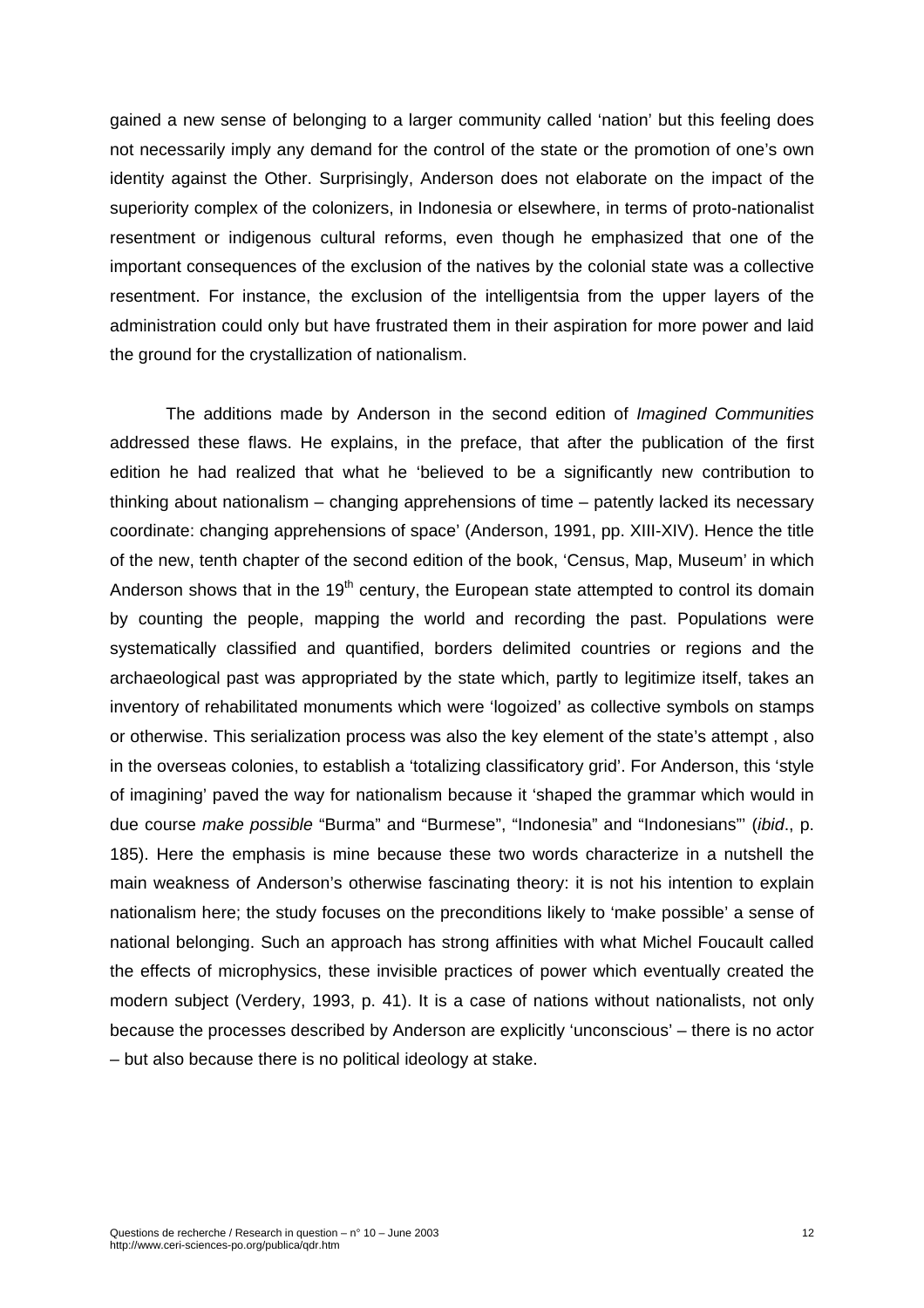gained a new sense of belonging to a larger community called 'nation' but this feeling does not necessarily imply any demand for the control of the state or the promotion of one's own identity against the Other. Surprisingly, Anderson does not elaborate on the impact of the superiority complex of the colonizers, in Indonesia or elsewhere, in terms of proto-nationalist resentment or indigenous cultural reforms, even though he emphasized that one of the important consequences of the exclusion of the natives by the colonial state was a collective resentment. For instance, the exclusion of the intelligentsia from the upper layers of the administration could only but have frustrated them in their aspiration for more power and laid the ground for the crystallization of nationalism.

The additions made by Anderson in the second edition of *Imagined Communities* addressed these flaws. He explains, in the preface, that after the publication of the first edition he had realized that what he 'believed to be a significantly new contribution to thinking about nationalism – changing apprehensions of time – patently lacked its necessary coordinate: changing apprehensions of space' (Anderson, 1991, pp. XIII-XIV). Hence the title of the new, tenth chapter of the second edition of the book, 'Census, Map, Museum' in which Anderson shows that in the 19<sup>th</sup> century, the European state attempted to control its domain by counting the people, mapping the world and recording the past. Populations were systematically classified and quantified, borders delimited countries or regions and the archaeological past was appropriated by the state which, partly to legitimize itself, takes an inventory of rehabilitated monuments which were 'logoized' as collective symbols on stamps or otherwise. This serialization process was also the key element of the state's attempt , also in the overseas colonies, to establish a 'totalizing classificatory grid'. For Anderson, this 'style of imagining' paved the way for nationalism because it 'shaped the grammar which would in due course *make possible* "Burma" and "Burmese", "Indonesia" and "Indonesians"' (*ibid*., p. 185). Here the emphasis is mine because these two words characterize in a nutshell the main weakness of Anderson's otherwise fascinating theory: it is not his intention to explain nationalism here; the study focuses on the preconditions likely to 'make possible' a sense of national belonging. Such an approach has strong affinities with what Michel Foucault called the effects of microphysics, these invisible practices of power which eventually created the modern subject (Verdery, 1993, p. 41). It is a case of nations without nationalists, not only because the processes described by Anderson are explicitly 'unconscious' – there is no actor – but also because there is no political ideology at stake.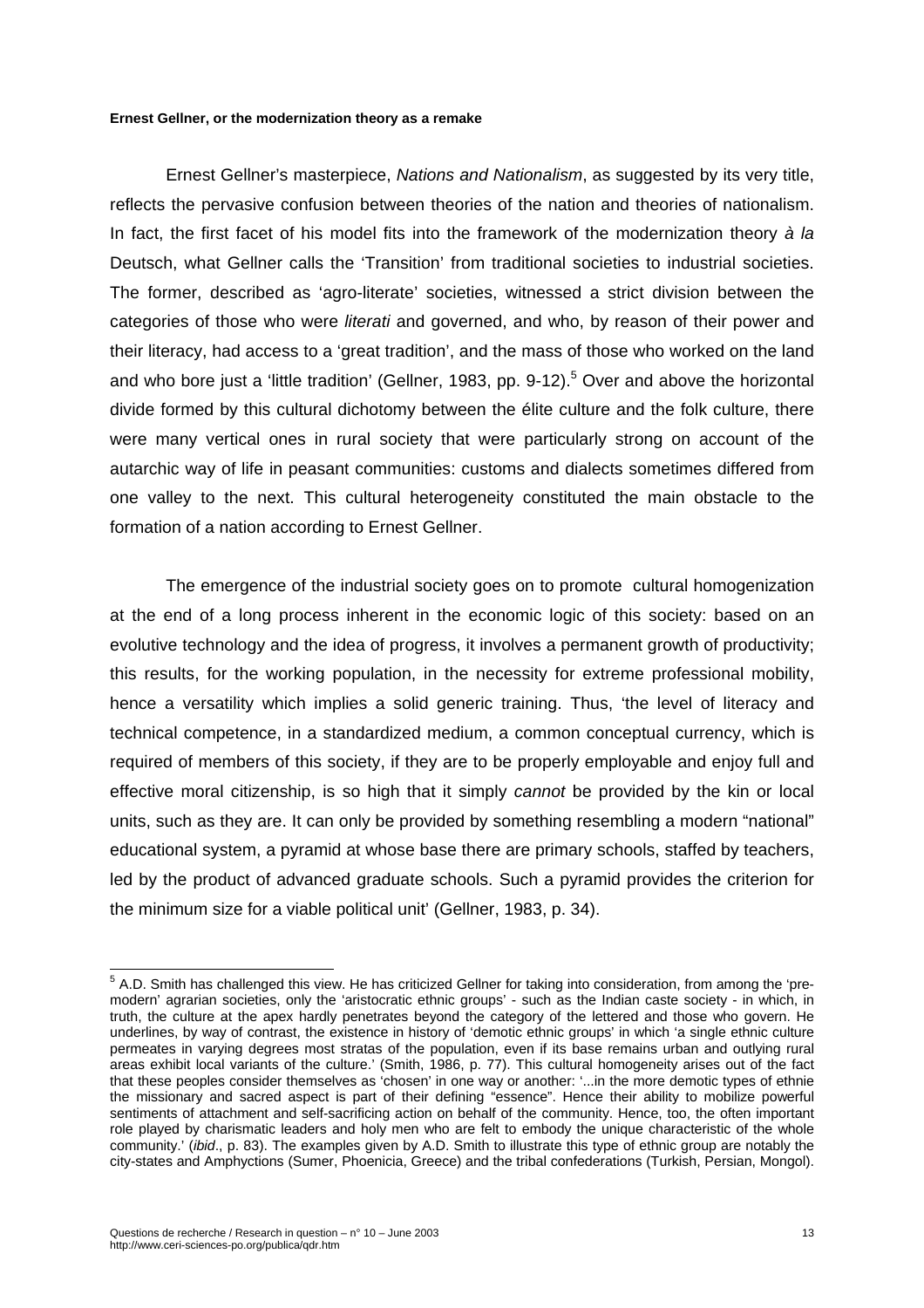#### **Ernest Gellner, or the modernization theory as a remake**

 Ernest Gellner's masterpiece, *Nations and Nationalism*, as suggested by its very title, reflects the pervasive confusion between theories of the nation and theories of nationalism. In fact, the first facet of his model fits into the framework of the modernization theory *à la* Deutsch, what Gellner calls the 'Transition' from traditional societies to industrial societies. The former, described as 'agro-literate' societies, witnessed a strict division between the categories of those who were *literati* and governed, and who, by reason of their power and their literacy, had access to a 'great tradition', and the mass of those who worked on the land and who bore just a 'little tradition' (Gellner, 1983, pp. 9-12).<sup>[5](#page-13-0)</sup> Over and above the horizontal divide formed by this cultural dichotomy between the élite culture and the folk culture, there were many vertical ones in rural society that were particularly strong on account of the autarchic way of life in peasant communities: customs and dialects sometimes differed from one valley to the next. This cultural heterogeneity constituted the main obstacle to the formation of a nation according to Ernest Gellner.

 The emergence of the industrial society goes on to promote cultural homogenization at the end of a long process inherent in the economic logic of this society: based on an evolutive technology and the idea of progress, it involves a permanent growth of productivity; this results, for the working population, in the necessity for extreme professional mobility, hence a versatility which implies a solid generic training. Thus, 'the level of literacy and technical competence, in a standardized medium, a common conceptual currency, which is required of members of this society, if they are to be properly employable and enjoy full and effective moral citizenship, is so high that it simply *cannot* be provided by the kin or local units, such as they are. It can only be provided by something resembling a modern "national" educational system, a pyramid at whose base there are primary schools, staffed by teachers, led by the product of advanced graduate schools. Such a pyramid provides the criterion for the minimum size for a viable political unit' (Gellner, 1983, p. 34).

<span id="page-13-0"></span> 5 A.D. Smith has challenged this view. He has criticized Gellner for taking into consideration, from among the 'premodern' agrarian societies, only the 'aristocratic ethnic groups' - such as the Indian caste society - in which, in truth, the culture at the apex hardly penetrates beyond the category of the lettered and those who govern. He underlines, by way of contrast, the existence in history of 'demotic ethnic groups' in which 'a single ethnic culture permeates in varying degrees most stratas of the population, even if its base remains urban and outlying rural areas exhibit local variants of the culture.' (Smith, 1986, p. 77). This cultural homogeneity arises out of the fact that these peoples consider themselves as 'chosen' in one way or another: '...in the more demotic types of ethnie the missionary and sacred aspect is part of their defining "essence". Hence their ability to mobilize powerful sentiments of attachment and self-sacrificing action on behalf of the community. Hence, too, the often important role played by charismatic leaders and holy men who are felt to embody the unique characteristic of the whole community.' (*ibid*., p. 83). The examples given by A.D. Smith to illustrate this type of ethnic group are notably the city-states and Amphyctions (Sumer, Phoenicia, Greece) and the tribal confederations (Turkish, Persian, Mongol).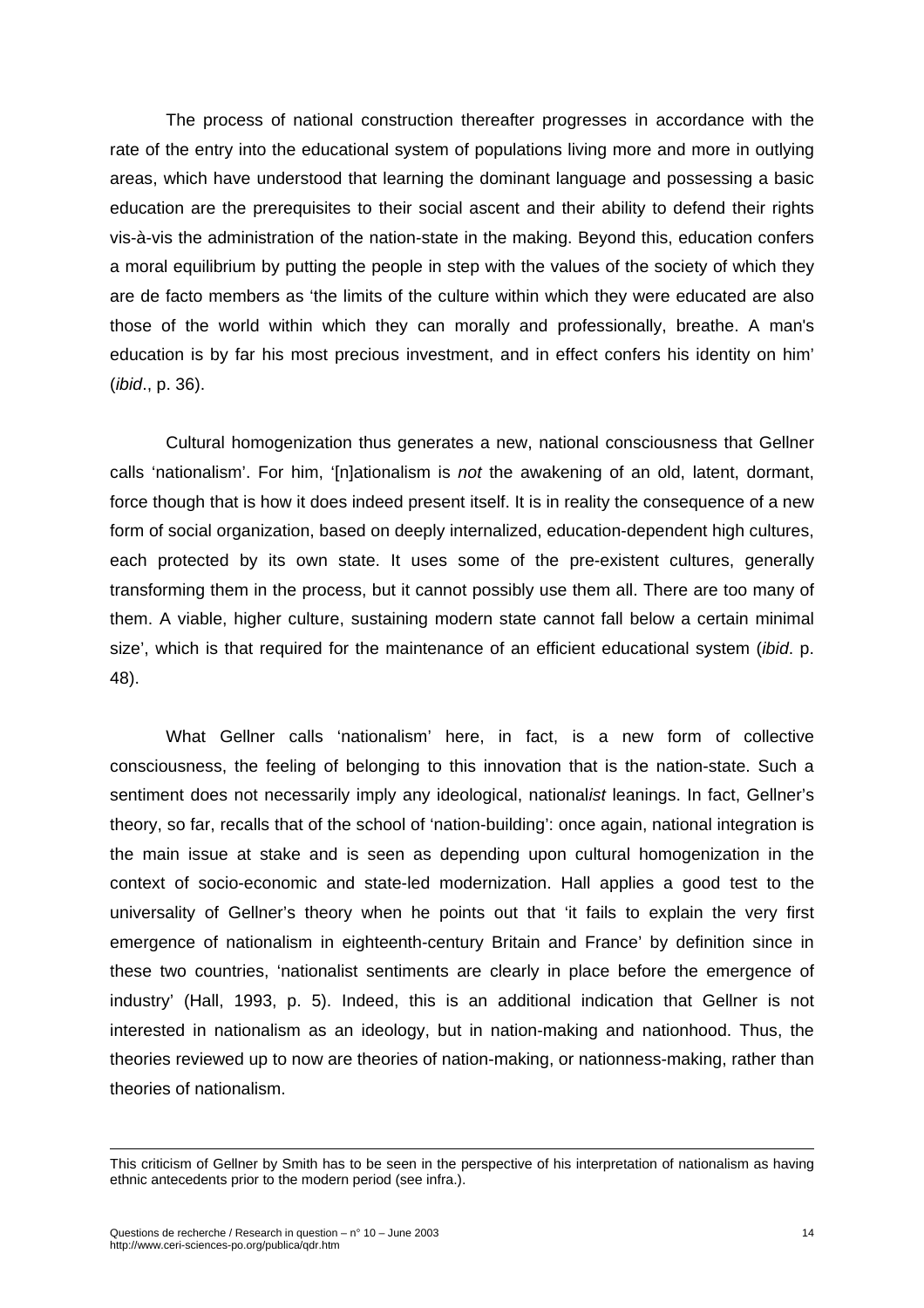The process of national construction thereafter progresses in accordance with the rate of the entry into the educational system of populations living more and more in outlying areas, which have understood that learning the dominant language and possessing a basic education are the prerequisites to their social ascent and their ability to defend their rights vis-à-vis the administration of the nation-state in the making. Beyond this, education confers a moral equilibrium by putting the people in step with the values of the society of which they are de facto members as 'the limits of the culture within which they were educated are also those of the world within which they can morally and professionally, breathe. A man's education is by far his most precious investment, and in effect confers his identity on him' (*ibid*., p. 36).

 Cultural homogenization thus generates a new, national consciousness that Gellner calls 'nationalism'. For him, '[n]ationalism is *not* the awakening of an old, latent, dormant, force though that is how it does indeed present itself. It is in reality the consequence of a new form of social organization, based on deeply internalized, education-dependent high cultures, each protected by its own state. It uses some of the pre-existent cultures, generally transforming them in the process, but it cannot possibly use them all. There are too many of them. A viable, higher culture, sustaining modern state cannot fall below a certain minimal size', which is that required for the maintenance of an efficient educational system (*ibid*. p. 48).

 What Gellner calls 'nationalism' here, in fact, is a new form of collective consciousness, the feeling of belonging to this innovation that is the nation-state. Such a sentiment does not necessarily imply any ideological, national*ist* leanings. In fact, Gellner's theory, so far, recalls that of the school of 'nation-building': once again, national integration is the main issue at stake and is seen as depending upon cultural homogenization in the context of socio-economic and state-led modernization. Hall applies a good test to the universality of Gellner's theory when he points out that 'it fails to explain the very first emergence of nationalism in eighteenth-century Britain and France' by definition since in these two countries, 'nationalist sentiments are clearly in place before the emergence of industry' (Hall, 1993, p. 5). Indeed, this is an additional indication that Gellner is not interested in nationalism as an ideology, but in nation-making and nationhood. Thus, the theories reviewed up to now are theories of nation-making, or nationness-making, rather than theories of nationalism.

1

This criticism of Gellner by Smith has to be seen in the perspective of his interpretation of nationalism as having ethnic antecedents prior to the modern period (see infra.).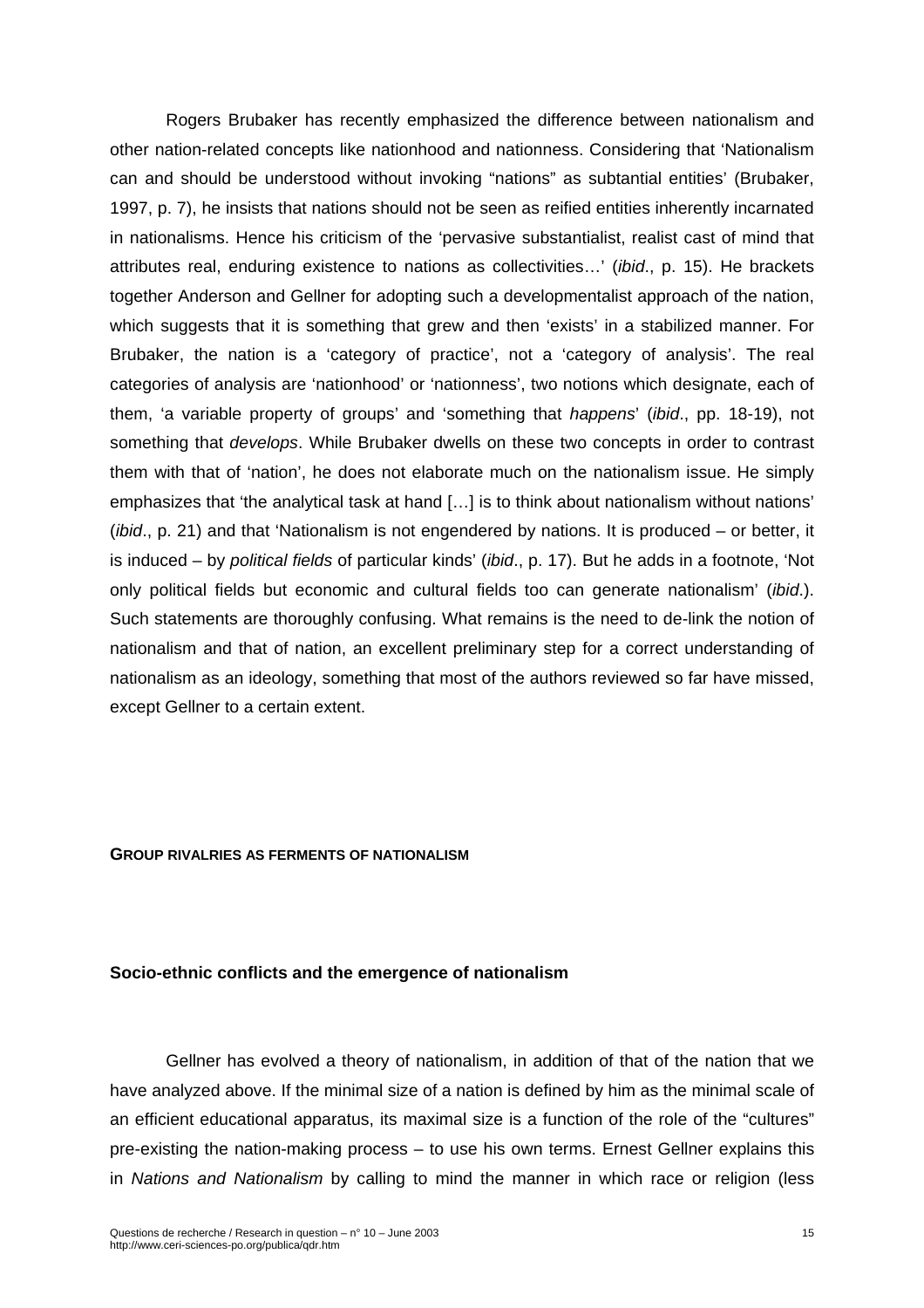Rogers Brubaker has recently emphasized the difference between nationalism and other nation-related concepts like nationhood and nationness. Considering that 'Nationalism can and should be understood without invoking "nations" as subtantial entities' (Brubaker, 1997, p. 7), he insists that nations should not be seen as reified entities inherently incarnated in nationalisms. Hence his criticism of the 'pervasive substantialist, realist cast of mind that attributes real, enduring existence to nations as collectivities…' (*ibid*., p. 15). He brackets together Anderson and Gellner for adopting such a developmentalist approach of the nation, which suggests that it is something that grew and then 'exists' in a stabilized manner. For Brubaker, the nation is a 'category of practice', not a 'category of analysis'. The real categories of analysis are 'nationhood' or 'nationness', two notions which designate, each of them, 'a variable property of groups' and 'something that *happens*' (*ibid*., pp. 18-19), not something that *develops*. While Brubaker dwells on these two concepts in order to contrast them with that of 'nation', he does not elaborate much on the nationalism issue. He simply emphasizes that 'the analytical task at hand […] is to think about nationalism without nations' (*ibid*., p. 21) and that 'Nationalism is not engendered by nations. It is produced – or better, it is induced – by *political fields* of particular kinds' (*ibid*., p. 17). But he adds in a footnote, 'Not only political fields but economic and cultural fields too can generate nationalism' (*ibid*.). Such statements are thoroughly confusing. What remains is the need to de-link the notion of nationalism and that of nation, an excellent preliminary step for a correct understanding of nationalism as an ideology, something that most of the authors reviewed so far have missed, except Gellner to a certain extent.

## **GROUP RIVALRIES AS FERMENTS OF NATIONALISM**

## **Socio-ethnic conflicts and the emergence of nationalism**

 Gellner has evolved a theory of nationalism, in addition of that of the nation that we have analyzed above. If the minimal size of a nation is defined by him as the minimal scale of an efficient educational apparatus, its maximal size is a function of the role of the "cultures" pre-existing the nation-making process – to use his own terms. Ernest Gellner explains this in *Nations and Nationalism* by calling to mind the manner in which race or religion (less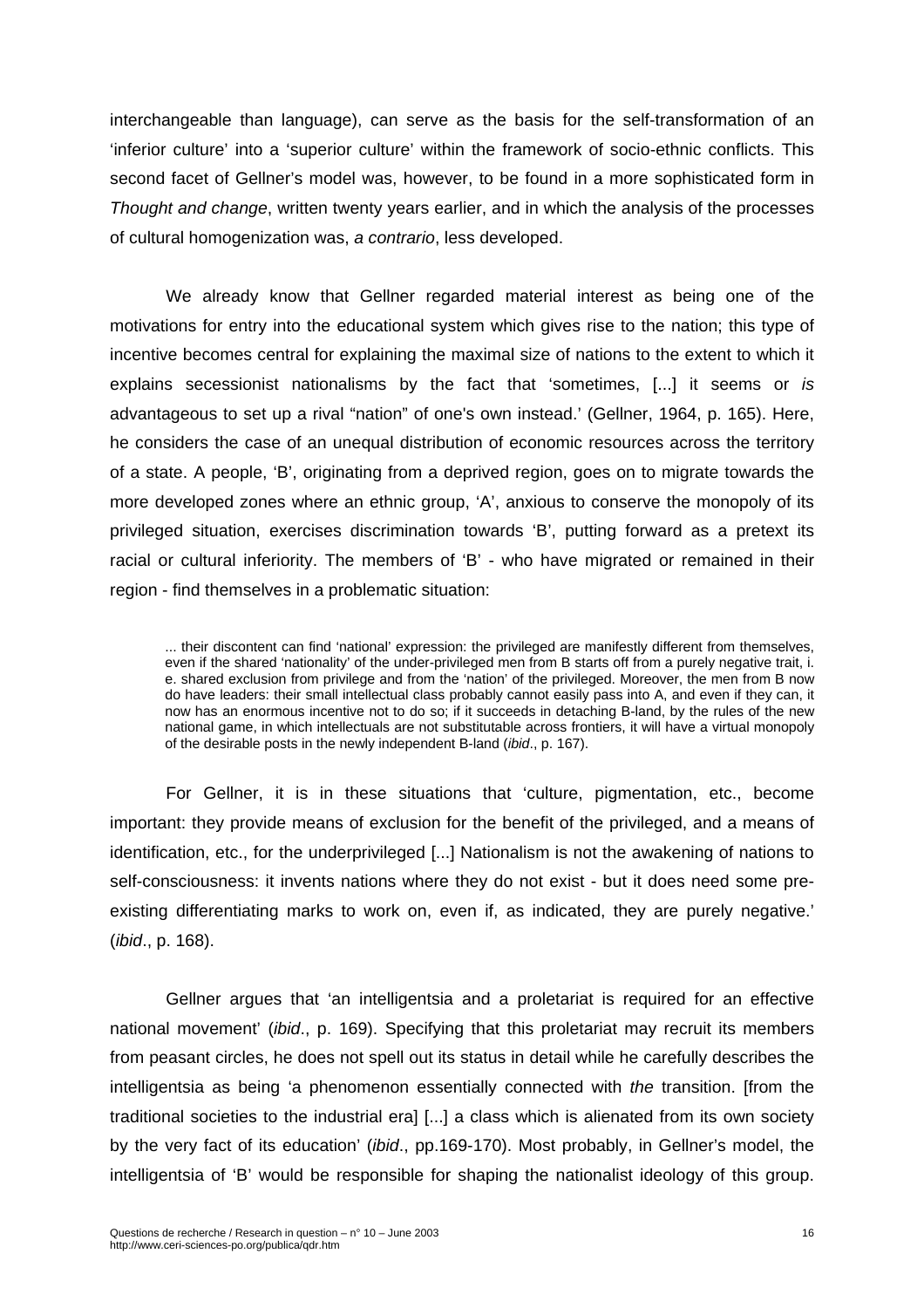interchangeable than language), can serve as the basis for the self-transformation of an 'inferior culture' into a 'superior culture' within the framework of socio-ethnic conflicts. This second facet of Gellner's model was, however, to be found in a more sophisticated form in *Thought and change*, written twenty years earlier, and in which the analysis of the processes of cultural homogenization was, *a contrario*, less developed.

 We already know that Gellner regarded material interest as being one of the motivations for entry into the educational system which gives rise to the nation; this type of incentive becomes central for explaining the maximal size of nations to the extent to which it explains secessionist nationalisms by the fact that 'sometimes, [...] it seems or *is* advantageous to set up a rival "nation" of one's own instead.' (Gellner, 1964, p. 165). Here, he considers the case of an unequal distribution of economic resources across the territory of a state. A people, 'B', originating from a deprived region, goes on to migrate towards the more developed zones where an ethnic group, 'A', anxious to conserve the monopoly of its privileged situation, exercises discrimination towards 'B', putting forward as a pretext its racial or cultural inferiority. The members of 'B' - who have migrated or remained in their region - find themselves in a problematic situation:

... their discontent can find 'national' expression: the privileged are manifestly different from themselves, even if the shared 'nationality' of the under-privileged men from B starts off from a purely negative trait, i. e. shared exclusion from privilege and from the 'nation' of the privileged. Moreover, the men from B now do have leaders: their small intellectual class probably cannot easily pass into A, and even if they can, it now has an enormous incentive not to do so; if it succeeds in detaching B-land, by the rules of the new national game, in which intellectuals are not substitutable across frontiers, it will have a virtual monopoly of the desirable posts in the newly independent B-land (*ibid*., p. 167).

For Gellner, it is in these situations that 'culture, pigmentation, etc., become important: they provide means of exclusion for the benefit of the privileged, and a means of identification, etc., for the underprivileged [...] Nationalism is not the awakening of nations to self-consciousness: it invents nations where they do not exist - but it does need some preexisting differentiating marks to work on, even if, as indicated, they are purely negative.' (*ibid*., p. 168).

 Gellner argues that 'an intelligentsia and a proletariat is required for an effective national movement' (*ibid*., p. 169). Specifying that this proletariat may recruit its members from peasant circles, he does not spell out its status in detail while he carefully describes the intelligentsia as being 'a phenomenon essentially connected with *the* transition. [from the traditional societies to the industrial era] [...] a class which is alienated from its own society by the very fact of its education' (*ibid*., pp.169-170). Most probably, in Gellner's model, the intelligentsia of 'B' would be responsible for shaping the nationalist ideology of this group.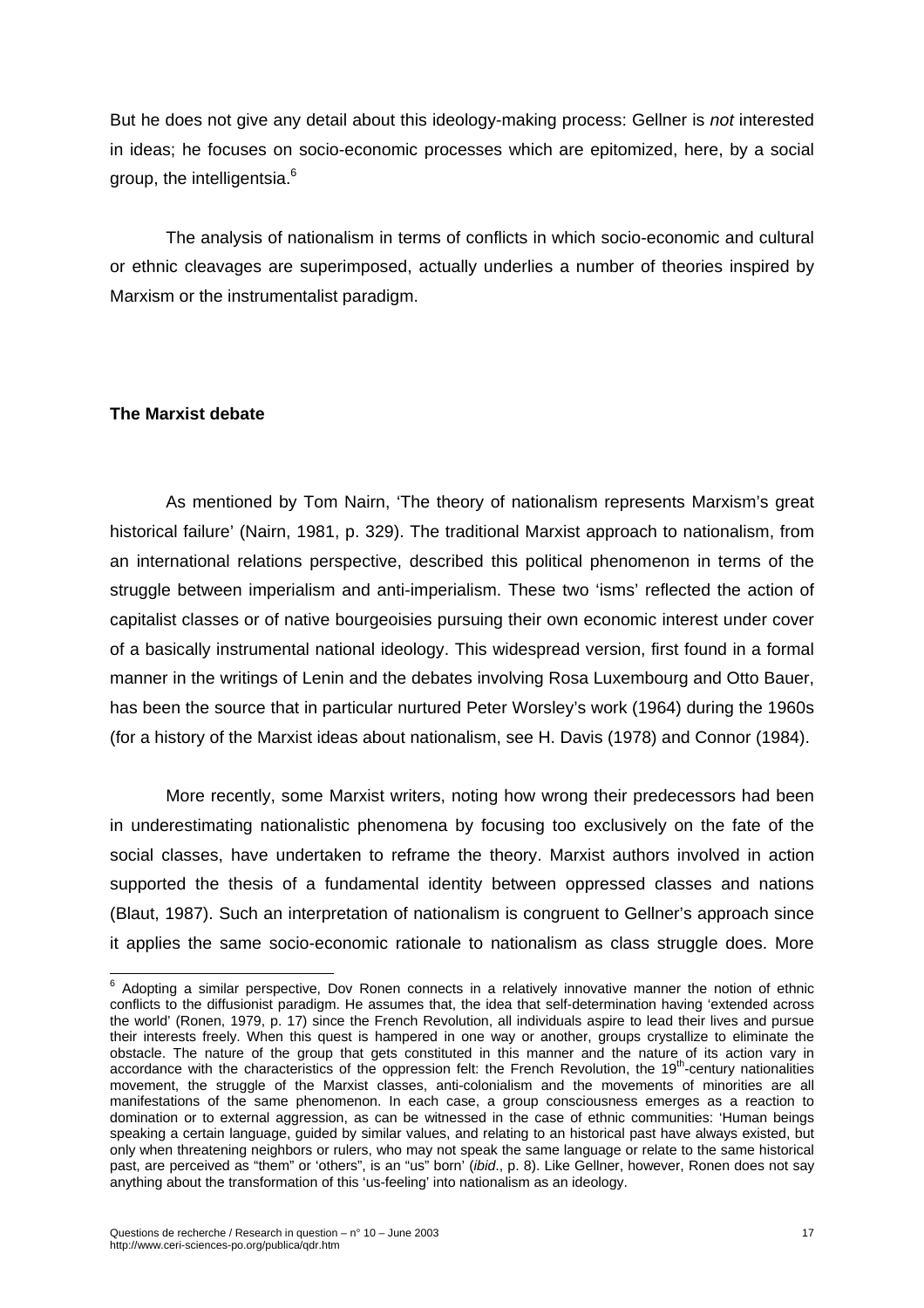But he does not give any detail about this ideology-making process: Gellner is *not* interested in ideas; he focuses on socio-economic processes which are epitomized, here, by a social group, the intelligentsia.<sup>[6](#page-17-0)</sup>

 The analysis of nationalism in terms of conflicts in which socio-economic and cultural or ethnic cleavages are superimposed, actually underlies a number of theories inspired by Marxism or the instrumentalist paradigm.

# **The Marxist debate**

 As mentioned by Tom Nairn, 'The theory of nationalism represents Marxism's great historical failure' (Nairn, 1981, p. 329). The traditional Marxist approach to nationalism, from an international relations perspective, described this political phenomenon in terms of the struggle between imperialism and anti-imperialism. These two 'isms' reflected the action of capitalist classes or of native bourgeoisies pursuing their own economic interest under cover of a basically instrumental national ideology. This widespread version, first found in a formal manner in the writings of Lenin and the debates involving Rosa Luxembourg and Otto Bauer, has been the source that in particular nurtured Peter Worsley's work (1964) during the 1960s (for a history of the Marxist ideas about nationalism, see H. Davis (1978) and Connor (1984).

More recently, some Marxist writers, noting how wrong their predecessors had been in underestimating nationalistic phenomena by focusing too exclusively on the fate of the social classes, have undertaken to reframe the theory. Marxist authors involved in action supported the thesis of a fundamental identity between oppressed classes and nations (Blaut, 1987). Such an interpretation of nationalism is congruent to Gellner's approach since it applies the same socio-economic rationale to nationalism as class struggle does. More

<span id="page-17-0"></span>**EXECT**<br>6 Adopting a similar perspective, Dov Ronen connects in a relatively innovative manner the notion of ethnic conflicts to the diffusionist paradigm. He assumes that, the idea that self-determination having 'extended across the world' (Ronen, 1979, p. 17) since the French Revolution, all individuals aspire to lead their lives and pursue their interests freely. When this quest is hampered in one way or another, groups crystallize to eliminate the obstacle. The nature of the group that gets constituted in this manner and the nature of its action vary in accordance with the characteristics of the oppression felt: the French Revolution, the 19<sup>th</sup>-century nationalities movement, the struggle of the Marxist classes, anti-colonialism and the movements of minorities are all manifestations of the same phenomenon. In each case, a group consciousness emerges as a reaction to domination or to external aggression, as can be witnessed in the case of ethnic communities: 'Human beings speaking a certain language, guided by similar values, and relating to an historical past have always existed, but only when threatening neighbors or rulers, who may not speak the same language or relate to the same historical past, are perceived as "them" or 'others", is an "us" born' (*ibid*., p. 8). Like Gellner, however, Ronen does not say anything about the transformation of this 'us-feeling' into nationalism as an ideology.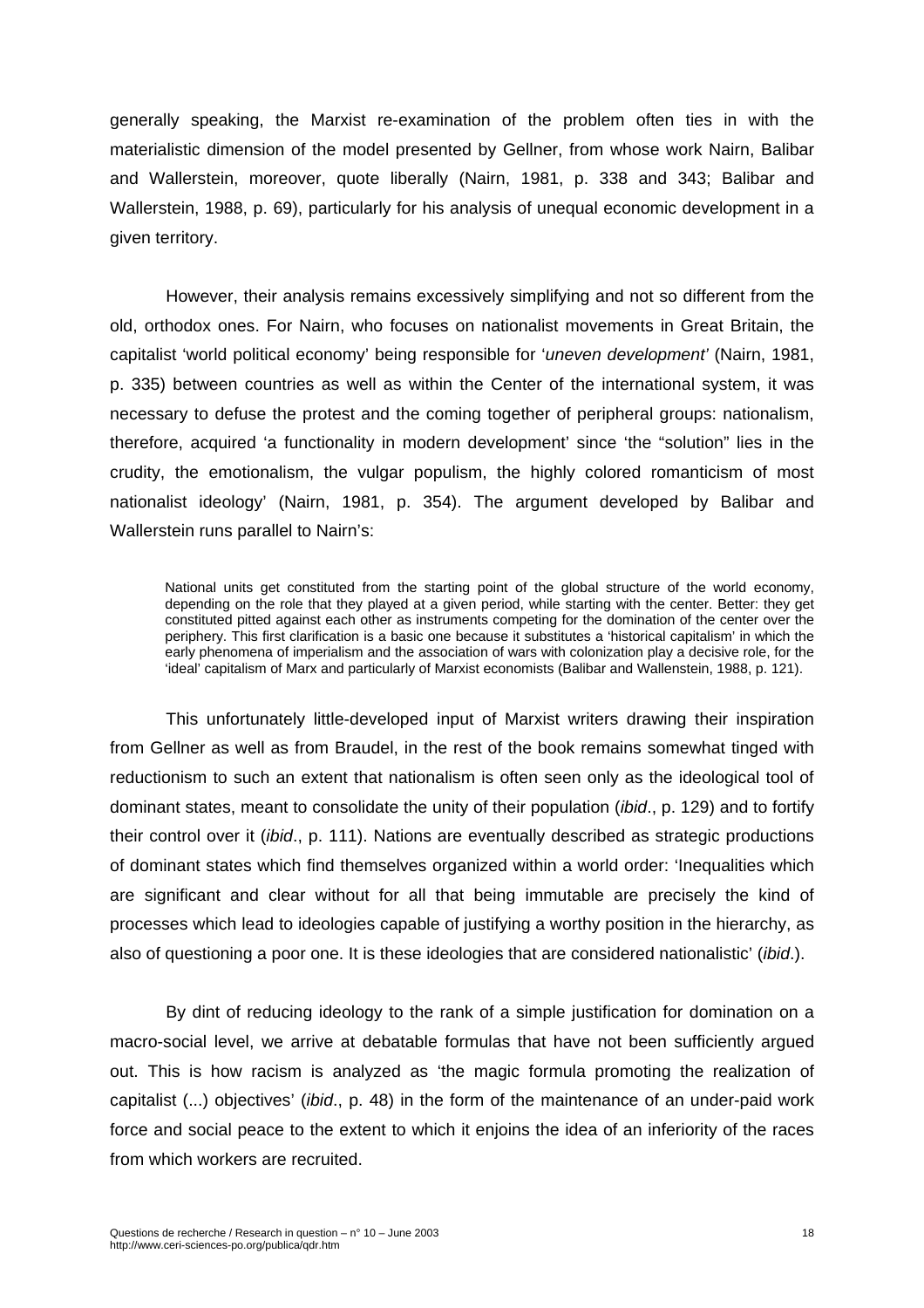generally speaking, the Marxist re-examination of the problem often ties in with the materialistic dimension of the model presented by Gellner, from whose work Nairn, Balibar and Wallerstein, moreover, quote liberally (Nairn, 1981, p. 338 and 343; Balibar and Wallerstein, 1988, p. 69), particularly for his analysis of unequal economic development in a given territory.

However, their analysis remains excessively simplifying and not so different from the old, orthodox ones. For Nairn, who focuses on nationalist movements in Great Britain, the capitalist 'world political economy' being responsible for '*uneven development'* (Nairn, 1981, p. 335) between countries as well as within the Center of the international system, it was necessary to defuse the protest and the coming together of peripheral groups: nationalism, therefore, acquired 'a functionality in modern development' since 'the "solution" lies in the crudity, the emotionalism, the vulgar populism, the highly colored romanticism of most nationalist ideology' (Nairn, 1981, p. 354). The argument developed by Balibar and Wallerstein runs parallel to Nairn's:

National units get constituted from the starting point of the global structure of the world economy, depending on the role that they played at a given period, while starting with the center. Better: they get constituted pitted against each other as instruments competing for the domination of the center over the periphery. This first clarification is a basic one because it substitutes a 'historical capitalism' in which the early phenomena of imperialism and the association of wars with colonization play a decisive role, for the 'ideal' capitalism of Marx and particularly of Marxist economists (Balibar and Wallenstein, 1988, p. 121).

 This unfortunately little-developed input of Marxist writers drawing their inspiration from Gellner as well as from Braudel, in the rest of the book remains somewhat tinged with reductionism to such an extent that nationalism is often seen only as the ideological tool of dominant states, meant to consolidate the unity of their population (*ibid*., p. 129) and to fortify their control over it (*ibid*., p. 111). Nations are eventually described as strategic productions of dominant states which find themselves organized within a world order: 'Inequalities which are significant and clear without for all that being immutable are precisely the kind of processes which lead to ideologies capable of justifying a worthy position in the hierarchy, as also of questioning a poor one. It is these ideologies that are considered nationalistic' (*ibid*.).

 By dint of reducing ideology to the rank of a simple justification for domination on a macro-social level, we arrive at debatable formulas that have not been sufficiently argued out. This is how racism is analyzed as 'the magic formula promoting the realization of capitalist (...) objectives' (*ibid*., p. 48) in the form of the maintenance of an under-paid work force and social peace to the extent to which it enjoins the idea of an inferiority of the races from which workers are recruited.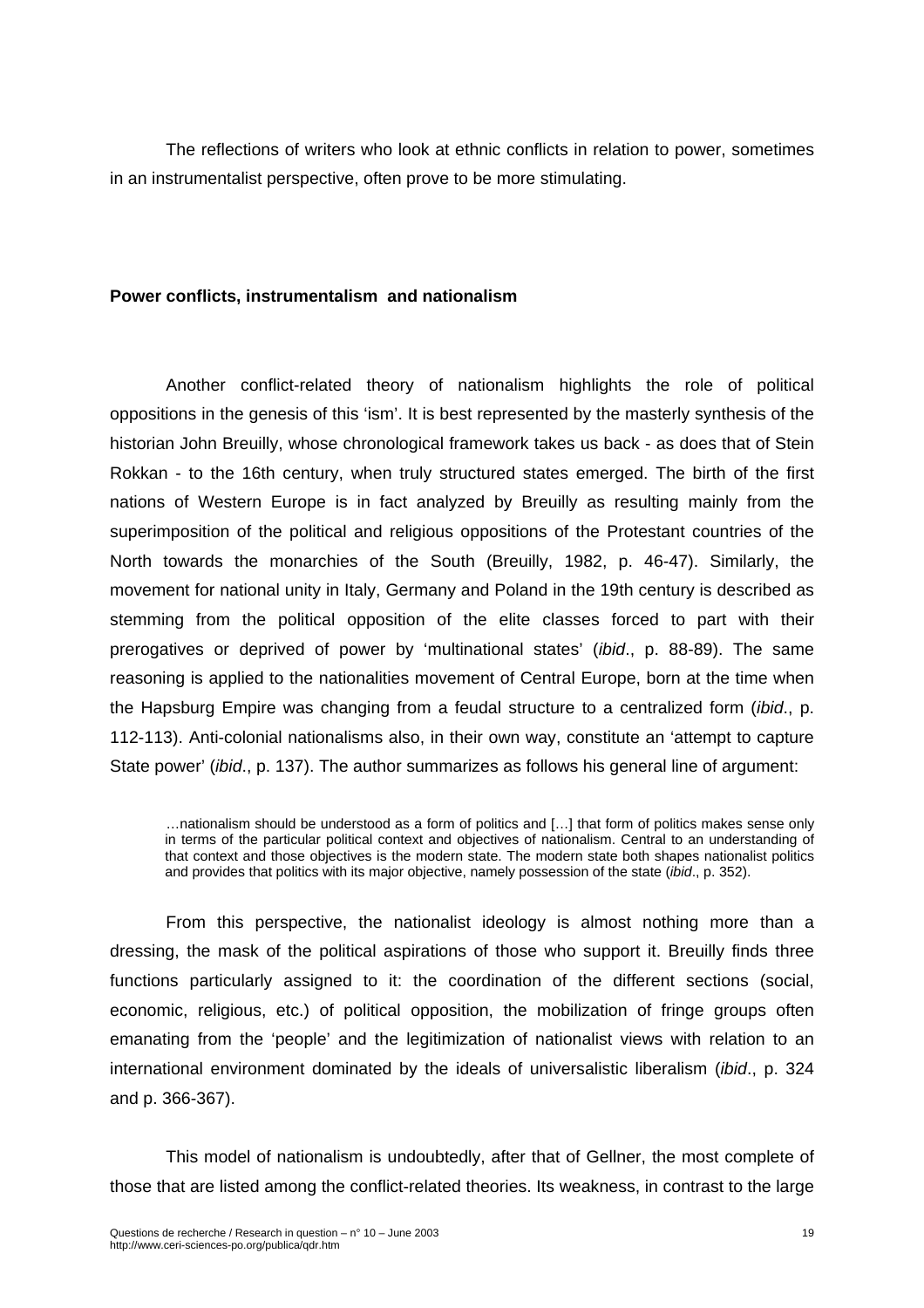The reflections of writers who look at ethnic conflicts in relation to power, sometimes in an instrumentalist perspective, often prove to be more stimulating.

# **Power conflicts, instrumentalism and nationalism**

 Another conflict-related theory of nationalism highlights the role of political oppositions in the genesis of this 'ism'. It is best represented by the masterly synthesis of the historian John Breuilly, whose chronological framework takes us back - as does that of Stein Rokkan - to the 16th century, when truly structured states emerged. The birth of the first nations of Western Europe is in fact analyzed by Breuilly as resulting mainly from the superimposition of the political and religious oppositions of the Protestant countries of the North towards the monarchies of the South (Breuilly, 1982, p. 46-47). Similarly, the movement for national unity in Italy, Germany and Poland in the 19th century is described as stemming from the political opposition of the elite classes forced to part with their prerogatives or deprived of power by 'multinational states' (*ibid*., p. 88-89). The same reasoning is applied to the nationalities movement of Central Europe, born at the time when the Hapsburg Empire was changing from a feudal structure to a centralized form (*ibid*., p. 112-113). Anti-colonial nationalisms also, in their own way, constitute an 'attempt to capture State power' (*ibid*., p. 137). The author summarizes as follows his general line of argument:

…nationalism should be understood as a form of politics and […] that form of politics makes sense only in terms of the particular political context and objectives of nationalism. Central to an understanding of that context and those objectives is the modern state. The modern state both shapes nationalist politics and provides that politics with its major objective, namely possession of the state (*ibid*., p. 352).

 From this perspective, the nationalist ideology is almost nothing more than a dressing, the mask of the political aspirations of those who support it. Breuilly finds three functions particularly assigned to it: the coordination of the different sections (social, economic, religious, etc.) of political opposition, the mobilization of fringe groups often emanating from the 'people' and the legitimization of nationalist views with relation to an international environment dominated by the ideals of universalistic liberalism (*ibid*., p. 324 and p. 366-367).

 This model of nationalism is undoubtedly, after that of Gellner, the most complete of those that are listed among the conflict-related theories. Its weakness, in contrast to the large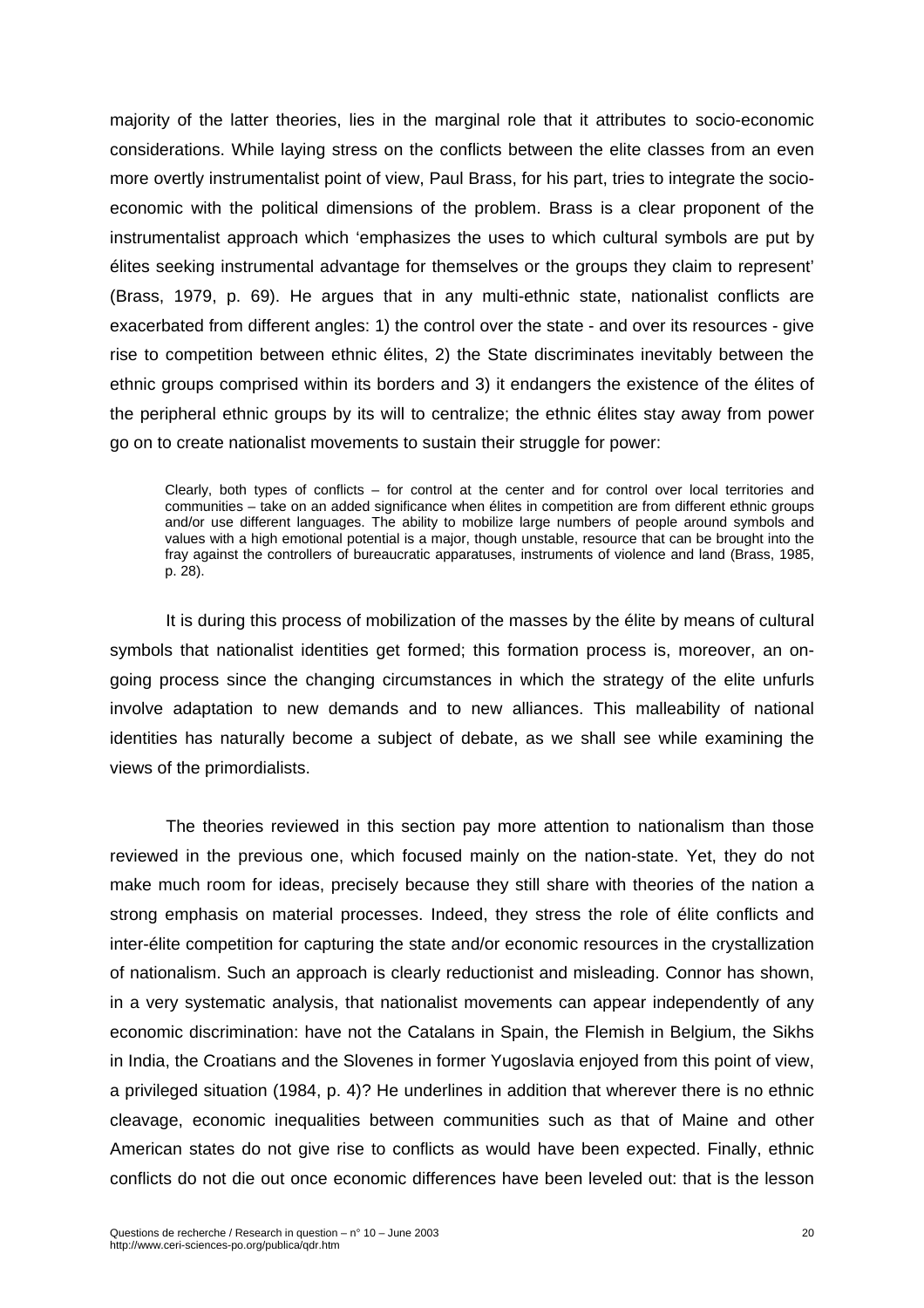majority of the latter theories, lies in the marginal role that it attributes to socio-economic considerations. While laying stress on the conflicts between the elite classes from an even more overtly instrumentalist point of view, Paul Brass, for his part, tries to integrate the socioeconomic with the political dimensions of the problem. Brass is a clear proponent of the instrumentalist approach which 'emphasizes the uses to which cultural symbols are put by élites seeking instrumental advantage for themselves or the groups they claim to represent' (Brass, 1979, p. 69). He argues that in any multi-ethnic state, nationalist conflicts are exacerbated from different angles: 1) the control over the state - and over its resources - give rise to competition between ethnic élites, 2) the State discriminates inevitably between the ethnic groups comprised within its borders and 3) it endangers the existence of the élites of the peripheral ethnic groups by its will to centralize; the ethnic élites stay away from power go on to create nationalist movements to sustain their struggle for power:

 Clearly, both types of conflicts – for control at the center and for control over local territories and communities – take on an added significance when élites in competition are from different ethnic groups and/or use different languages. The ability to mobilize large numbers of people around symbols and values with a high emotional potential is a major, though unstable, resource that can be brought into the fray against the controllers of bureaucratic apparatuses, instruments of violence and land (Brass, 1985, p. 28).

 It is during this process of mobilization of the masses by the élite by means of cultural symbols that nationalist identities get formed; this formation process is, moreover, an ongoing process since the changing circumstances in which the strategy of the elite unfurls involve adaptation to new demands and to new alliances. This malleability of national identities has naturally become a subject of debate, as we shall see while examining the views of the primordialists.

 The theories reviewed in this section pay more attention to nationalism than those reviewed in the previous one, which focused mainly on the nation-state. Yet, they do not make much room for ideas, precisely because they still share with theories of the nation a strong emphasis on material processes. Indeed, they stress the role of élite conflicts and inter-élite competition for capturing the state and/or economic resources in the crystallization of nationalism. Such an approach is clearly reductionist and misleading. Connor has shown, in a very systematic analysis, that nationalist movements can appear independently of any economic discrimination: have not the Catalans in Spain, the Flemish in Belgium, the Sikhs in India, the Croatians and the Slovenes in former Yugoslavia enjoyed from this point of view, a privileged situation (1984, p. 4)? He underlines in addition that wherever there is no ethnic cleavage, economic inequalities between communities such as that of Maine and other American states do not give rise to conflicts as would have been expected. Finally, ethnic conflicts do not die out once economic differences have been leveled out: that is the lesson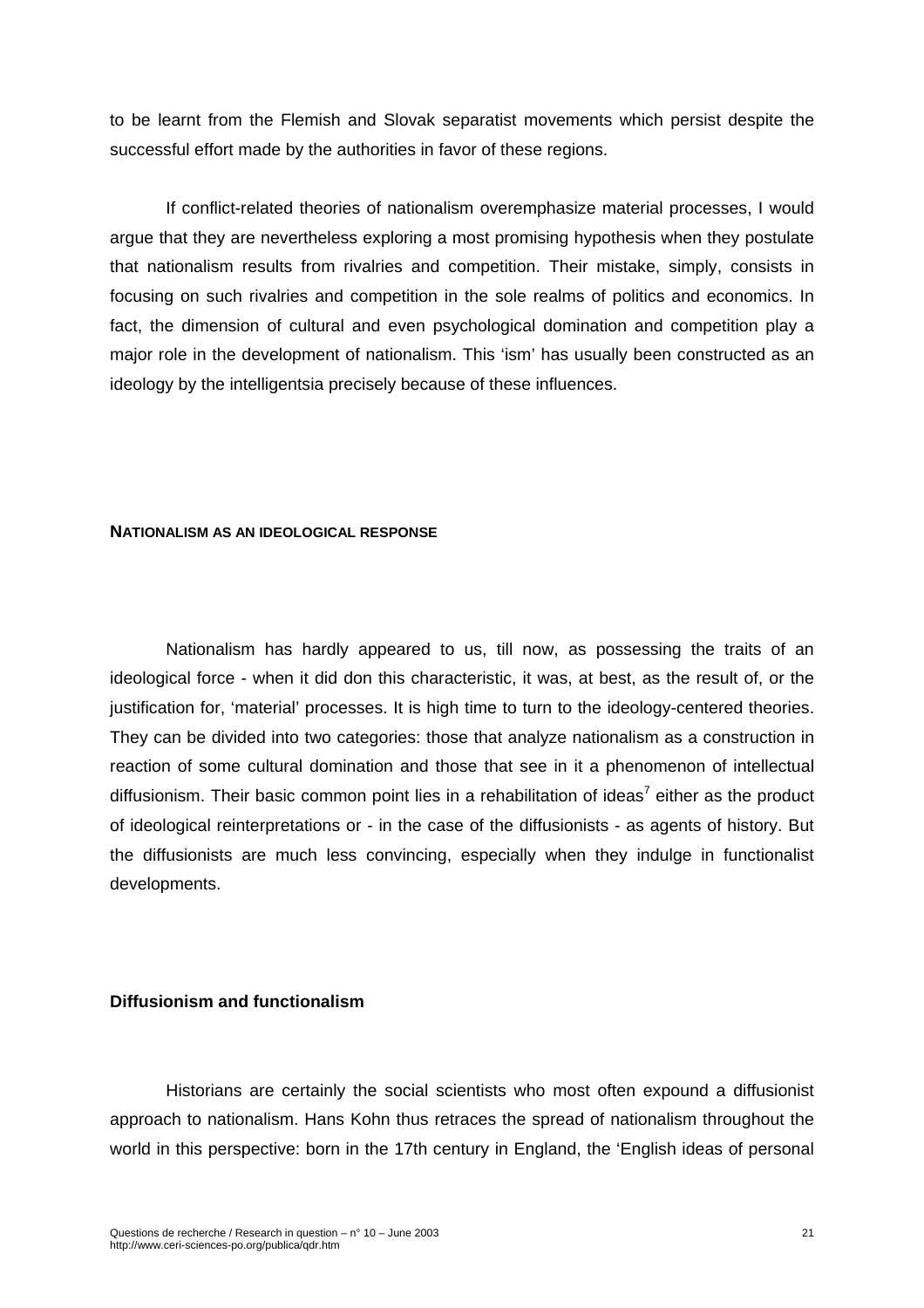to be learnt from the Flemish and Slovak separatist movements which persist despite the successful effort made by the authorities in favor of these regions.

If conflict-related theories of nationalism overemphasize material processes, I would argue that they are nevertheless exploring a most promising hypothesis when they postulate that nationalism results from rivalries and competition. Their mistake, simply, consists in focusing on such rivalries and competition in the sole realms of politics and economics. In fact, the dimension of cultural and even psychological domination and competition play a major role in the development of nationalism. This 'ism' has usually been constructed as an ideology by the intelligentsia precisely because of these influences.

## **NATIONALISM AS AN IDEOLOGICAL RESPONSE**

 Nationalism has hardly appeared to us, till now, as possessing the traits of an ideological force - when it did don this characteristic, it was, at best, as the result of, or the justification for, 'material' processes. It is high time to turn to the ideology-centered theories. They can be divided into two categories: those that analyze nationalism as a construction in reaction of some cultural domination and those that see in it a phenomenon of intellectual diffusionism. Their basic common point lies in a rehabilitation of ideas<sup>[7](#page-21-0)</sup> either as the product of ideological reinterpretations or - in the case of the diffusionists - as agents of history. But the diffusionists are much less convincing, especially when they indulge in functionalist developments.

# **Diffusionism and functionalism**

<span id="page-21-0"></span> Historians are certainly the social scientists who most often expound a diffusionist approach to nationalism. Hans Kohn thus retraces the spread of nationalism throughout the world in this perspective: born in the 17th century in England, the 'English ideas of personal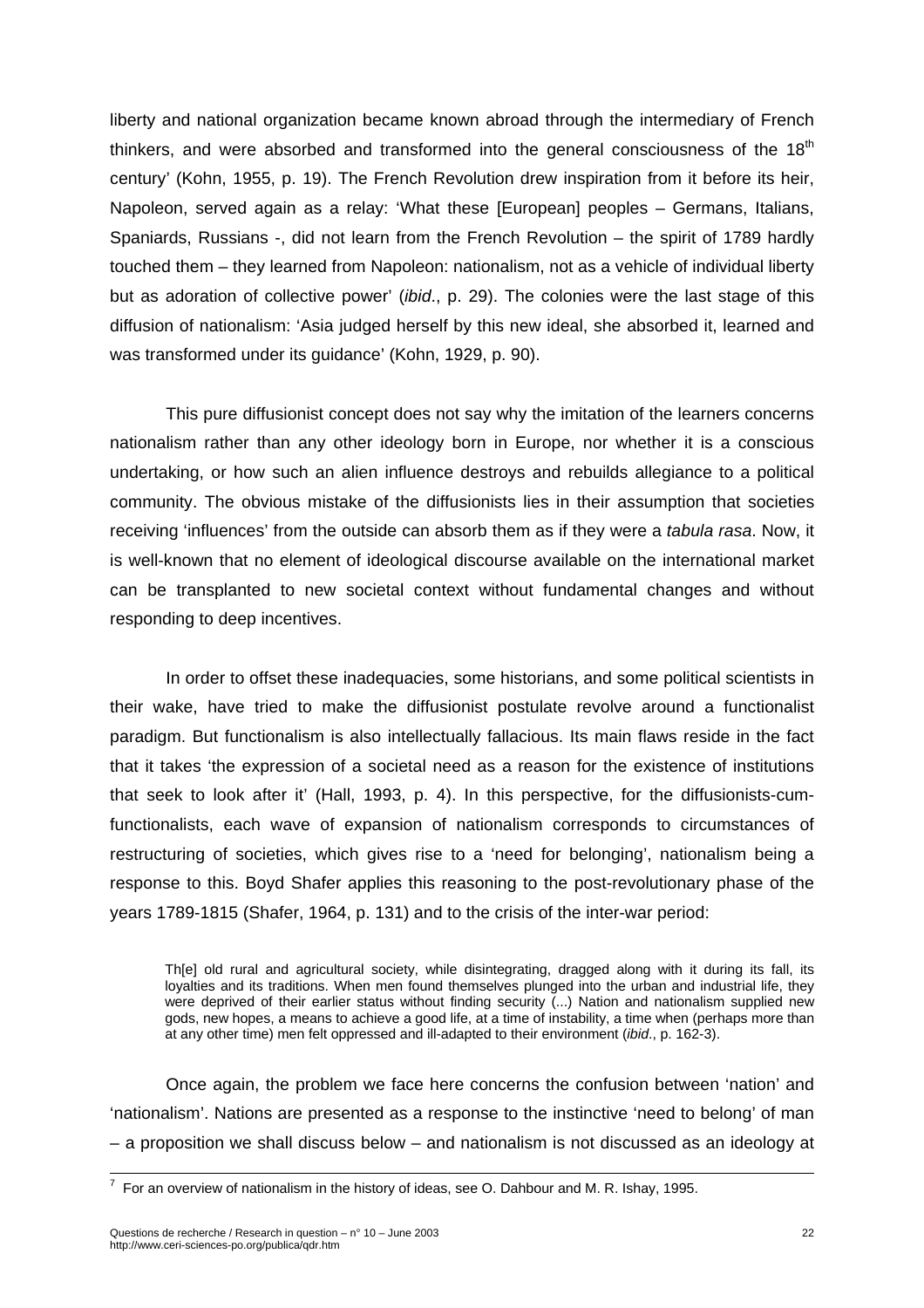liberty and national organization became known abroad through the intermediary of French thinkers, and were absorbed and transformed into the general consciousness of the  $18<sup>th</sup>$ century' (Kohn, 1955, p. 19). The French Revolution drew inspiration from it before its heir, Napoleon, served again as a relay: 'What these [European] peoples – Germans, Italians, Spaniards, Russians -, did not learn from the French Revolution – the spirit of 1789 hardly touched them – they learned from Napoleon: nationalism, not as a vehicle of individual liberty but as adoration of collective power' (*ibid*., p. 29). The colonies were the last stage of this diffusion of nationalism: 'Asia judged herself by this new ideal, she absorbed it, learned and was transformed under its guidance' (Kohn, 1929, p. 90).

 This pure diffusionist concept does not say why the imitation of the learners concerns nationalism rather than any other ideology born in Europe, nor whether it is a conscious undertaking, or how such an alien influence destroys and rebuilds allegiance to a political community. The obvious mistake of the diffusionists lies in their assumption that societies receiving 'influences' from the outside can absorb them as if they were a *tabula rasa*. Now, it is well-known that no element of ideological discourse available on the international market can be transplanted to new societal context without fundamental changes and without responding to deep incentives.

In order to offset these inadequacies, some historians, and some political scientists in their wake, have tried to make the diffusionist postulate revolve around a functionalist paradigm. But functionalism is also intellectually fallacious. Its main flaws reside in the fact that it takes 'the expression of a societal need as a reason for the existence of institutions that seek to look after it' (Hall, 1993, p. 4). In this perspective, for the diffusionists-cumfunctionalists, each wave of expansion of nationalism corresponds to circumstances of restructuring of societies, which gives rise to a 'need for belonging', nationalism being a response to this. Boyd Shafer applies this reasoning to the post-revolutionary phase of the years 1789-1815 (Shafer, 1964, p. 131) and to the crisis of the inter-war period:

Th[e] old rural and agricultural society, while disintegrating, dragged along with it during its fall, its loyalties and its traditions. When men found themselves plunged into the urban and industrial life, they were deprived of their earlier status without finding security (...) Nation and nationalism supplied new gods, new hopes, a means to achieve a good life, at a time of instability, a time when (perhaps more than at any other time) men felt oppressed and ill-adapted to their environment (*ibid*., p. 162-3).

 Once again, the problem we face here concerns the confusion between 'nation' and 'nationalism'. Nations are presented as a response to the instinctive 'need to belong' of man – a proposition we shall discuss below – and nationalism is not discussed as an ideology at

7 For an overview of nationalism in the history of ideas, see O. Dahbour and M. R. Ishay, 1995.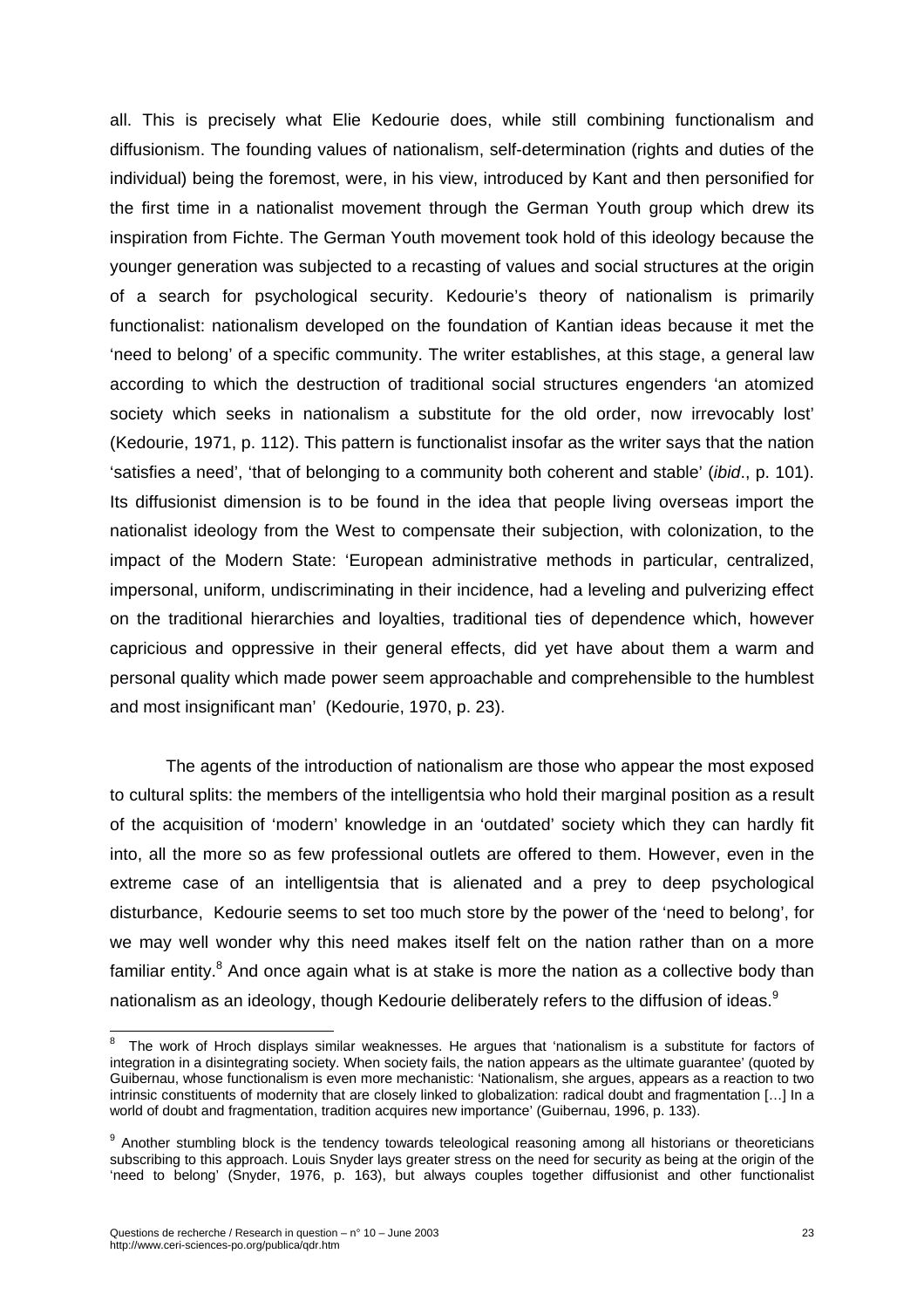all. This is precisely what Elie Kedourie does, while still combining functionalism and diffusionism. The founding values of nationalism, self-determination (rights and duties of the individual) being the foremost, were, in his view, introduced by Kant and then personified for the first time in a nationalist movement through the German Youth group which drew its inspiration from Fichte. The German Youth movement took hold of this ideology because the younger generation was subjected to a recasting of values and social structures at the origin of a search for psychological security. Kedourie's theory of nationalism is primarily functionalist: nationalism developed on the foundation of Kantian ideas because it met the 'need to belong' of a specific community. The writer establishes, at this stage, a general law according to which the destruction of traditional social structures engenders 'an atomized society which seeks in nationalism a substitute for the old order, now irrevocably lost' (Kedourie, 1971, p. 112). This pattern is functionalist insofar as the writer says that the nation 'satisfies a need', 'that of belonging to a community both coherent and stable' (*ibid*., p. 101). Its diffusionist dimension is to be found in the idea that people living overseas import the nationalist ideology from the West to compensate their subjection, with colonization, to the impact of the Modern State: 'European administrative methods in particular, centralized, impersonal, uniform, undiscriminating in their incidence, had a leveling and pulverizing effect on the traditional hierarchies and loyalties, traditional ties of dependence which, however capricious and oppressive in their general effects, did yet have about them a warm and personal quality which made power seem approachable and comprehensible to the humblest and most insignificant man' (Kedourie, 1970, p. 23).

 The agents of the introduction of nationalism are those who appear the most exposed to cultural splits: the members of the intelligentsia who hold their marginal position as a result of the acquisition of 'modern' knowledge in an 'outdated' society which they can hardly fit into, all the more so as few professional outlets are offered to them. However, even in the extreme case of an intelligentsia that is alienated and a prey to deep psychological disturbance, Kedourie seems to set too much store by the power of the 'need to belong', for we may well wonder why this need makes itself felt on the nation rather than on a more familiar entity.<sup>[8](#page-23-0)</sup> And once again what is at stake is more the nation as a collective body than nationalism as an ideology, though Kedourie deliberately refers to the diffusion of ideas. $9$ 

<span id="page-23-0"></span>The work of Hroch displays similar weaknesses. He argues that 'nationalism is a substitute for factors of integration in a disintegrating society. When society fails, the nation appears as the ultimate guarantee' (quoted by Guibernau, whose functionalism is even more mechanistic: 'Nationalism, she argues, appears as a reaction to two intrinsic constituents of modernity that are closely linked to globalization: radical doubt and fragmentation […] In a world of doubt and fragmentation, tradition acquires new importance' (Guibernau, 1996, p. 133).

<span id="page-23-1"></span><sup>&</sup>lt;sup>9</sup> Another stumbling block is the tendency towards teleological reasoning among all historians or theoreticians subscribing to this approach. Louis Snyder lays greater stress on the need for security as being at the origin of the 'need to belong' (Snyder, 1976, p. 163), but always couples together diffusionist and other functionalist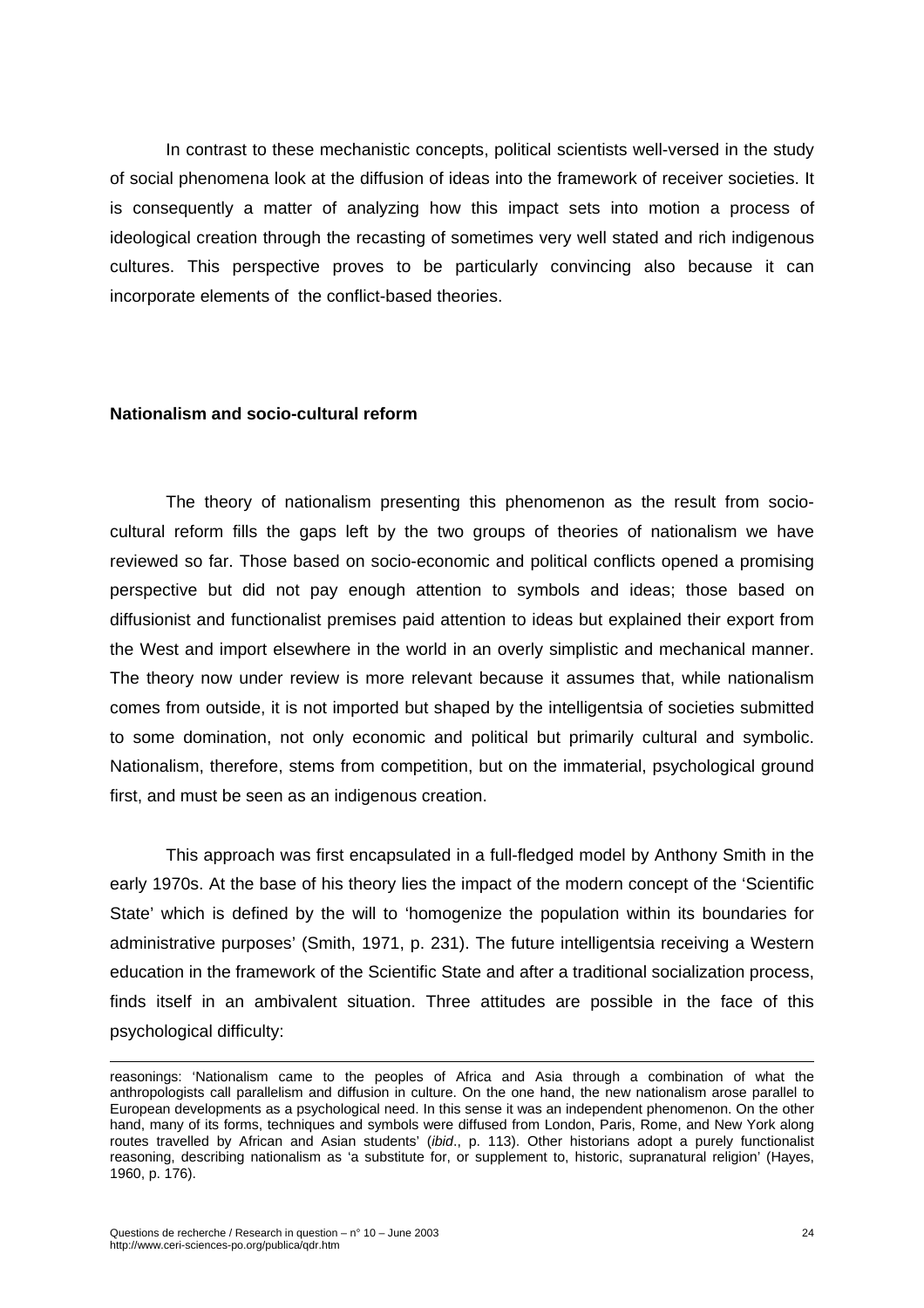In contrast to these mechanistic concepts, political scientists well-versed in the study of social phenomena look at the diffusion of ideas into the framework of receiver societies. It is consequently a matter of analyzing how this impact sets into motion a process of ideological creation through the recasting of sometimes very well stated and rich indigenous cultures. This perspective proves to be particularly convincing also because it can incorporate elements of the conflict-based theories.

## **Nationalism and socio-cultural reform**

 The theory of nationalism presenting this phenomenon as the result from sociocultural reform fills the gaps left by the two groups of theories of nationalism we have reviewed so far. Those based on socio-economic and political conflicts opened a promising perspective but did not pay enough attention to symbols and ideas; those based on diffusionist and functionalist premises paid attention to ideas but explained their export from the West and import elsewhere in the world in an overly simplistic and mechanical manner. The theory now under review is more relevant because it assumes that, while nationalism comes from outside, it is not imported but shaped by the intelligentsia of societies submitted to some domination, not only economic and political but primarily cultural and symbolic. Nationalism, therefore, stems from competition, but on the immaterial, psychological ground first, and must be seen as an indigenous creation.

This approach was first encapsulated in a full-fledged model by Anthony Smith in the early 1970s. At the base of his theory lies the impact of the modern concept of the 'Scientific State' which is defined by the will to 'homogenize the population within its boundaries for administrative purposes' (Smith, 1971, p. 231). The future intelligentsia receiving a Western education in the framework of the Scientific State and after a traditional socialization process, finds itself in an ambivalent situation. Three attitudes are possible in the face of this psychological difficulty:

1

reasonings: 'Nationalism came to the peoples of Africa and Asia through a combination of what the anthropologists call parallelism and diffusion in culture. On the one hand, the new nationalism arose parallel to European developments as a psychological need. In this sense it was an independent phenomenon. On the other hand, many of its forms, techniques and symbols were diffused from London, Paris, Rome, and New York along routes travelled by African and Asian students' (*ibid*., p. 113). Other historians adopt a purely functionalist reasoning, describing nationalism as 'a substitute for, or supplement to, historic, supranatural religion' (Hayes, 1960, p. 176).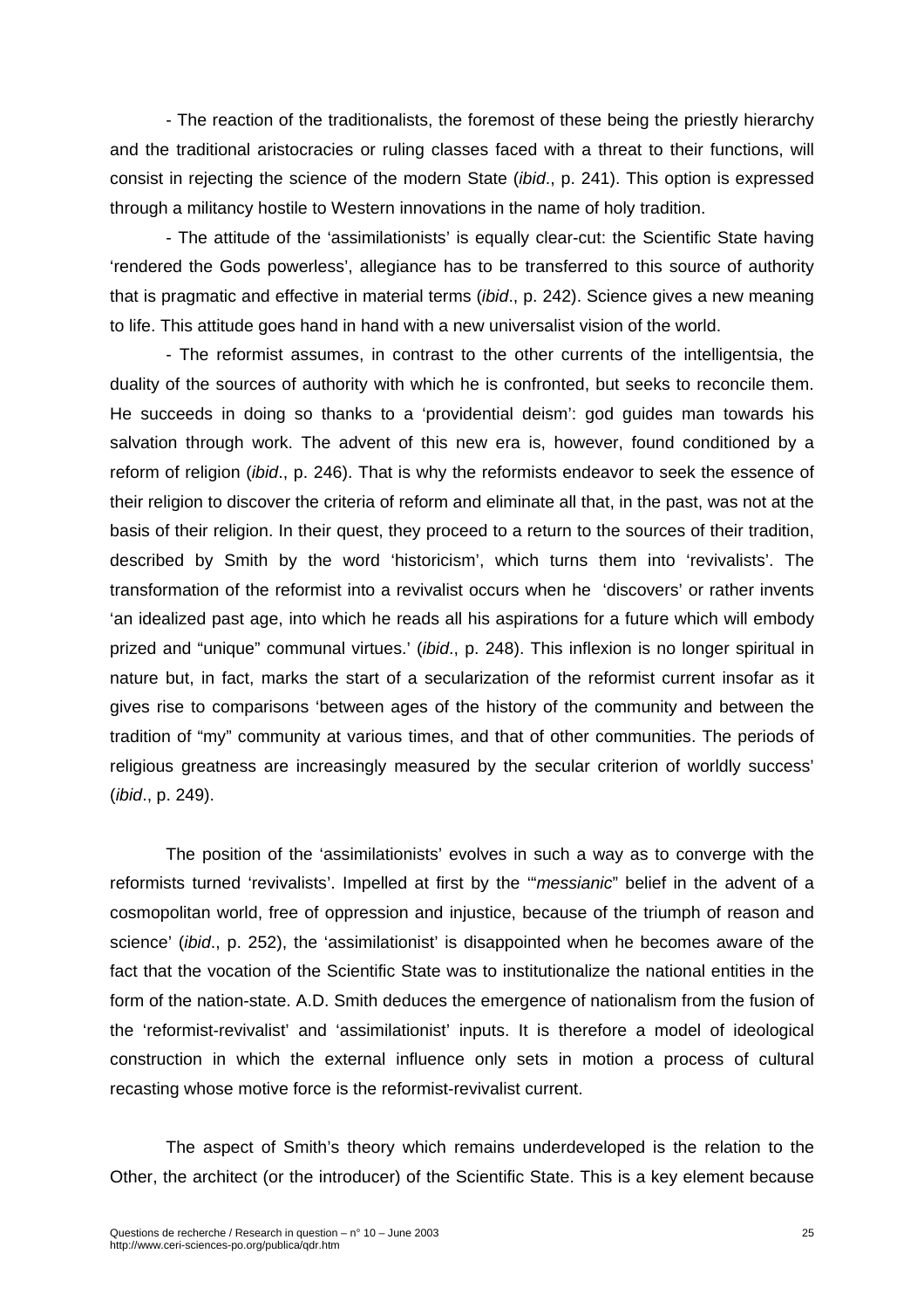- The reaction of the traditionalists, the foremost of these being the priestly hierarchy and the traditional aristocracies or ruling classes faced with a threat to their functions, will consist in rejecting the science of the modern State (*ibid*., p. 241). This option is expressed through a militancy hostile to Western innovations in the name of holy tradition.

 - The attitude of the 'assimilationists' is equally clear-cut: the Scientific State having 'rendered the Gods powerless', allegiance has to be transferred to this source of authority that is pragmatic and effective in material terms (*ibid*., p. 242). Science gives a new meaning to life. This attitude goes hand in hand with a new universalist vision of the world.

 - The reformist assumes, in contrast to the other currents of the intelligentsia, the duality of the sources of authority with which he is confronted, but seeks to reconcile them. He succeeds in doing so thanks to a 'providential deism': god guides man towards his salvation through work. The advent of this new era is, however, found conditioned by a reform of religion (*ibid*., p. 246). That is why the reformists endeavor to seek the essence of their religion to discover the criteria of reform and eliminate all that, in the past, was not at the basis of their religion. In their quest, they proceed to a return to the sources of their tradition, described by Smith by the word 'historicism', which turns them into 'revivalists'. The transformation of the reformist into a revivalist occurs when he 'discovers' or rather invents 'an idealized past age, into which he reads all his aspirations for a future which will embody prized and "unique" communal virtues.' (*ibid*., p. 248). This inflexion is no longer spiritual in nature but, in fact, marks the start of a secularization of the reformist current insofar as it gives rise to comparisons 'between ages of the history of the community and between the tradition of "my" community at various times, and that of other communities. The periods of religious greatness are increasingly measured by the secular criterion of worldly success' (*ibid*., p. 249).

 The position of the 'assimilationists' evolves in such a way as to converge with the reformists turned 'revivalists'. Impelled at first by the '"*messianic*" belief in the advent of a cosmopolitan world, free of oppression and injustice, because of the triumph of reason and science' (*ibid*., p. 252), the 'assimilationist' is disappointed when he becomes aware of the fact that the vocation of the Scientific State was to institutionalize the national entities in the form of the nation-state. A.D. Smith deduces the emergence of nationalism from the fusion of the 'reformist-revivalist' and 'assimilationist' inputs. It is therefore a model of ideological construction in which the external influence only sets in motion a process of cultural recasting whose motive force is the reformist-revivalist current.

 The aspect of Smith's theory which remains underdeveloped is the relation to the Other, the architect (or the introducer) of the Scientific State. This is a key element because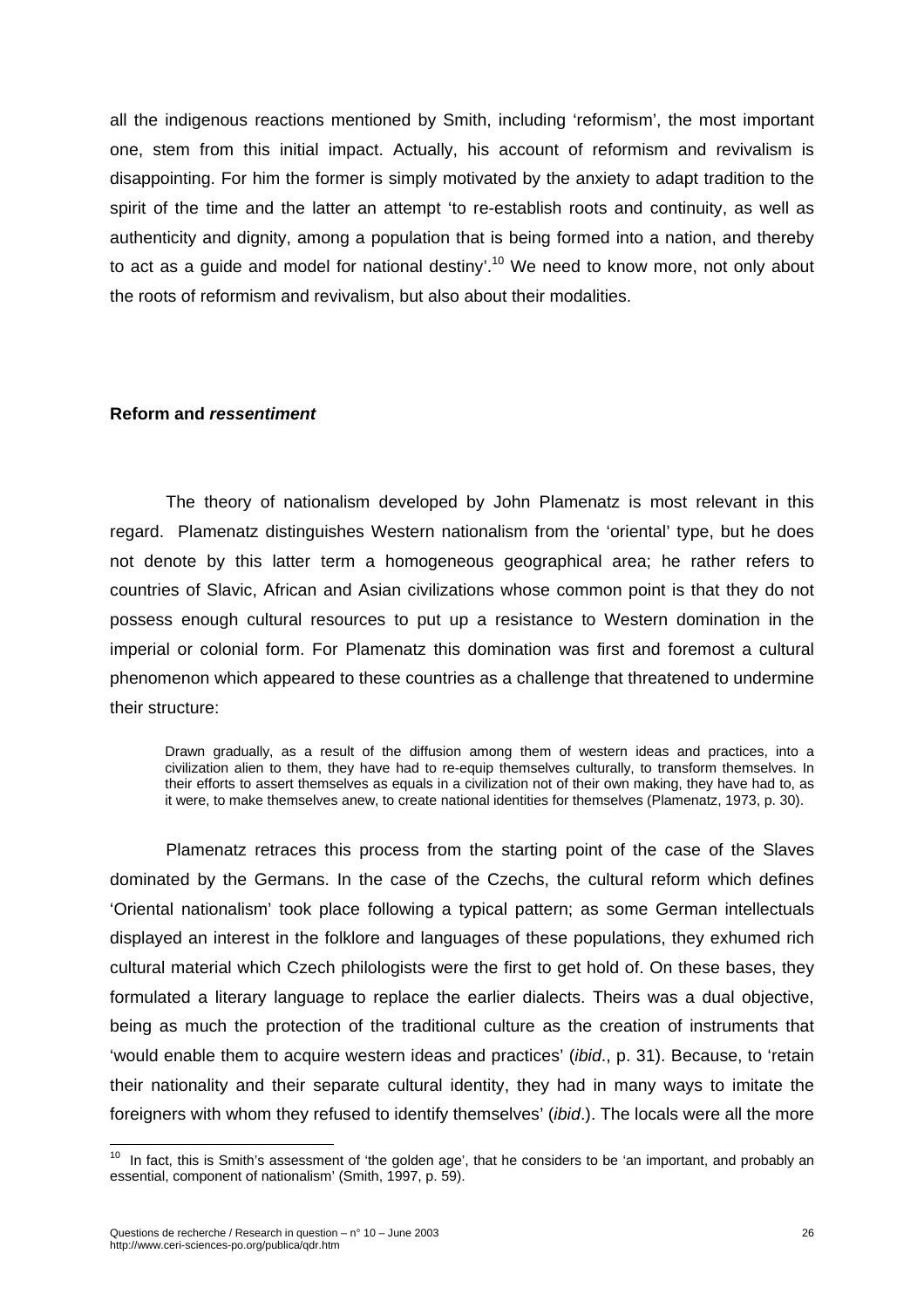all the indigenous reactions mentioned by Smith, including 'reformism', the most important one, stem from this initial impact. Actually, his account of reformism and revivalism is disappointing. For him the former is simply motivated by the anxiety to adapt tradition to the spirit of the time and the latter an attempt 'to re-establish roots and continuity, as well as authenticity and dignity, among a population that is being formed into a nation, and thereby to act as a guide and model for national destiny'.<sup>10</sup> We need to know more, not only about the roots of reformism and revivalism, but also about their modalities.

## **Reform and** *ressentiment*

The theory of nationalism developed by John Plamenatz is most relevant in this regard. Plamenatz distinguishes Western nationalism from the 'oriental' type, but he does not denote by this latter term a homogeneous geographical area; he rather refers to countries of Slavic, African and Asian civilizations whose common point is that they do not possess enough cultural resources to put up a resistance to Western domination in the imperial or colonial form. For Plamenatz this domination was first and foremost a cultural phenomenon which appeared to these countries as a challenge that threatened to undermine their structure:

Drawn gradually, as a result of the diffusion among them of western ideas and practices, into a civilization alien to them, they have had to re-equip themselves culturally, to transform themselves. In their efforts to assert themselves as equals in a civilization not of their own making, they have had to, as it were, to make themselves anew, to create national identities for themselves (Plamenatz, 1973, p. 30).

 Plamenatz retraces this process from the starting point of the case of the Slaves dominated by the Germans. In the case of the Czechs, the cultural reform which defines 'Oriental nationalism' took place following a typical pattern; as some German intellectuals displayed an interest in the folklore and languages of these populations, they exhumed rich cultural material which Czech philologists were the first to get hold of. On these bases, they formulated a literary language to replace the earlier dialects. Theirs was a dual objective, being as much the protection of the traditional culture as the creation of instruments that 'would enable them to acquire western ideas and practices' (*ibid*., p. 31). Because, to 'retain their nationality and their separate cultural identity, they had in many ways to imitate the foreigners with whom they refused to identify themselves' (*ibid*.). The locals were all the more

-

<span id="page-26-0"></span> $10$  In fact, this is Smith's assessment of 'the golden age', that he considers to be 'an important, and probably an essential, component of nationalism' (Smith, 1997, p. 59).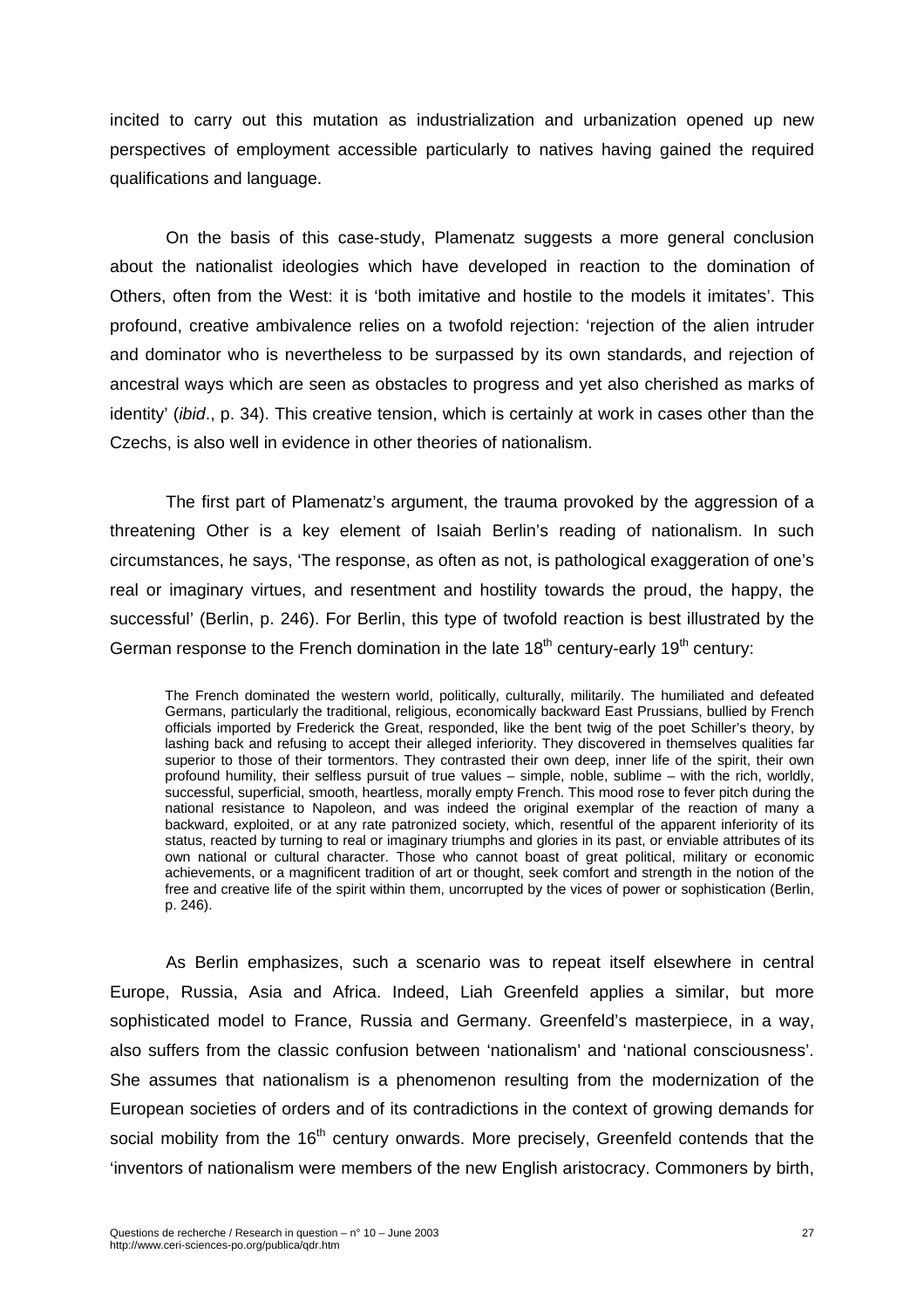incited to carry out this mutation as industrialization and urbanization opened up new perspectives of employment accessible particularly to natives having gained the required qualifications and language.

 On the basis of this case-study, Plamenatz suggests a more general conclusion about the nationalist ideologies which have developed in reaction to the domination of Others, often from the West: it is 'both imitative and hostile to the models it imitates'. This profound, creative ambivalence relies on a twofold rejection: 'rejection of the alien intruder and dominator who is nevertheless to be surpassed by its own standards, and rejection of ancestral ways which are seen as obstacles to progress and yet also cherished as marks of identity' (*ibid*., p. 34). This creative tension, which is certainly at work in cases other than the Czechs, is also well in evidence in other theories of nationalism.

The first part of Plamenatz's argument, the trauma provoked by the aggression of a threatening Other is a key element of Isaiah Berlin's reading of nationalism. In such circumstances, he says, 'The response, as often as not, is pathological exaggeration of one's real or imaginary virtues, and resentment and hostility towards the proud, the happy, the successful' (Berlin, p. 246). For Berlin, this type of twofold reaction is best illustrated by the German response to the French domination in the late  $18<sup>th</sup>$  century-early  $19<sup>th</sup>$  century:

The French dominated the western world, politically, culturally, militarily. The humiliated and defeated Germans, particularly the traditional, religious, economically backward East Prussians, bullied by French officials imported by Frederick the Great, responded, like the bent twig of the poet Schiller's theory, by lashing back and refusing to accept their alleged inferiority. They discovered in themselves qualities far superior to those of their tormentors. They contrasted their own deep, inner life of the spirit, their own profound humility, their selfless pursuit of true values – simple, noble, sublime – with the rich, worldly, successful, superficial, smooth, heartless, morally empty French. This mood rose to fever pitch during the national resistance to Napoleon, and was indeed the original exemplar of the reaction of many a backward, exploited, or at any rate patronized society, which, resentful of the apparent inferiority of its status, reacted by turning to real or imaginary triumphs and glories in its past, or enviable attributes of its own national or cultural character. Those who cannot boast of great political, military or economic achievements, or a magnificent tradition of art or thought, seek comfort and strength in the notion of the free and creative life of the spirit within them, uncorrupted by the vices of power or sophistication (Berlin, p. 246).

As Berlin emphasizes, such a scenario was to repeat itself elsewhere in central Europe, Russia, Asia and Africa. Indeed, Liah Greenfeld applies a similar, but more sophisticated model to France, Russia and Germany. Greenfeld's masterpiece, in a way, also suffers from the classic confusion between 'nationalism' and 'national consciousness'. She assumes that nationalism is a phenomenon resulting from the modernization of the European societies of orders and of its contradictions in the context of growing demands for social mobility from the  $16<sup>th</sup>$  century onwards. More precisely, Greenfeld contends that the 'inventors of nationalism were members of the new English aristocracy. Commoners by birth,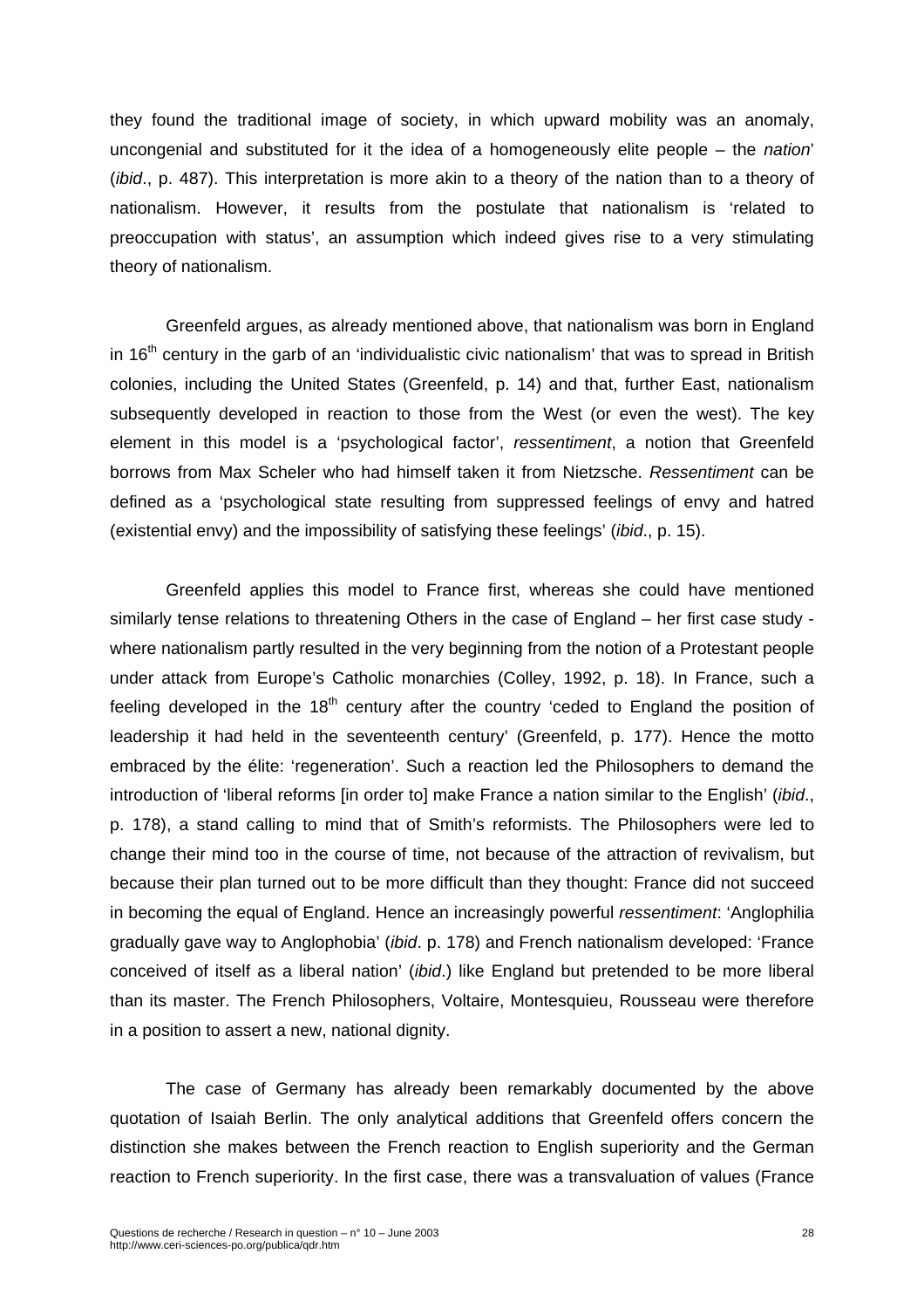they found the traditional image of society, in which upward mobility was an anomaly, uncongenial and substituted for it the idea of a homogeneously elite people – the *nation*' (*ibid*., p. 487). This interpretation is more akin to a theory of the nation than to a theory of nationalism. However, it results from the postulate that nationalism is 'related to preoccupation with status', an assumption which indeed gives rise to a very stimulating theory of nationalism.

Greenfeld argues, as already mentioned above, that nationalism was born in England in  $16<sup>th</sup>$  century in the garb of an 'individualistic civic nationalism' that was to spread in British colonies, including the United States (Greenfeld, p. 14) and that, further East, nationalism subsequently developed in reaction to those from the West (or even the west). The key element in this model is a 'psychological factor', *ressentiment*, a notion that Greenfeld borrows from Max Scheler who had himself taken it from Nietzsche. *Ressentiment* can be defined as a 'psychological state resulting from suppressed feelings of envy and hatred (existential envy) and the impossibility of satisfying these feelings' (*ibid*., p. 15).

Greenfeld applies this model to France first, whereas she could have mentioned similarly tense relations to threatening Others in the case of England – her first case study where nationalism partly resulted in the very beginning from the notion of a Protestant people under attack from Europe's Catholic monarchies (Colley, 1992, p. 18). In France, such a feeling developed in the  $18<sup>th</sup>$  century after the country 'ceded to England the position of leadership it had held in the seventeenth century' (Greenfeld, p. 177). Hence the motto embraced by the élite: 'regeneration'. Such a reaction led the Philosophers to demand the introduction of 'liberal reforms [in order to] make France a nation similar to the English' (*ibid*., p. 178), a stand calling to mind that of Smith's reformists. The Philosophers were led to change their mind too in the course of time, not because of the attraction of revivalism, but because their plan turned out to be more difficult than they thought: France did not succeed in becoming the equal of England. Hence an increasingly powerful *ressentiment*: 'Anglophilia gradually gave way to Anglophobia' (*ibid*. p. 178) and French nationalism developed: 'France conceived of itself as a liberal nation' (*ibid*.) like England but pretended to be more liberal than its master. The French Philosophers, Voltaire, Montesquieu, Rousseau were therefore in a position to assert a new, national dignity.

The case of Germany has already been remarkably documented by the above quotation of Isaiah Berlin. The only analytical additions that Greenfeld offers concern the distinction she makes between the French reaction to English superiority and the German reaction to French superiority. In the first case, there was a transvaluation of values (France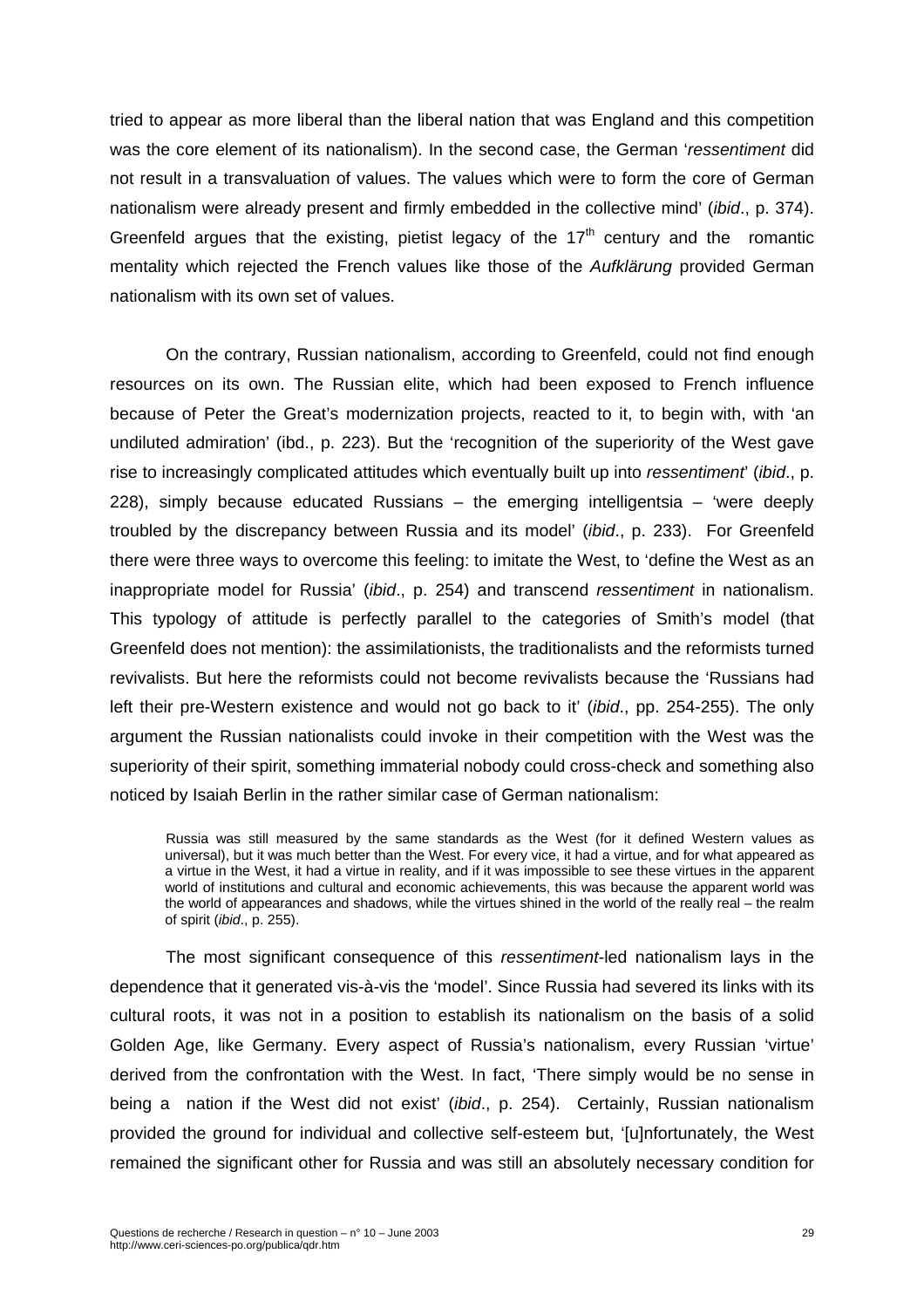tried to appear as more liberal than the liberal nation that was England and this competition was the core element of its nationalism). In the second case, the German '*ressentiment* did not result in a transvaluation of values. The values which were to form the core of German nationalism were already present and firmly embedded in the collective mind' (*ibid*., p. 374). Greenfeld argues that the existing, pietist legacy of the  $17<sup>th</sup>$  century and the romantic mentality which rejected the French values like those of the *Aufklärung* provided German nationalism with its own set of values.

On the contrary, Russian nationalism, according to Greenfeld, could not find enough resources on its own. The Russian elite, which had been exposed to French influence because of Peter the Great's modernization projects, reacted to it, to begin with, with 'an undiluted admiration' (ibd., p. 223). But the 'recognition of the superiority of the West gave rise to increasingly complicated attitudes which eventually built up into *ressentiment*' (*ibid*., p. 228), simply because educated Russians – the emerging intelligentsia – 'were deeply troubled by the discrepancy between Russia and its model' (*ibid*., p. 233). For Greenfeld there were three ways to overcome this feeling: to imitate the West, to 'define the West as an inappropriate model for Russia' (*ibid*., p. 254) and transcend *ressentiment* in nationalism. This typology of attitude is perfectly parallel to the categories of Smith's model (that Greenfeld does not mention): the assimilationists, the traditionalists and the reformists turned revivalists. But here the reformists could not become revivalists because the 'Russians had left their pre-Western existence and would not go back to it' (*ibid*., pp. 254-255). The only argument the Russian nationalists could invoke in their competition with the West was the superiority of their spirit, something immaterial nobody could cross-check and something also noticed by Isaiah Berlin in the rather similar case of German nationalism:

Russia was still measured by the same standards as the West (for it defined Western values as universal), but it was much better than the West. For every vice, it had a virtue, and for what appeared as a virtue in the West, it had a virtue in reality, and if it was impossible to see these virtues in the apparent world of institutions and cultural and economic achievements, this was because the apparent world was the world of appearances and shadows, while the virtues shined in the world of the really real – the realm of spirit (*ibid*., p. 255).

The most significant consequence of this *ressentiment*-led nationalism lays in the dependence that it generated vis-à-vis the 'model'. Since Russia had severed its links with its cultural roots, it was not in a position to establish its nationalism on the basis of a solid Golden Age, like Germany. Every aspect of Russia's nationalism, every Russian 'virtue' derived from the confrontation with the West. In fact, 'There simply would be no sense in being a nation if the West did not exist' (*ibid*., p. 254). Certainly, Russian nationalism provided the ground for individual and collective self-esteem but, '[u]nfortunately, the West remained the significant other for Russia and was still an absolutely necessary condition for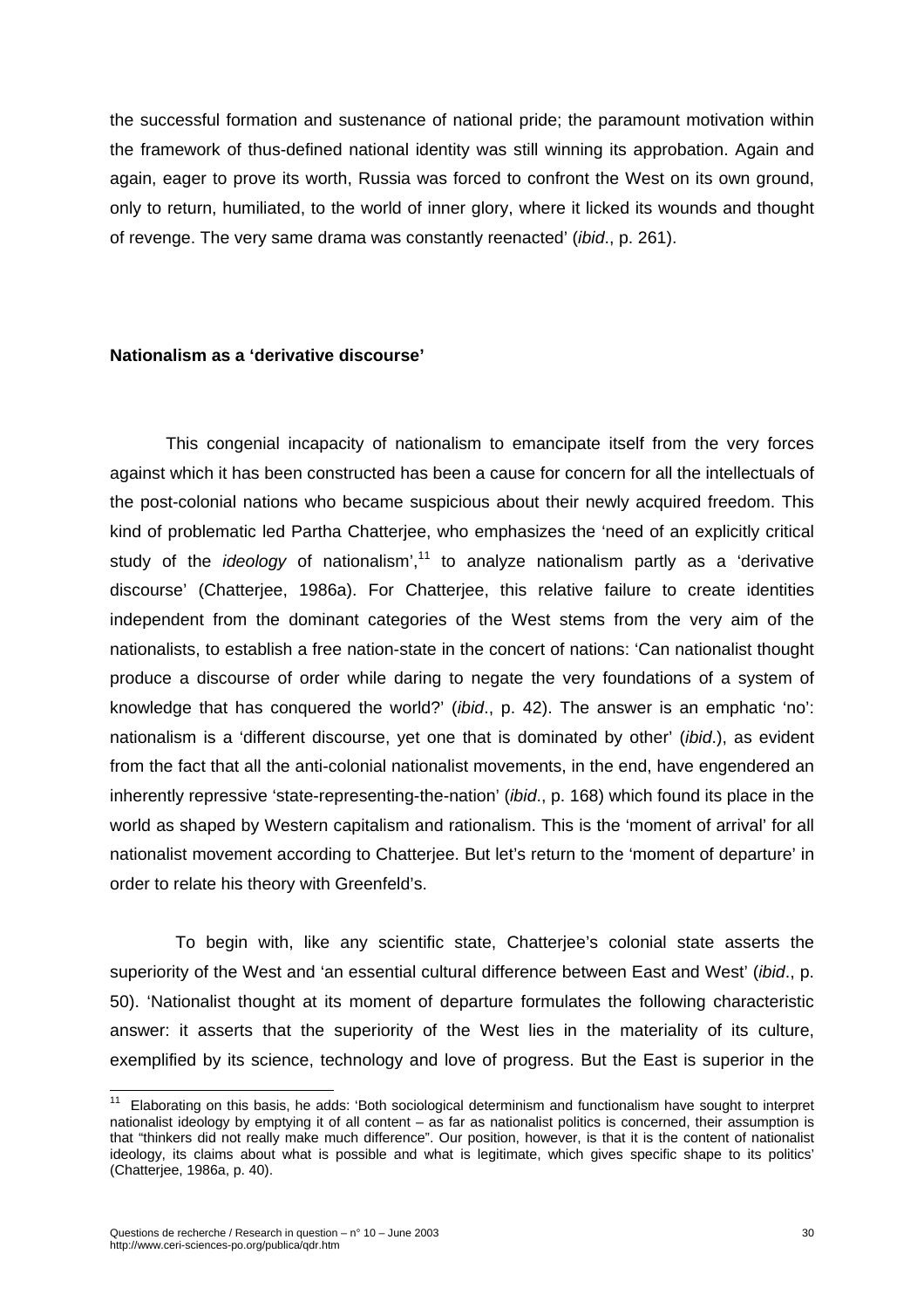the successful formation and sustenance of national pride; the paramount motivation within the framework of thus-defined national identity was still winning its approbation. Again and again, eager to prove its worth, Russia was forced to confront the West on its own ground, only to return, humiliated, to the world of inner glory, where it licked its wounds and thought of revenge. The very same drama was constantly reenacted' (*ibid*., p. 261).

# **Nationalism as a 'derivative discourse'**

This congenial incapacity of nationalism to emancipate itself from the very forces against which it has been constructed has been a cause for concern for all the intellectuals of the post-colonial nations who became suspicious about their newly acquired freedom. This kind of problematic led Partha Chatterjee, who emphasizes the 'need of an explicitly critical study of the *ideology* of nationalism',<sup>11</sup> to analyze nationalism partly as a 'derivative discourse' (Chatterjee, 1986a). For Chatterjee, this relative failure to create identities independent from the dominant categories of the West stems from the very aim of the nationalists, to establish a free nation-state in the concert of nations: 'Can nationalist thought produce a discourse of order while daring to negate the very foundations of a system of knowledge that has conquered the world?' (*ibid*., p. 42). The answer is an emphatic 'no': nationalism is a 'different discourse, yet one that is dominated by other' (*ibid*.), as evident from the fact that all the anti-colonial nationalist movements, in the end, have engendered an inherently repressive 'state-representing-the-nation' (*ibid*., p. 168) which found its place in the world as shaped by Western capitalism and rationalism. This is the 'moment of arrival' for all nationalist movement according to Chatterjee. But let's return to the 'moment of departure' in order to relate his theory with Greenfeld's.

 To begin with, like any scientific state, Chatterjee's colonial state asserts the superiority of the West and 'an essential cultural difference between East and West' (*ibid*., p. 50). 'Nationalist thought at its moment of departure formulates the following characteristic answer: it asserts that the superiority of the West lies in the materiality of its culture, exemplified by its science, technology and love of progress. But the East is superior in the

 $\overline{\phantom{a}}$ 

<span id="page-30-0"></span> $11$  Elaborating on this basis, he adds: 'Both sociological determinism and functionalism have sought to interpret nationalist ideology by emptying it of all content – as far as nationalist politics is concerned, their assumption is that "thinkers did not really make much difference". Our position, however, is that it is the content of nationalist ideology, its claims about what is possible and what is legitimate, which gives specific shape to its politics' (Chatterjee, 1986a, p. 40).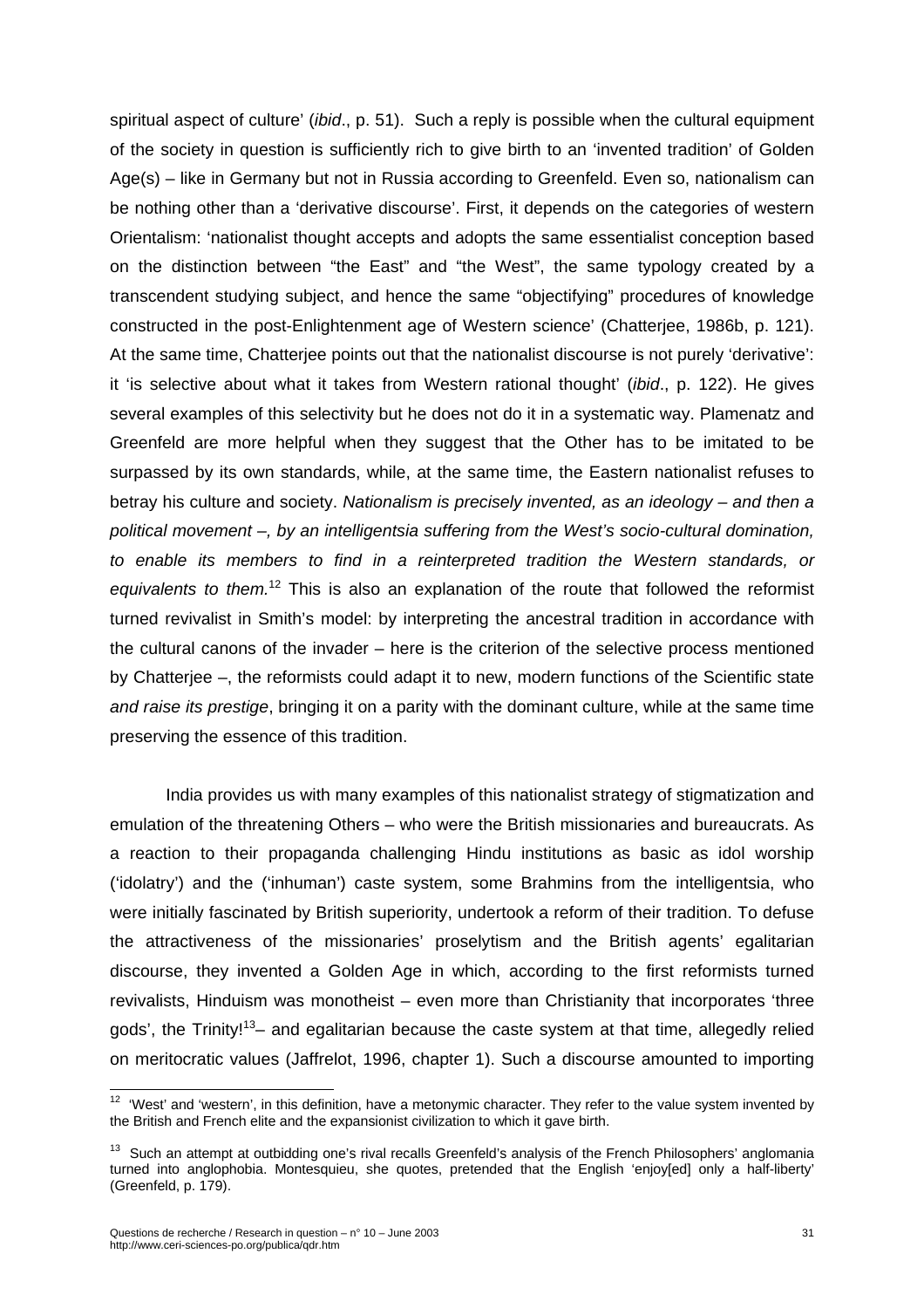spiritual aspect of culture' (*ibid*., p. 51). Such a reply is possible when the cultural equipment of the society in question is sufficiently rich to give birth to an 'invented tradition' of Golden Age(s) – like in Germany but not in Russia according to Greenfeld. Even so, nationalism can be nothing other than a 'derivative discourse'. First, it depends on the categories of western Orientalism: 'nationalist thought accepts and adopts the same essentialist conception based on the distinction between "the East" and "the West", the same typology created by a transcendent studying subject, and hence the same "objectifying" procedures of knowledge constructed in the post-Enlightenment age of Western science' (Chatterjee, 1986b, p. 121). At the same time, Chatterjee points out that the nationalist discourse is not purely 'derivative': it 'is selective about what it takes from Western rational thought' (*ibid*., p. 122). He gives several examples of this selectivity but he does not do it in a systematic way. Plamenatz and Greenfeld are more helpful when they suggest that the Other has to be imitated to be surpassed by its own standards, while, at the same time, the Eastern nationalist refuses to betray his culture and society. *Nationalism is precisely invented, as an ideology – and then a political movement –, by an intelligentsia suffering from the West's socio-cultural domination, to enable its members to find in a reinterpreted tradition the Western standards, or equivalents to them.*[12](#page-31-0) This is also an explanation of the route that followed the reformist turned revivalist in Smith's model: by interpreting the ancestral tradition in accordance with the cultural canons of the invader – here is the criterion of the selective process mentioned by Chatterjee –, the reformists could adapt it to new, modern functions of the Scientific state *and raise its prestige*, bringing it on a parity with the dominant culture, while at the same time preserving the essence of this tradition.

India provides us with many examples of this nationalist strategy of stigmatization and emulation of the threatening Others – who were the British missionaries and bureaucrats. As a reaction to their propaganda challenging Hindu institutions as basic as idol worship ('idolatry') and the ('inhuman') caste system, some Brahmins from the intelligentsia, who were initially fascinated by British superiority, undertook a reform of their tradition. To defuse the attractiveness of the missionaries' proselytism and the British agents' egalitarian discourse, they invented a Golden Age in which, according to the first reformists turned revivalists, Hinduism was monotheist – even more than Christianity that incorporates 'three gods', the Trinity!<sup>13</sup>– and egalitarian because the caste system at that time, allegedly relied on meritocratic values (Jaffrelot, 1996, chapter 1). Such a discourse amounted to importing

1

<span id="page-31-0"></span> $12$  'West' and 'western', in this definition, have a metonymic character. They refer to the value system invented by the British and French elite and the expansionist civilization to which it gave birth.

<span id="page-31-1"></span> $13$  Such an attempt at outbidding one's rival recalls Greenfeld's analysis of the French Philosophers' anglomania turned into anglophobia. Montesquieu, she quotes, pretended that the English 'enjoy[ed] only a half-liberty' (Greenfeld, p. 179).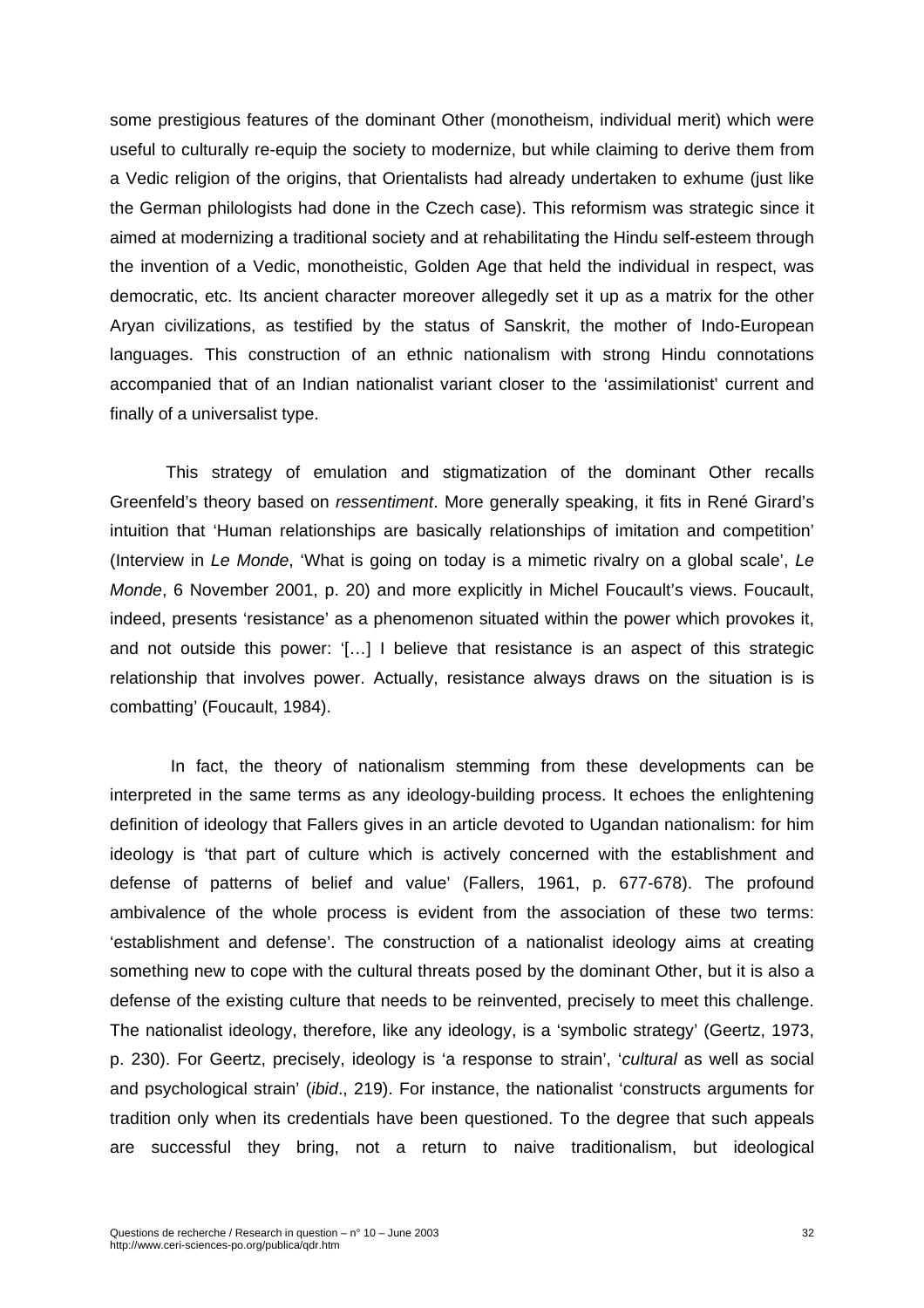some prestigious features of the dominant Other (monotheism, individual merit) which were useful to culturally re-equip the society to modernize, but while claiming to derive them from a Vedic religion of the origins, that Orientalists had already undertaken to exhume (just like the German philologists had done in the Czech case). This reformism was strategic since it aimed at modernizing a traditional society and at rehabilitating the Hindu self-esteem through the invention of a Vedic, monotheistic, Golden Age that held the individual in respect, was democratic, etc. Its ancient character moreover allegedly set it up as a matrix for the other Aryan civilizations, as testified by the status of Sanskrit, the mother of Indo-European languages. This construction of an ethnic nationalism with strong Hindu connotations accompanied that of an Indian nationalist variant closer to the 'assimilationist' current and finally of a universalist type.

This strategy of emulation and stigmatization of the dominant Other recalls Greenfeld's theory based on *ressentiment*. More generally speaking, it fits in René Girard's intuition that 'Human relationships are basically relationships of imitation and competition' (Interview in *Le Monde*, 'What is going on today is a mimetic rivalry on a global scale', *Le Monde*, 6 November 2001, p. 20) and more explicitly in Michel Foucault's views. Foucault, indeed, presents 'resistance' as a phenomenon situated within the power which provokes it, and not outside this power: '[…] I believe that resistance is an aspect of this strategic relationship that involves power. Actually, resistance always draws on the situation is is combatting' (Foucault, 1984).

 In fact, the theory of nationalism stemming from these developments can be interpreted in the same terms as any ideology-building process. It echoes the enlightening definition of ideology that Fallers gives in an article devoted to Ugandan nationalism: for him ideology is 'that part of culture which is actively concerned with the establishment and defense of patterns of belief and value' (Fallers, 1961, p. 677-678). The profound ambivalence of the whole process is evident from the association of these two terms: 'establishment and defense'. The construction of a nationalist ideology aims at creating something new to cope with the cultural threats posed by the dominant Other, but it is also a defense of the existing culture that needs to be reinvented, precisely to meet this challenge. The nationalist ideology, therefore, like any ideology, is a 'symbolic strategy' (Geertz, 1973, p. 230). For Geertz, precisely, ideology is 'a response to strain', '*cultural* as well as social and psychological strain' (*ibid*., 219). For instance, the nationalist 'constructs arguments for tradition only when its credentials have been questioned. To the degree that such appeals are successful they bring, not a return to naive traditionalism, but ideological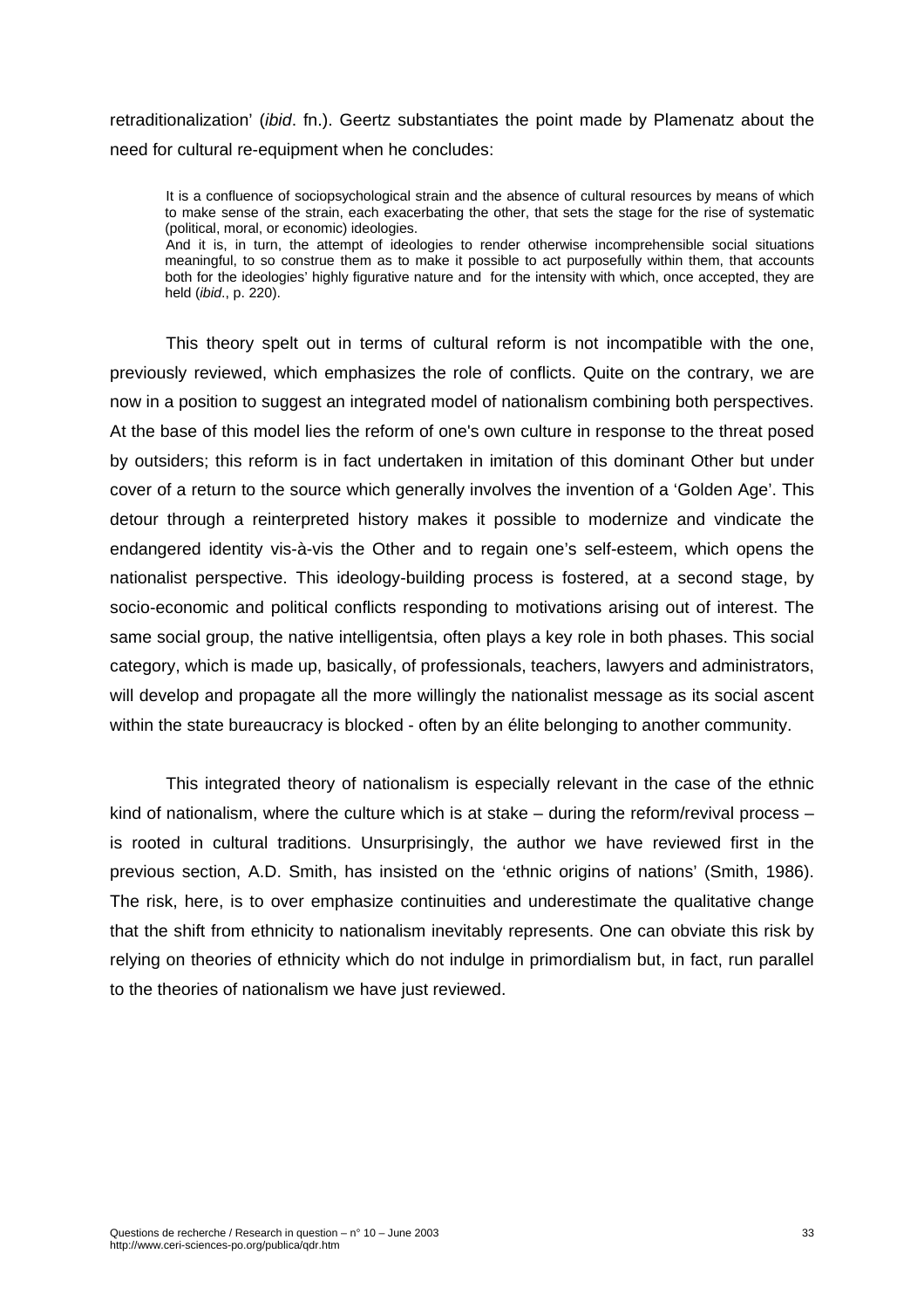retraditionalization' (*ibid*. fn.). Geertz substantiates the point made by Plamenatz about the need for cultural re-equipment when he concludes:

It is a confluence of sociopsychological strain and the absence of cultural resources by means of which to make sense of the strain, each exacerbating the other, that sets the stage for the rise of systematic (political, moral, or economic) ideologies.

And it is, in turn, the attempt of ideologies to render otherwise incomprehensible social situations meaningful, to so construe them as to make it possible to act purposefully within them, that accounts both for the ideologies' highly figurative nature and for the intensity with which, once accepted, they are held (*ibid*., p. 220).

 This theory spelt out in terms of cultural reform is not incompatible with the one, previously reviewed, which emphasizes the role of conflicts. Quite on the contrary, we are now in a position to suggest an integrated model of nationalism combining both perspectives. At the base of this model lies the reform of one's own culture in response to the threat posed by outsiders; this reform is in fact undertaken in imitation of this dominant Other but under cover of a return to the source which generally involves the invention of a 'Golden Age'. This detour through a reinterpreted history makes it possible to modernize and vindicate the endangered identity vis-à-vis the Other and to regain one's self-esteem, which opens the nationalist perspective. This ideology-building process is fostered, at a second stage, by socio-economic and political conflicts responding to motivations arising out of interest. The same social group, the native intelligentsia, often plays a key role in both phases. This social category, which is made up, basically, of professionals, teachers, lawyers and administrators, will develop and propagate all the more willingly the nationalist message as its social ascent within the state bureaucracy is blocked - often by an élite belonging to another community.

This integrated theory of nationalism is especially relevant in the case of the ethnic kind of nationalism, where the culture which is at stake  $-$  during the reform/revival process  $$ is rooted in cultural traditions. Unsurprisingly, the author we have reviewed first in the previous section, A.D. Smith, has insisted on the 'ethnic origins of nations' (Smith, 1986). The risk, here, is to over emphasize continuities and underestimate the qualitative change that the shift from ethnicity to nationalism inevitably represents. One can obviate this risk by relying on theories of ethnicity which do not indulge in primordialism but, in fact, run parallel to the theories of nationalism we have just reviewed.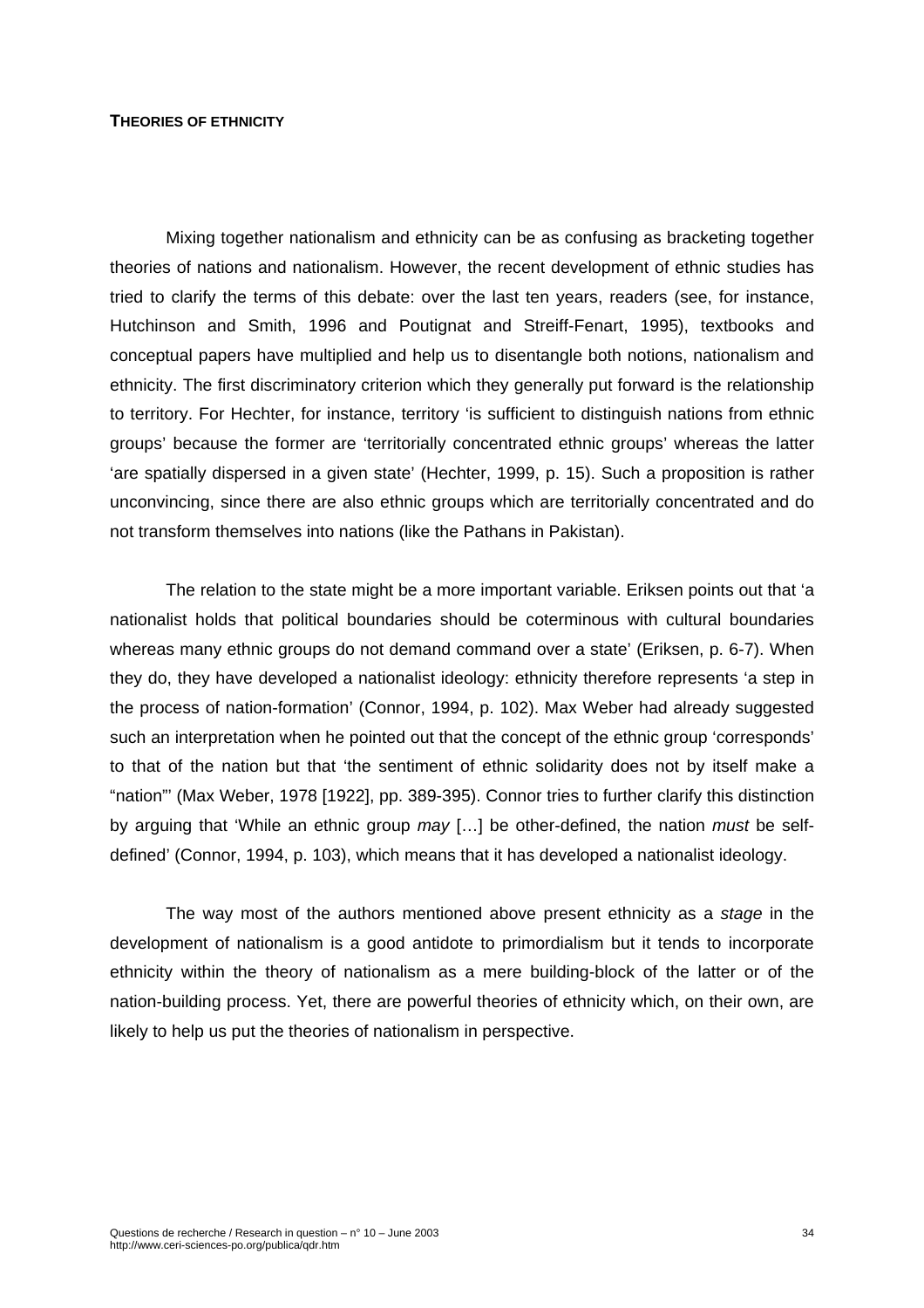## **THEORIES OF ETHNICITY**

 Mixing together nationalism and ethnicity can be as confusing as bracketing together theories of nations and nationalism. However, the recent development of ethnic studies has tried to clarify the terms of this debate: over the last ten years, readers (see, for instance, Hutchinson and Smith, 1996 and Poutignat and Streiff-Fenart, 1995), textbooks and conceptual papers have multiplied and help us to disentangle both notions, nationalism and ethnicity. The first discriminatory criterion which they generally put forward is the relationship to territory. For Hechter, for instance, territory 'is sufficient to distinguish nations from ethnic groups' because the former are 'territorially concentrated ethnic groups' whereas the latter 'are spatially dispersed in a given state' (Hechter, 1999, p. 15). Such a proposition is rather unconvincing, since there are also ethnic groups which are territorially concentrated and do not transform themselves into nations (like the Pathans in Pakistan).

The relation to the state might be a more important variable. Eriksen points out that 'a nationalist holds that political boundaries should be coterminous with cultural boundaries whereas many ethnic groups do not demand command over a state' (Eriksen, p. 6-7). When they do, they have developed a nationalist ideology: ethnicity therefore represents 'a step in the process of nation-formation' (Connor, 1994, p. 102). Max Weber had already suggested such an interpretation when he pointed out that the concept of the ethnic group 'corresponds' to that of the nation but that 'the sentiment of ethnic solidarity does not by itself make a "nation"' (Max Weber, 1978 [1922], pp. 389-395). Connor tries to further clarify this distinction by arguing that 'While an ethnic group *may* […] be other-defined, the nation *must* be selfdefined' (Connor, 1994, p. 103), which means that it has developed a nationalist ideology.

The way most of the authors mentioned above present ethnicity as a *stage* in the development of nationalism is a good antidote to primordialism but it tends to incorporate ethnicity within the theory of nationalism as a mere building-block of the latter or of the nation-building process. Yet, there are powerful theories of ethnicity which, on their own, are likely to help us put the theories of nationalism in perspective.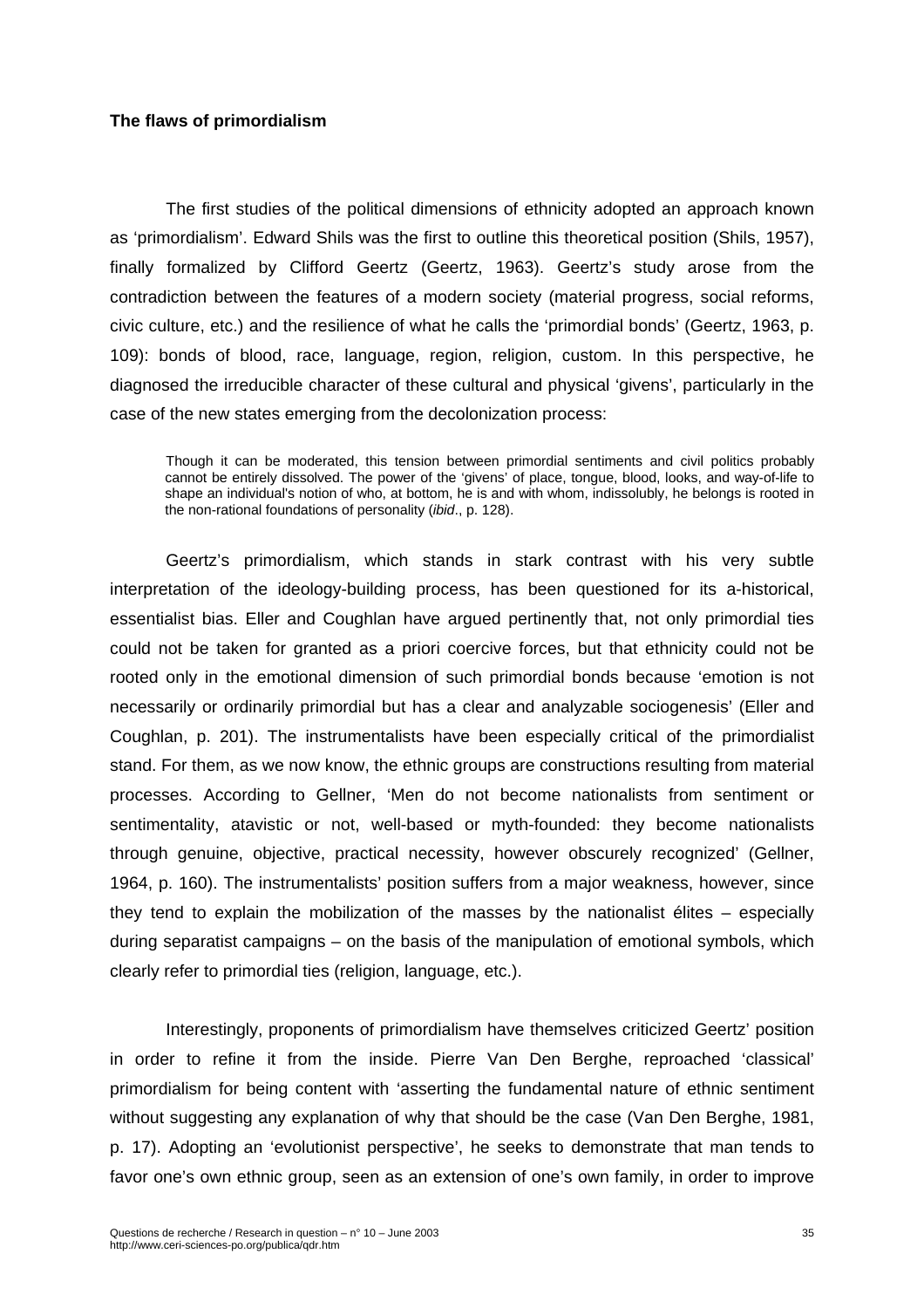# **The flaws of primordialism**

 The first studies of the political dimensions of ethnicity adopted an approach known as 'primordialism'. Edward Shils was the first to outline this theoretical position (Shils, 1957), finally formalized by Clifford Geertz (Geertz, 1963). Geertz's study arose from the contradiction between the features of a modern society (material progress, social reforms, civic culture, etc.) and the resilience of what he calls the 'primordial bonds' (Geertz, 1963, p. 109): bonds of blood, race, language, region, religion, custom. In this perspective, he diagnosed the irreducible character of these cultural and physical 'givens', particularly in the case of the new states emerging from the decolonization process:

Though it can be moderated, this tension between primordial sentiments and civil politics probably cannot be entirely dissolved. The power of the 'givens' of place, tongue, blood, looks, and way-of-life to shape an individual's notion of who, at bottom, he is and with whom, indissolubly, he belongs is rooted in the non-rational foundations of personality (*ibid*., p. 128).

 Geertz's primordialism, which stands in stark contrast with his very subtle interpretation of the ideology-building process, has been questioned for its a-historical, essentialist bias. Eller and Coughlan have argued pertinently that, not only primordial ties could not be taken for granted as a priori coercive forces, but that ethnicity could not be rooted only in the emotional dimension of such primordial bonds because 'emotion is not necessarily or ordinarily primordial but has a clear and analyzable sociogenesis' (Eller and Coughlan, p. 201). The instrumentalists have been especially critical of the primordialist stand. For them, as we now know, the ethnic groups are constructions resulting from material processes. According to Gellner, 'Men do not become nationalists from sentiment or sentimentality, atavistic or not, well-based or myth-founded: they become nationalists through genuine, objective, practical necessity, however obscurely recognized' (Gellner, 1964, p. 160). The instrumentalists' position suffers from a major weakness, however, since they tend to explain the mobilization of the masses by the nationalist élites – especially during separatist campaigns – on the basis of the manipulation of emotional symbols, which clearly refer to primordial ties (religion, language, etc.).

 Interestingly, proponents of primordialism have themselves criticized Geertz' position in order to refine it from the inside. Pierre Van Den Berghe, reproached 'classical' primordialism for being content with 'asserting the fundamental nature of ethnic sentiment without suggesting any explanation of why that should be the case (Van Den Berghe, 1981, p. 17). Adopting an 'evolutionist perspective', he seeks to demonstrate that man tends to favor one's own ethnic group, seen as an extension of one's own family, in order to improve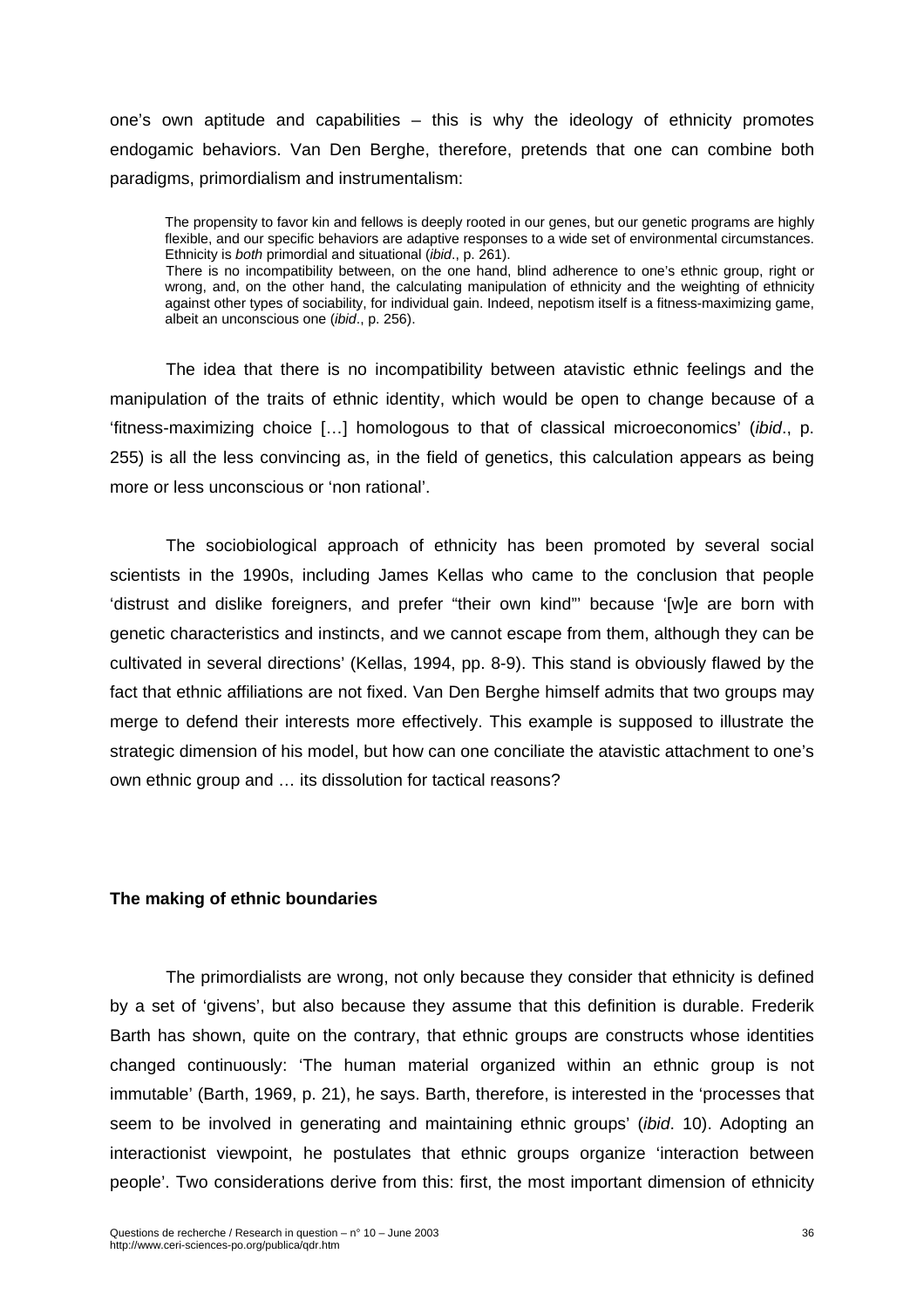one's own aptitude and capabilities – this is why the ideology of ethnicity promotes endogamic behaviors. Van Den Berghe, therefore, pretends that one can combine both paradigms, primordialism and instrumentalism:

The propensity to favor kin and fellows is deeply rooted in our genes, but our genetic programs are highly flexible, and our specific behaviors are adaptive responses to a wide set of environmental circumstances. Ethnicity is *both* primordial and situational (*ibid*., p. 261). There is no incompatibility between, on the one hand, blind adherence to one's ethnic group, right or wrong, and, on the other hand, the calculating manipulation of ethnicity and the weighting of ethnicity against other types of sociability, for individual gain. Indeed, nepotism itself is a fitness-maximizing game, albeit an unconscious one (*ibid*., p. 256).

 The idea that there is no incompatibility between atavistic ethnic feelings and the manipulation of the traits of ethnic identity, which would be open to change because of a 'fitness-maximizing choice […] homologous to that of classical microeconomics' (*ibid*., p. 255) is all the less convincing as, in the field of genetics, this calculation appears as being more or less unconscious or 'non rational'.

 The sociobiological approach of ethnicity has been promoted by several social scientists in the 1990s, including James Kellas who came to the conclusion that people 'distrust and dislike foreigners, and prefer "their own kind"' because '[w]e are born with genetic characteristics and instincts, and we cannot escape from them, although they can be cultivated in several directions' (Kellas, 1994, pp. 8-9). This stand is obviously flawed by the fact that ethnic affiliations are not fixed. Van Den Berghe himself admits that two groups may merge to defend their interests more effectively. This example is supposed to illustrate the strategic dimension of his model, but how can one conciliate the atavistic attachment to one's own ethnic group and … its dissolution for tactical reasons?

# **The making of ethnic boundaries**

 The primordialists are wrong, not only because they consider that ethnicity is defined by a set of 'givens', but also because they assume that this definition is durable. Frederik Barth has shown, quite on the contrary, that ethnic groups are constructs whose identities changed continuously: 'The human material organized within an ethnic group is not immutable' (Barth, 1969, p. 21), he says. Barth, therefore, is interested in the 'processes that seem to be involved in generating and maintaining ethnic groups' (*ibid*. 10). Adopting an interactionist viewpoint, he postulates that ethnic groups organize 'interaction between people'. Two considerations derive from this: first, the most important dimension of ethnicity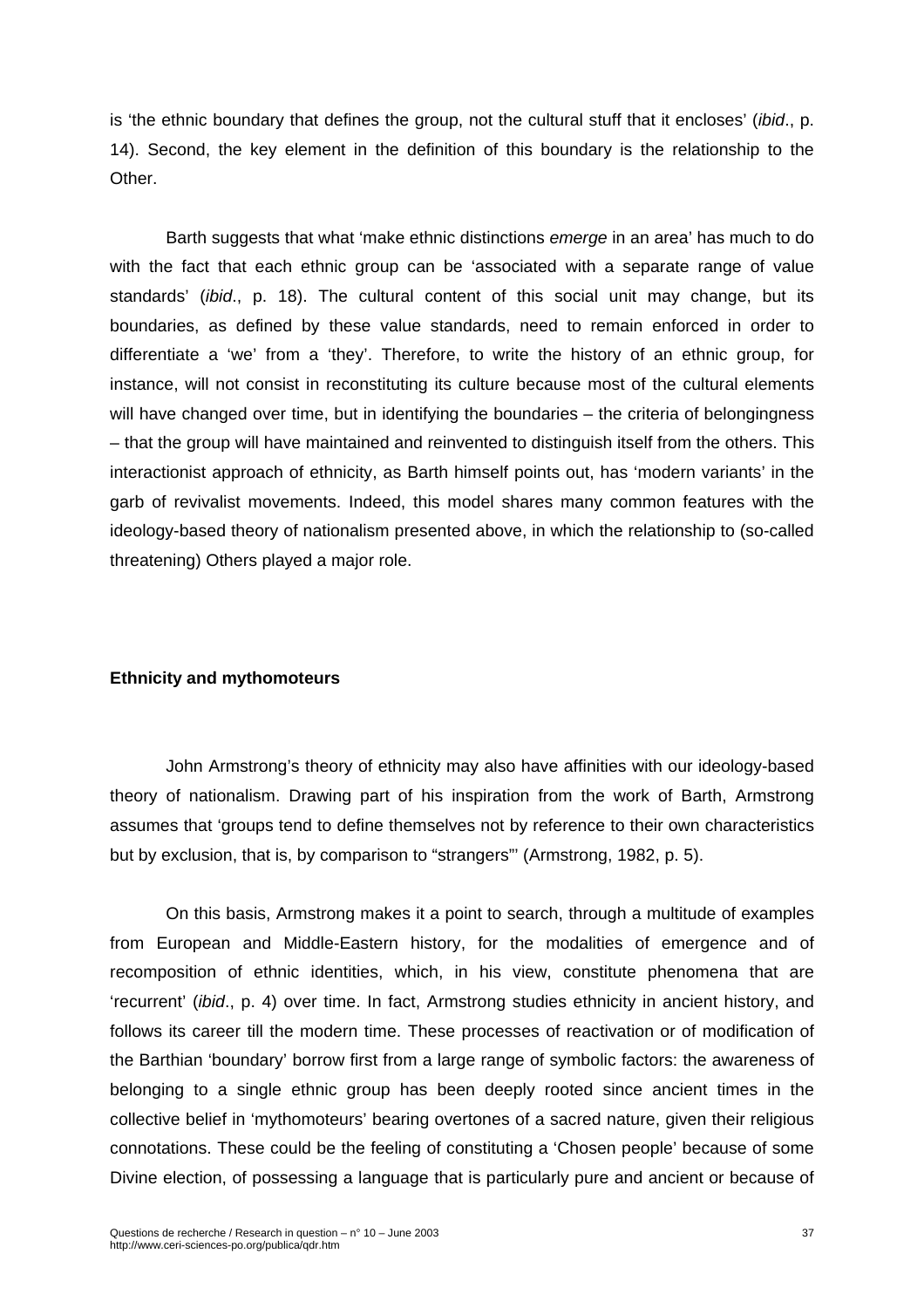is 'the ethnic boundary that defines the group, not the cultural stuff that it encloses' (*ibid*., p. 14). Second, the key element in the definition of this boundary is the relationship to the Other.

 Barth suggests that what 'make ethnic distinctions *emerge* in an area' has much to do with the fact that each ethnic group can be 'associated with a separate range of value standards' (*ibid*., p. 18). The cultural content of this social unit may change, but its boundaries, as defined by these value standards, need to remain enforced in order to differentiate a 'we' from a 'they'. Therefore, to write the history of an ethnic group, for instance, will not consist in reconstituting its culture because most of the cultural elements will have changed over time, but in identifying the boundaries – the criteria of belongingness – that the group will have maintained and reinvented to distinguish itself from the others. This interactionist approach of ethnicity, as Barth himself points out, has 'modern variants' in the garb of revivalist movements. Indeed, this model shares many common features with the ideology-based theory of nationalism presented above, in which the relationship to (so-called threatening) Others played a major role.

# **Ethnicity and mythomoteurs**

 John Armstrong's theory of ethnicity may also have affinities with our ideology-based theory of nationalism. Drawing part of his inspiration from the work of Barth, Armstrong assumes that 'groups tend to define themselves not by reference to their own characteristics but by exclusion, that is, by comparison to "strangers"' (Armstrong, 1982, p. 5).

 On this basis, Armstrong makes it a point to search, through a multitude of examples from European and Middle-Eastern history, for the modalities of emergence and of recomposition of ethnic identities, which, in his view, constitute phenomena that are 'recurrent' (*ibid*., p. 4) over time. In fact, Armstrong studies ethnicity in ancient history, and follows its career till the modern time. These processes of reactivation or of modification of the Barthian 'boundary' borrow first from a large range of symbolic factors: the awareness of belonging to a single ethnic group has been deeply rooted since ancient times in the collective belief in 'mythomoteurs' bearing overtones of a sacred nature, given their religious connotations. These could be the feeling of constituting a 'Chosen people' because of some Divine election, of possessing a language that is particularly pure and ancient or because of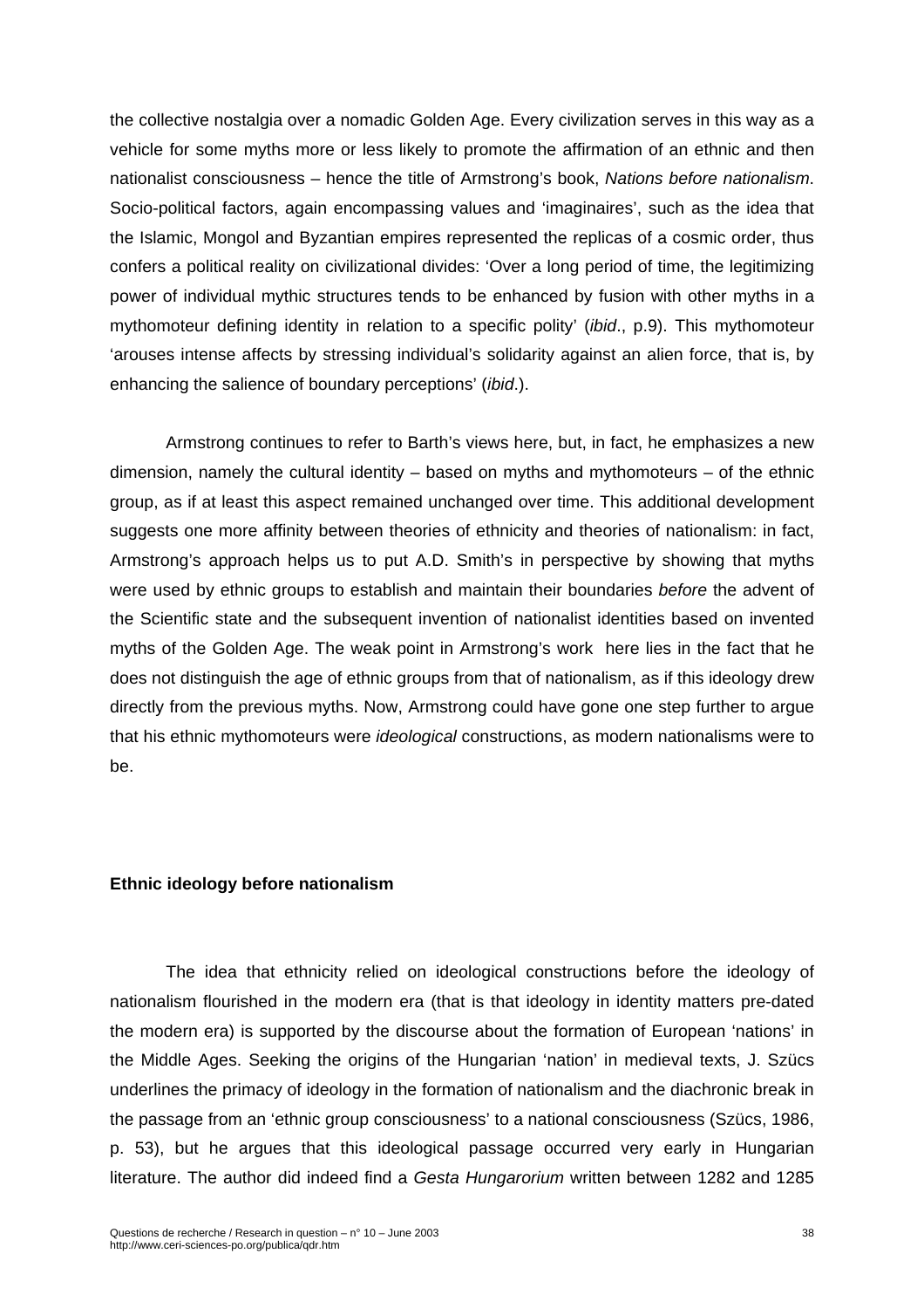the collective nostalgia over a nomadic Golden Age. Every civilization serves in this way as a vehicle for some myths more or less likely to promote the affirmation of an ethnic and then nationalist consciousness – hence the title of Armstrong's book, *Nations before nationalism*. Socio-political factors, again encompassing values and 'imaginaires', such as the idea that the Islamic, Mongol and Byzantian empires represented the replicas of a cosmic order, thus confers a political reality on civilizational divides: 'Over a long period of time, the legitimizing power of individual mythic structures tends to be enhanced by fusion with other myths in a mythomoteur defining identity in relation to a specific polity' (*ibid*., p.9). This mythomoteur 'arouses intense affects by stressing individual's solidarity against an alien force, that is, by enhancing the salience of boundary perceptions' (*ibid*.).

 Armstrong continues to refer to Barth's views here, but, in fact, he emphasizes a new dimension, namely the cultural identity – based on myths and mythomoteurs – of the ethnic group, as if at least this aspect remained unchanged over time. This additional development suggests one more affinity between theories of ethnicity and theories of nationalism: in fact, Armstrong's approach helps us to put A.D. Smith's in perspective by showing that myths were used by ethnic groups to establish and maintain their boundaries *before* the advent of the Scientific state and the subsequent invention of nationalist identities based on invented myths of the Golden Age. The weak point in Armstrong's work here lies in the fact that he does not distinguish the age of ethnic groups from that of nationalism, as if this ideology drew directly from the previous myths. Now, Armstrong could have gone one step further to argue that his ethnic mythomoteurs were *ideological* constructions, as modern nationalisms were to be.

# **Ethnic ideology before nationalism**

 The idea that ethnicity relied on ideological constructions before the ideology of nationalism flourished in the modern era (that is that ideology in identity matters pre-dated the modern era) is supported by the discourse about the formation of European 'nations' in the Middle Ages. Seeking the origins of the Hungarian 'nation' in medieval texts, J. Szücs underlines the primacy of ideology in the formation of nationalism and the diachronic break in the passage from an 'ethnic group consciousness' to a national consciousness (Szücs, 1986, p. 53), but he argues that this ideological passage occurred very early in Hungarian literature. The author did indeed find a *Gesta Hungarorium* written between 1282 and 1285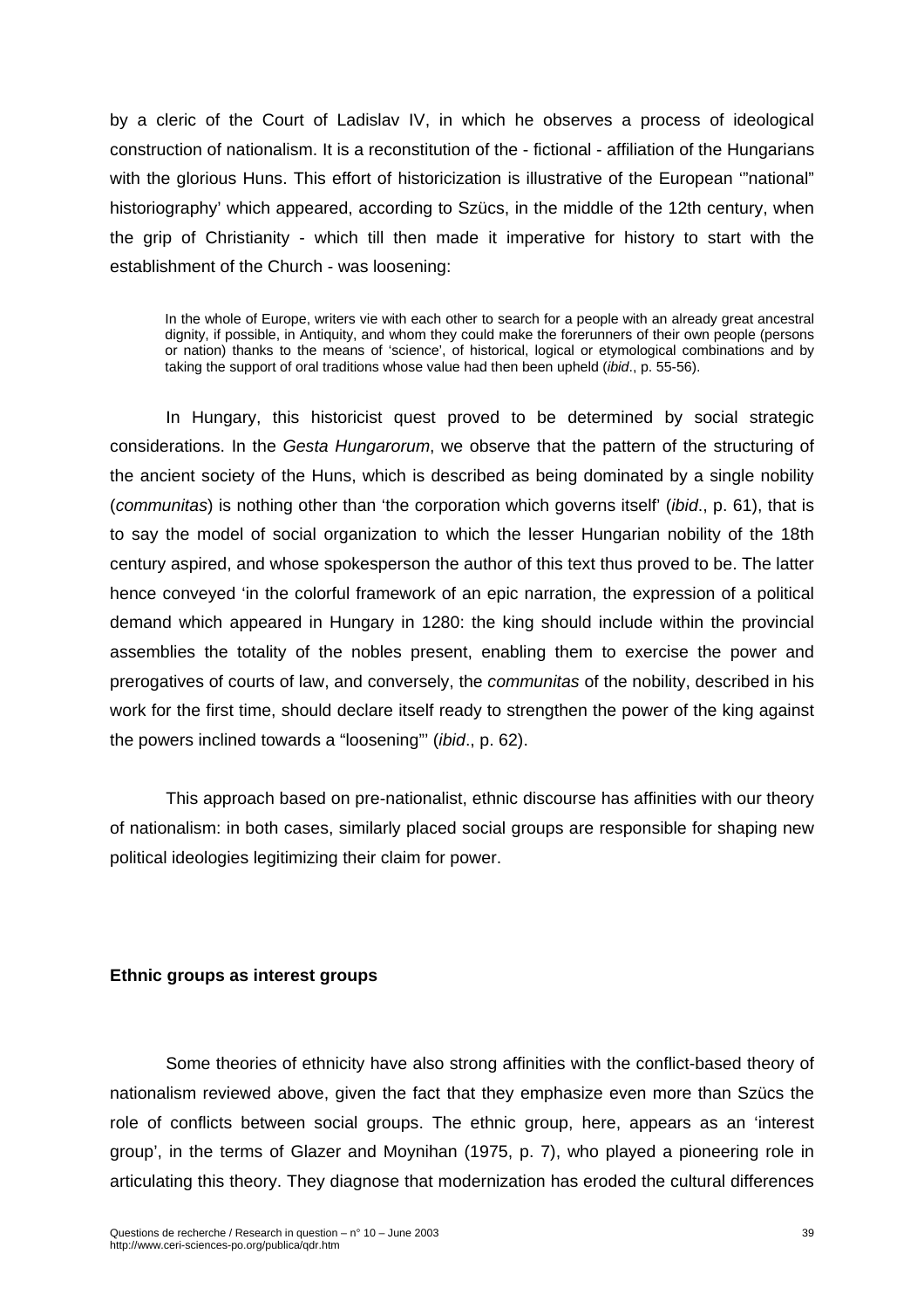by a cleric of the Court of Ladislav IV, in which he observes a process of ideological construction of nationalism. It is a reconstitution of the - fictional - affiliation of the Hungarians with the glorious Huns. This effort of historicization is illustrative of the European "national" historiography' which appeared, according to Szücs, in the middle of the 12th century, when the grip of Christianity - which till then made it imperative for history to start with the establishment of the Church - was loosening:

In the whole of Europe, writers vie with each other to search for a people with an already great ancestral dignity, if possible, in Antiquity, and whom they could make the forerunners of their own people (persons or nation) thanks to the means of 'science', of historical, logical or etymological combinations and by taking the support of oral traditions whose value had then been upheld (*ibid*., p. 55-56).

 In Hungary, this historicist quest proved to be determined by social strategic considerations. In the *Gesta Hungarorum*, we observe that the pattern of the structuring of the ancient society of the Huns, which is described as being dominated by a single nobility (*communitas*) is nothing other than 'the corporation which governs itself' (*ibid*., p. 61), that is to say the model of social organization to which the lesser Hungarian nobility of the 18th century aspired, and whose spokesperson the author of this text thus proved to be. The latter hence conveyed 'in the colorful framework of an epic narration, the expression of a political demand which appeared in Hungary in 1280: the king should include within the provincial assemblies the totality of the nobles present, enabling them to exercise the power and prerogatives of courts of law, and conversely, the *communitas* of the nobility, described in his work for the first time, should declare itself ready to strengthen the power of the king against the powers inclined towards a "loosening"' (*ibid*., p. 62).

 This approach based on pre-nationalist, ethnic discourse has affinities with our theory of nationalism: in both cases, similarly placed social groups are responsible for shaping new political ideologies legitimizing their claim for power.

# **Ethnic groups as interest groups**

 Some theories of ethnicity have also strong affinities with the conflict-based theory of nationalism reviewed above, given the fact that they emphasize even more than Szücs the role of conflicts between social groups. The ethnic group, here, appears as an 'interest group', in the terms of Glazer and Moynihan (1975, p. 7), who played a pioneering role in articulating this theory. They diagnose that modernization has eroded the cultural differences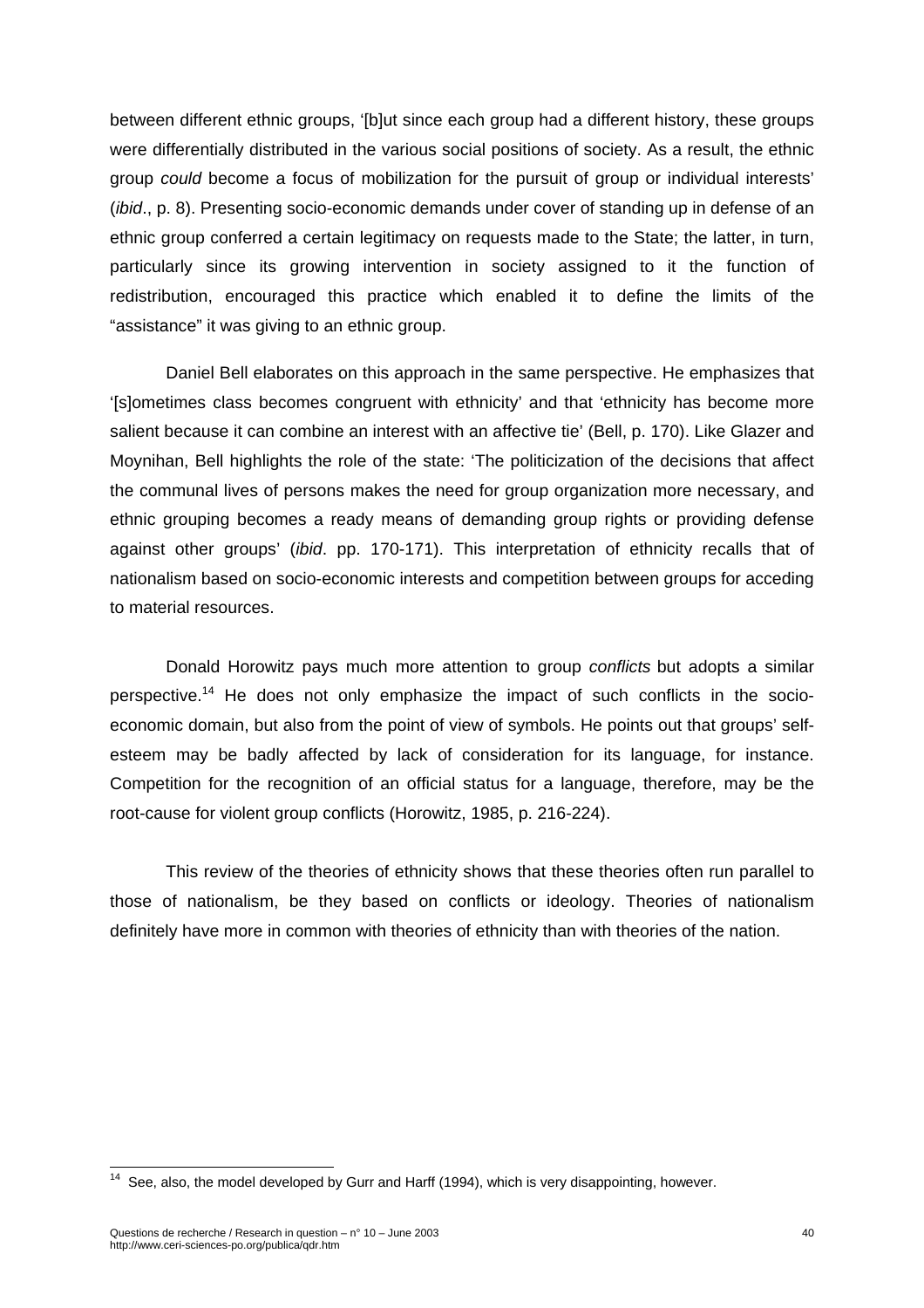between different ethnic groups, '[b]ut since each group had a different history, these groups were differentially distributed in the various social positions of society. As a result, the ethnic group *could* become a focus of mobilization for the pursuit of group or individual interests' (*ibid*., p. 8). Presenting socio-economic demands under cover of standing up in defense of an ethnic group conferred a certain legitimacy on requests made to the State; the latter, in turn, particularly since its growing intervention in society assigned to it the function of redistribution, encouraged this practice which enabled it to define the limits of the "assistance" it was giving to an ethnic group.

 Daniel Bell elaborates on this approach in the same perspective. He emphasizes that '[s]ometimes class becomes congruent with ethnicity' and that 'ethnicity has become more salient because it can combine an interest with an affective tie' (Bell, p. 170). Like Glazer and Moynihan, Bell highlights the role of the state: 'The politicization of the decisions that affect the communal lives of persons makes the need for group organization more necessary, and ethnic grouping becomes a ready means of demanding group rights or providing defense against other groups' (*ibid*. pp. 170-171). This interpretation of ethnicity recalls that of nationalism based on socio-economic interests and competition between groups for acceding to material resources.

Donald Horowitz pays much more attention to group *conflicts* but adopts a similar perspective.14 He does not only emphasize the impact of such conflicts in the socioeconomic domain, but also from the point of view of symbols. He points out that groups' selfesteem may be badly affected by lack of consideration for its language, for instance. Competition for the recognition of an official status for a language, therefore, may be the root-cause for violent group conflicts (Horowitz, 1985, p. 216-224).

 This review of the theories of ethnicity shows that these theories often run parallel to those of nationalism, be they based on conflicts or ideology. Theories of nationalism definitely have more in common with theories of ethnicity than with theories of the nation.

-

 $14$  See, also, the model developed by Gurr and Harff (1994), which is very disappointing, however.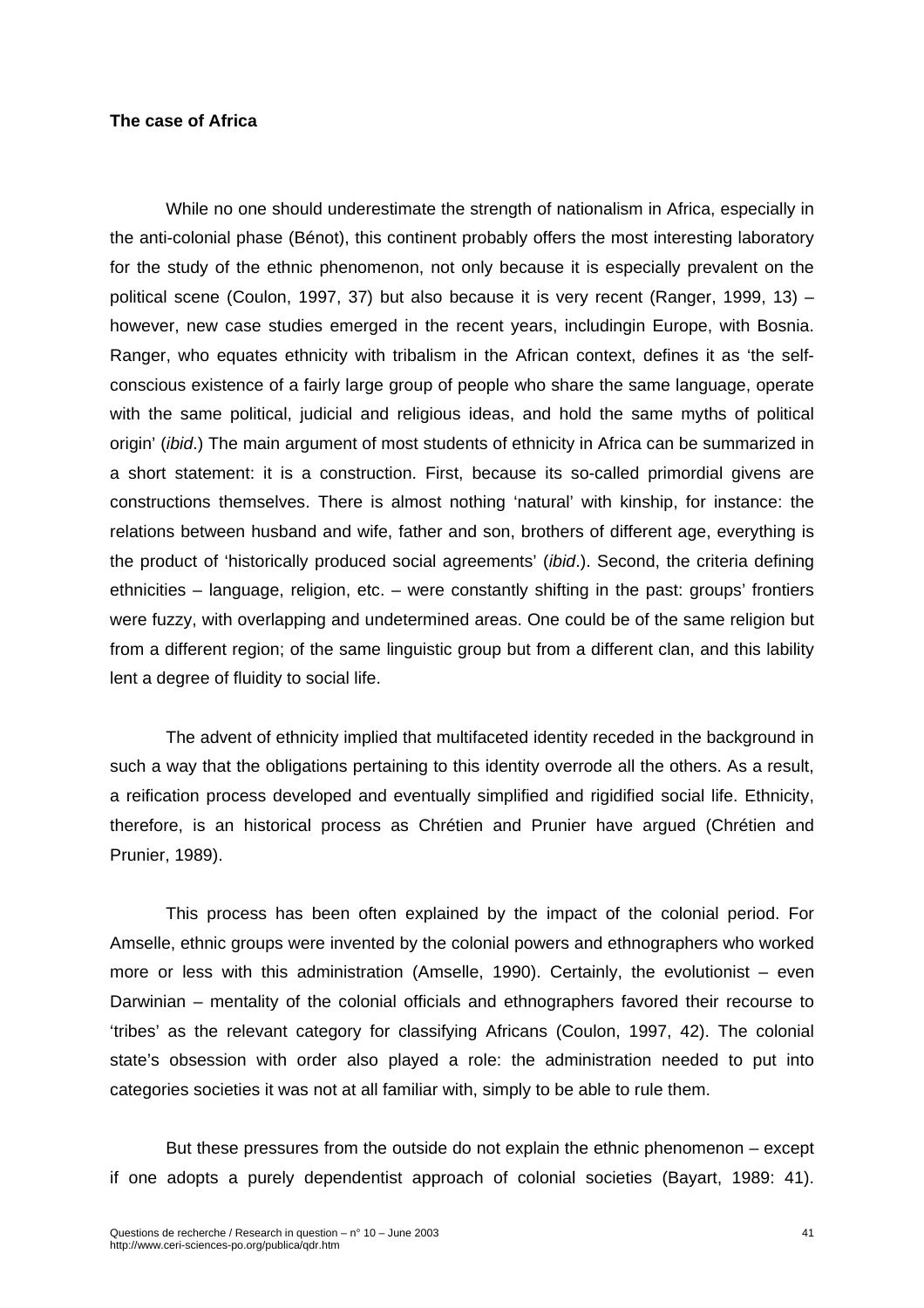# **The case of Africa**

 While no one should underestimate the strength of nationalism in Africa, especially in the anti-colonial phase (Bénot), this continent probably offers the most interesting laboratory for the study of the ethnic phenomenon, not only because it is especially prevalent on the political scene (Coulon, 1997, 37) but also because it is very recent (Ranger, 1999, 13) – however, new case studies emerged in the recent years, includingin Europe, with Bosnia. Ranger, who equates ethnicity with tribalism in the African context, defines it as 'the selfconscious existence of a fairly large group of people who share the same language, operate with the same political, judicial and religious ideas, and hold the same myths of political origin' (*ibid*.) The main argument of most students of ethnicity in Africa can be summarized in a short statement: it is a construction. First, because its so-called primordial givens are constructions themselves. There is almost nothing 'natural' with kinship, for instance: the relations between husband and wife, father and son, brothers of different age, everything is the product of 'historically produced social agreements' (*ibid*.). Second, the criteria defining ethnicities – language, religion, etc. – were constantly shifting in the past: groups' frontiers were fuzzy, with overlapping and undetermined areas. One could be of the same religion but from a different region; of the same linguistic group but from a different clan, and this lability lent a degree of fluidity to social life.

The advent of ethnicity implied that multifaceted identity receded in the background in such a way that the obligations pertaining to this identity overrode all the others. As a result, a reification process developed and eventually simplified and rigidified social life. Ethnicity, therefore, is an historical process as Chrétien and Prunier have argued (Chrétien and Prunier, 1989).

 This process has been often explained by the impact of the colonial period. For Amselle, ethnic groups were invented by the colonial powers and ethnographers who worked more or less with this administration (Amselle, 1990). Certainly, the evolutionist – even Darwinian – mentality of the colonial officials and ethnographers favored their recourse to 'tribes' as the relevant category for classifying Africans (Coulon, 1997, 42). The colonial state's obsession with order also played a role: the administration needed to put into categories societies it was not at all familiar with, simply to be able to rule them.

But these pressures from the outside do not explain the ethnic phenomenon – except if one adopts a purely dependentist approach of colonial societies (Bayart, 1989: 41).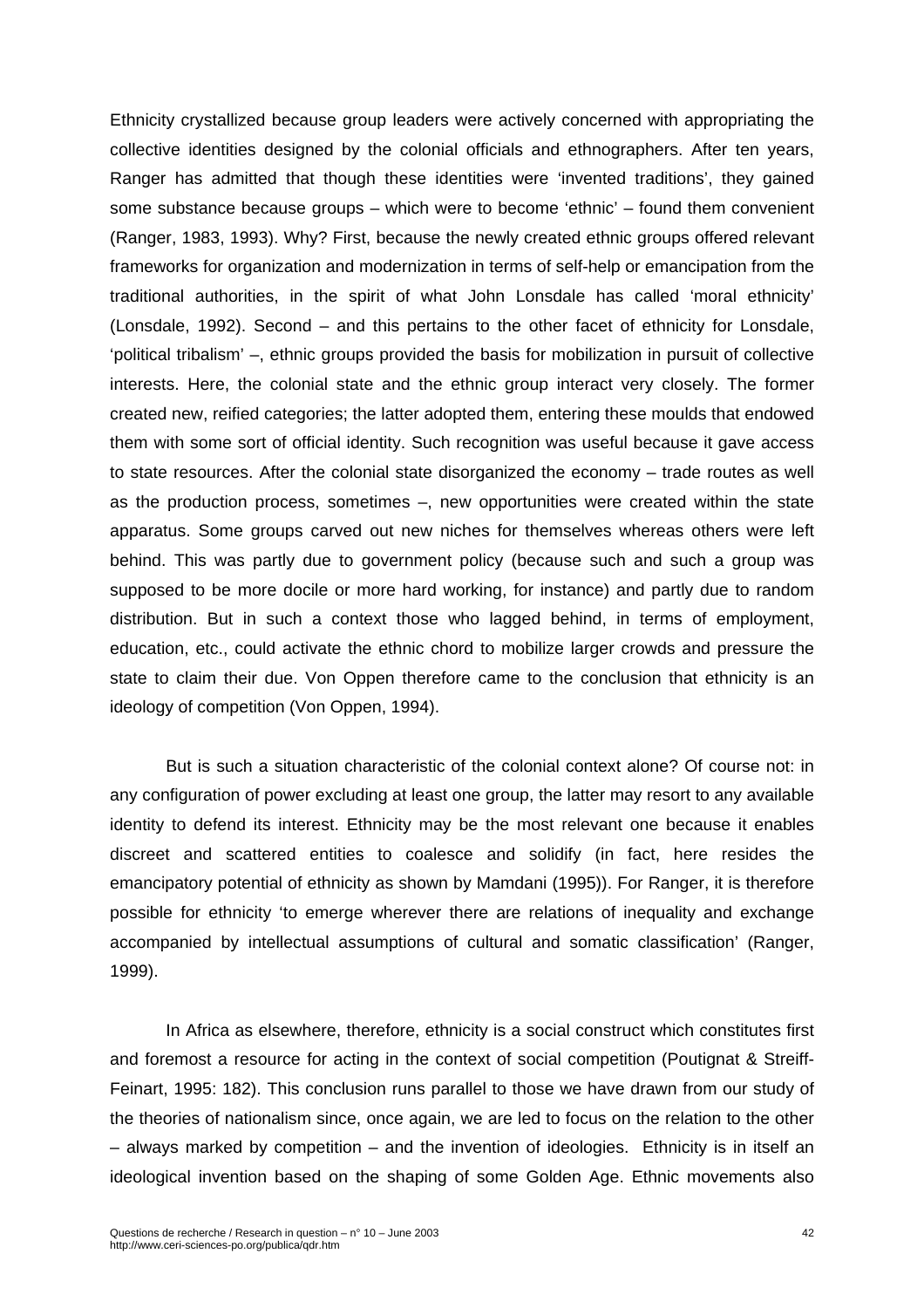Ethnicity crystallized because group leaders were actively concerned with appropriating the collective identities designed by the colonial officials and ethnographers. After ten years, Ranger has admitted that though these identities were 'invented traditions', they gained some substance because groups – which were to become 'ethnic' – found them convenient (Ranger, 1983, 1993). Why? First, because the newly created ethnic groups offered relevant frameworks for organization and modernization in terms of self-help or emancipation from the traditional authorities, in the spirit of what John Lonsdale has called 'moral ethnicity' (Lonsdale, 1992). Second – and this pertains to the other facet of ethnicity for Lonsdale, 'political tribalism' –, ethnic groups provided the basis for mobilization in pursuit of collective interests. Here, the colonial state and the ethnic group interact very closely. The former created new, reified categories; the latter adopted them, entering these moulds that endowed them with some sort of official identity. Such recognition was useful because it gave access to state resources. After the colonial state disorganized the economy – trade routes as well as the production process, sometimes –, new opportunities were created within the state apparatus. Some groups carved out new niches for themselves whereas others were left behind. This was partly due to government policy (because such and such a group was supposed to be more docile or more hard working, for instance) and partly due to random distribution. But in such a context those who lagged behind, in terms of employment, education, etc., could activate the ethnic chord to mobilize larger crowds and pressure the state to claim their due. Von Oppen therefore came to the conclusion that ethnicity is an ideology of competition (Von Oppen, 1994).

But is such a situation characteristic of the colonial context alone? Of course not: in any configuration of power excluding at least one group, the latter may resort to any available identity to defend its interest. Ethnicity may be the most relevant one because it enables discreet and scattered entities to coalesce and solidify (in fact, here resides the emancipatory potential of ethnicity as shown by Mamdani (1995)). For Ranger, it is therefore possible for ethnicity 'to emerge wherever there are relations of inequality and exchange accompanied by intellectual assumptions of cultural and somatic classification' (Ranger, 1999).

In Africa as elsewhere, therefore, ethnicity is a social construct which constitutes first and foremost a resource for acting in the context of social competition (Poutignat & Streiff-Feinart, 1995: 182). This conclusion runs parallel to those we have drawn from our study of the theories of nationalism since, once again, we are led to focus on the relation to the other – always marked by competition – and the invention of ideologies. Ethnicity is in itself an ideological invention based on the shaping of some Golden Age. Ethnic movements also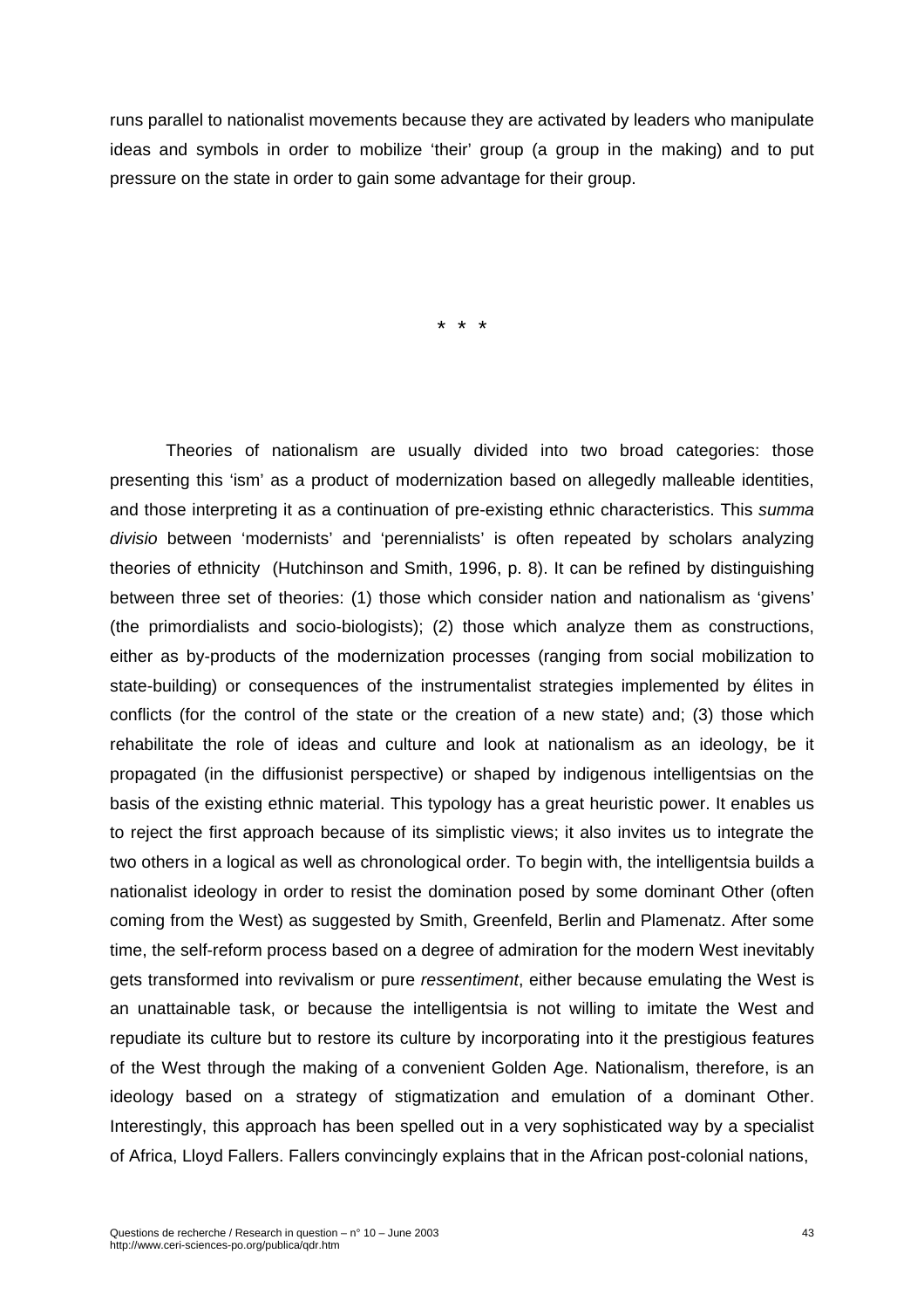runs parallel to nationalist movements because they are activated by leaders who manipulate ideas and symbols in order to mobilize 'their' group (a group in the making) and to put pressure on the state in order to gain some advantage for their group.

\* \* \*

 Theories of nationalism are usually divided into two broad categories: those presenting this 'ism' as a product of modernization based on allegedly malleable identities, and those interpreting it as a continuation of pre-existing ethnic characteristics. This *summa divisio* between 'modernists' and 'perennialists' is often repeated by scholars analyzing theories of ethnicity (Hutchinson and Smith, 1996, p. 8). It can be refined by distinguishing between three set of theories: (1) those which consider nation and nationalism as 'givens' (the primordialists and socio-biologists); (2) those which analyze them as constructions, either as by-products of the modernization processes (ranging from social mobilization to state-building) or consequences of the instrumentalist strategies implemented by élites in conflicts (for the control of the state or the creation of a new state) and; (3) those which rehabilitate the role of ideas and culture and look at nationalism as an ideology, be it propagated (in the diffusionist perspective) or shaped by indigenous intelligentsias on the basis of the existing ethnic material. This typology has a great heuristic power. It enables us to reject the first approach because of its simplistic views; it also invites us to integrate the two others in a logical as well as chronological order. To begin with, the intelligentsia builds a nationalist ideology in order to resist the domination posed by some dominant Other (often coming from the West) as suggested by Smith, Greenfeld, Berlin and Plamenatz. After some time, the self-reform process based on a degree of admiration for the modern West inevitably gets transformed into revivalism or pure *ressentiment*, either because emulating the West is an unattainable task, or because the intelligentsia is not willing to imitate the West and repudiate its culture but to restore its culture by incorporating into it the prestigious features of the West through the making of a convenient Golden Age. Nationalism, therefore, is an ideology based on a strategy of stigmatization and emulation of a dominant Other. Interestingly, this approach has been spelled out in a very sophisticated way by a specialist of Africa, Lloyd Fallers. Fallers convincingly explains that in the African post-colonial nations,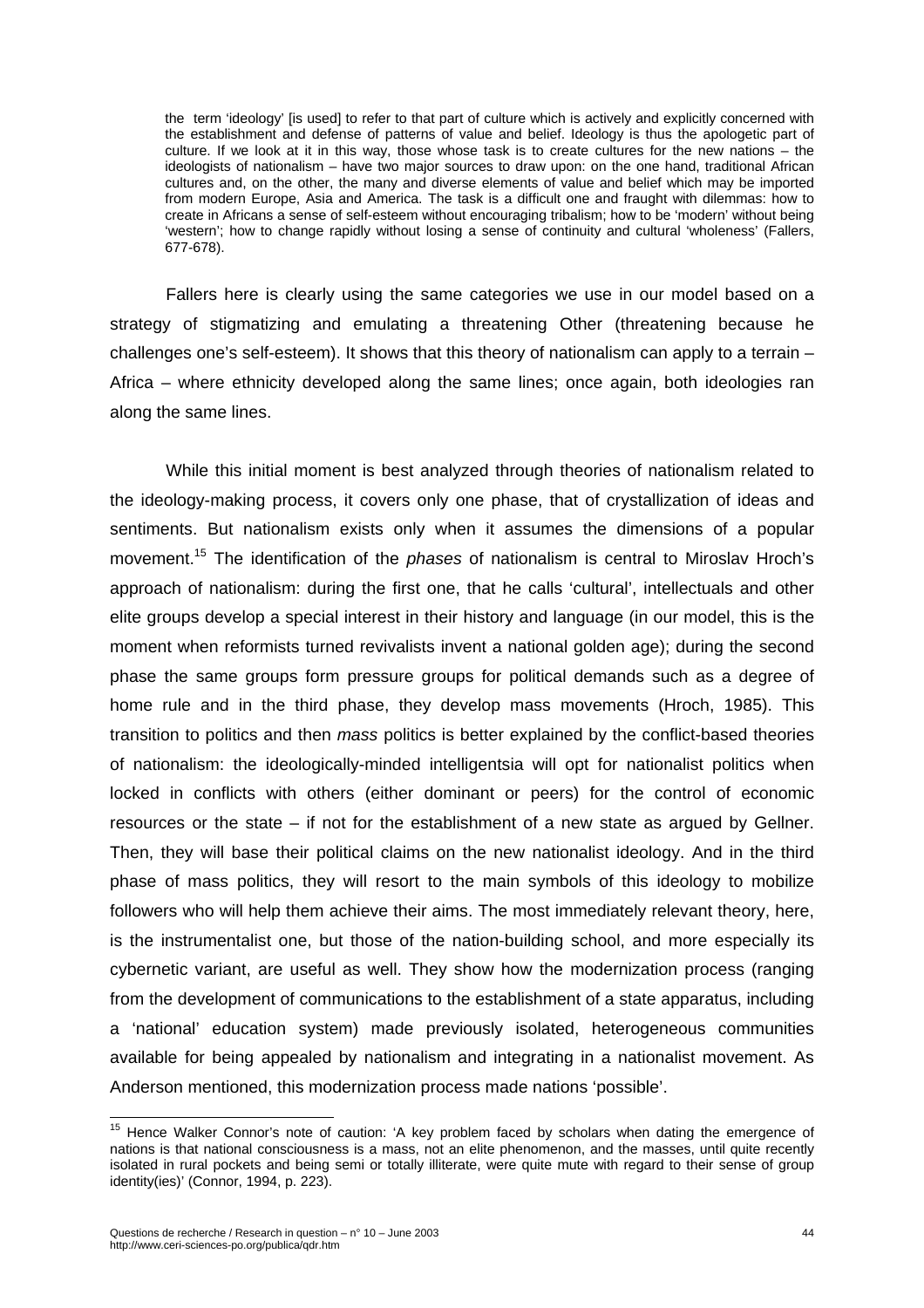the term 'ideology' [is used] to refer to that part of culture which is actively and explicitly concerned with the establishment and defense of patterns of value and belief. Ideology is thus the apologetic part of culture. If we look at it in this way, those whose task is to create cultures for the new nations – the ideologists of nationalism – have two major sources to draw upon: on the one hand, traditional African cultures and, on the other, the many and diverse elements of value and belief which may be imported from modern Europe, Asia and America. The task is a difficult one and fraught with dilemmas: how to create in Africans a sense of self-esteem without encouraging tribalism; how to be 'modern' without being 'western'; how to change rapidly without losing a sense of continuity and cultural 'wholeness' (Fallers, 677-678).

Fallers here is clearly using the same categories we use in our model based on a strategy of stigmatizing and emulating a threatening Other (threatening because he challenges one's self-esteem). It shows that this theory of nationalism can apply to a terrain – Africa – where ethnicity developed along the same lines; once again, both ideologies ran along the same lines.

 While this initial moment is best analyzed through theories of nationalism related to the ideology-making process, it covers only one phase, that of crystallization of ideas and sentiments. But nationalism exists only when it assumes the dimensions of a popular movement.[15](#page-44-0) The identification of the *phases* of nationalism is central to Miroslav Hroch's approach of nationalism: during the first one, that he calls 'cultural', intellectuals and other elite groups develop a special interest in their history and language (in our model, this is the moment when reformists turned revivalists invent a national golden age); during the second phase the same groups form pressure groups for political demands such as a degree of home rule and in the third phase, they develop mass movements (Hroch, 1985). This transition to politics and then *mass* politics is better explained by the conflict-based theories of nationalism: the ideologically-minded intelligentsia will opt for nationalist politics when locked in conflicts with others (either dominant or peers) for the control of economic resources or the state – if not for the establishment of a new state as argued by Gellner. Then, they will base their political claims on the new nationalist ideology. And in the third phase of mass politics, they will resort to the main symbols of this ideology to mobilize followers who will help them achieve their aims. The most immediately relevant theory, here, is the instrumentalist one, but those of the nation-building school, and more especially its cybernetic variant, are useful as well. They show how the modernization process (ranging from the development of communications to the establishment of a state apparatus, including a 'national' education system) made previously isolated, heterogeneous communities available for being appealed by nationalism and integrating in a nationalist movement. As Anderson mentioned, this modernization process made nations 'possible'.

-

<span id="page-44-0"></span><sup>&</sup>lt;sup>15</sup> Hence Walker Connor's note of caution: 'A key problem faced by scholars when dating the emergence of nations is that national consciousness is a mass, not an elite phenomenon, and the masses, until quite recently isolated in rural pockets and being semi or totally illiterate, were quite mute with regard to their sense of group identity(ies)' (Connor, 1994, p. 223).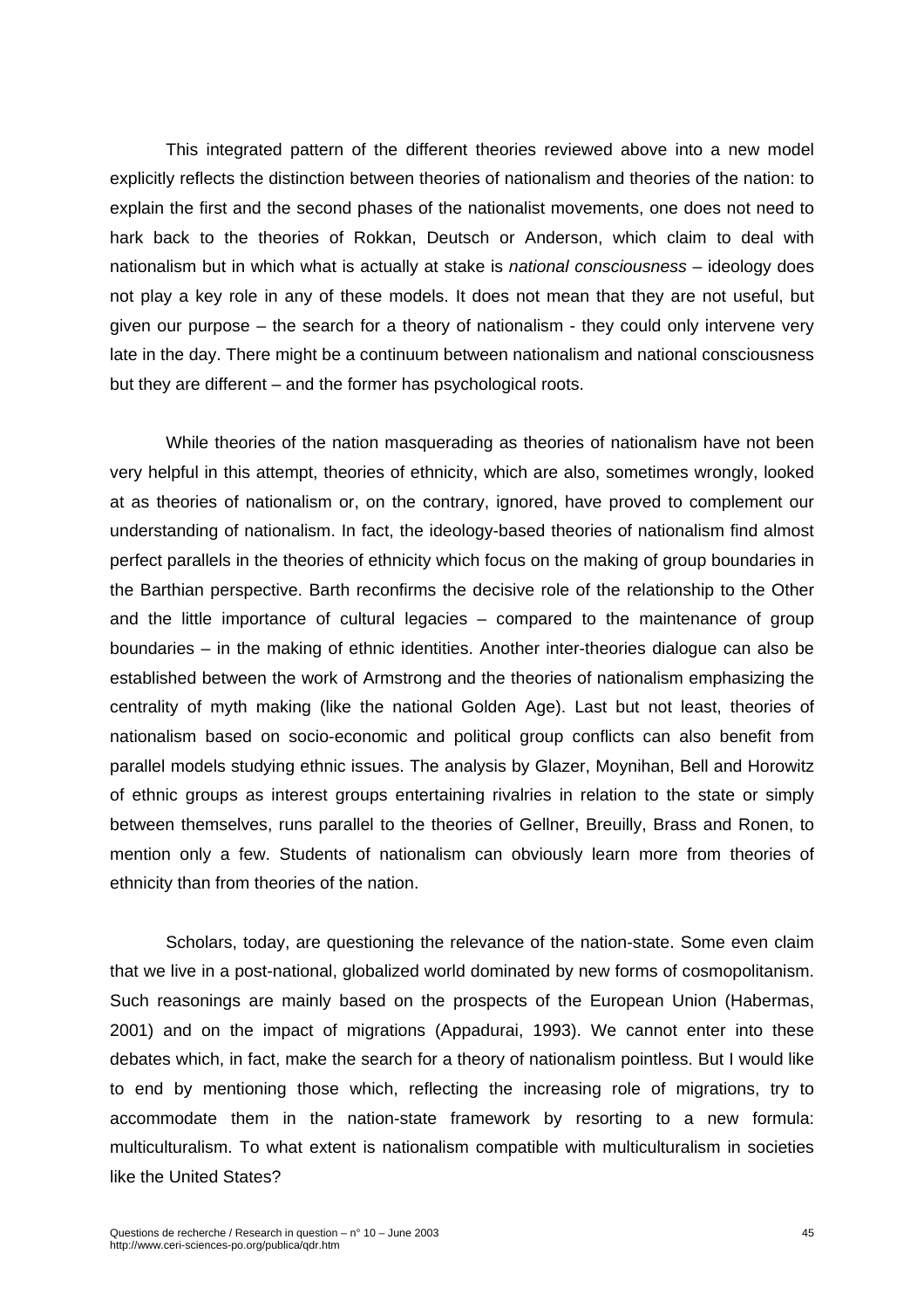This integrated pattern of the different theories reviewed above into a new model explicitly reflects the distinction between theories of nationalism and theories of the nation: to explain the first and the second phases of the nationalist movements, one does not need to hark back to the theories of Rokkan, Deutsch or Anderson, which claim to deal with nationalism but in which what is actually at stake is *national consciousness* – ideology does not play a key role in any of these models. It does not mean that they are not useful, but given our purpose – the search for a theory of nationalism - they could only intervene very late in the day. There might be a continuum between nationalism and national consciousness but they are different – and the former has psychological roots.

 While theories of the nation masquerading as theories of nationalism have not been very helpful in this attempt, theories of ethnicity, which are also, sometimes wrongly, looked at as theories of nationalism or, on the contrary, ignored, have proved to complement our understanding of nationalism. In fact, the ideology-based theories of nationalism find almost perfect parallels in the theories of ethnicity which focus on the making of group boundaries in the Barthian perspective. Barth reconfirms the decisive role of the relationship to the Other and the little importance of cultural legacies – compared to the maintenance of group boundaries – in the making of ethnic identities. Another inter-theories dialogue can also be established between the work of Armstrong and the theories of nationalism emphasizing the centrality of myth making (like the national Golden Age). Last but not least, theories of nationalism based on socio-economic and political group conflicts can also benefit from parallel models studying ethnic issues. The analysis by Glazer, Moynihan, Bell and Horowitz of ethnic groups as interest groups entertaining rivalries in relation to the state or simply between themselves, runs parallel to the theories of Gellner, Breuilly, Brass and Ronen, to mention only a few. Students of nationalism can obviously learn more from theories of ethnicity than from theories of the nation.

 Scholars, today, are questioning the relevance of the nation-state. Some even claim that we live in a post-national, globalized world dominated by new forms of cosmopolitanism. Such reasonings are mainly based on the prospects of the European Union (Habermas, 2001) and on the impact of migrations (Appadurai, 1993). We cannot enter into these debates which, in fact, make the search for a theory of nationalism pointless. But I would like to end by mentioning those which, reflecting the increasing role of migrations, try to accommodate them in the nation-state framework by resorting to a new formula: multiculturalism. To what extent is nationalism compatible with multiculturalism in societies like the United States?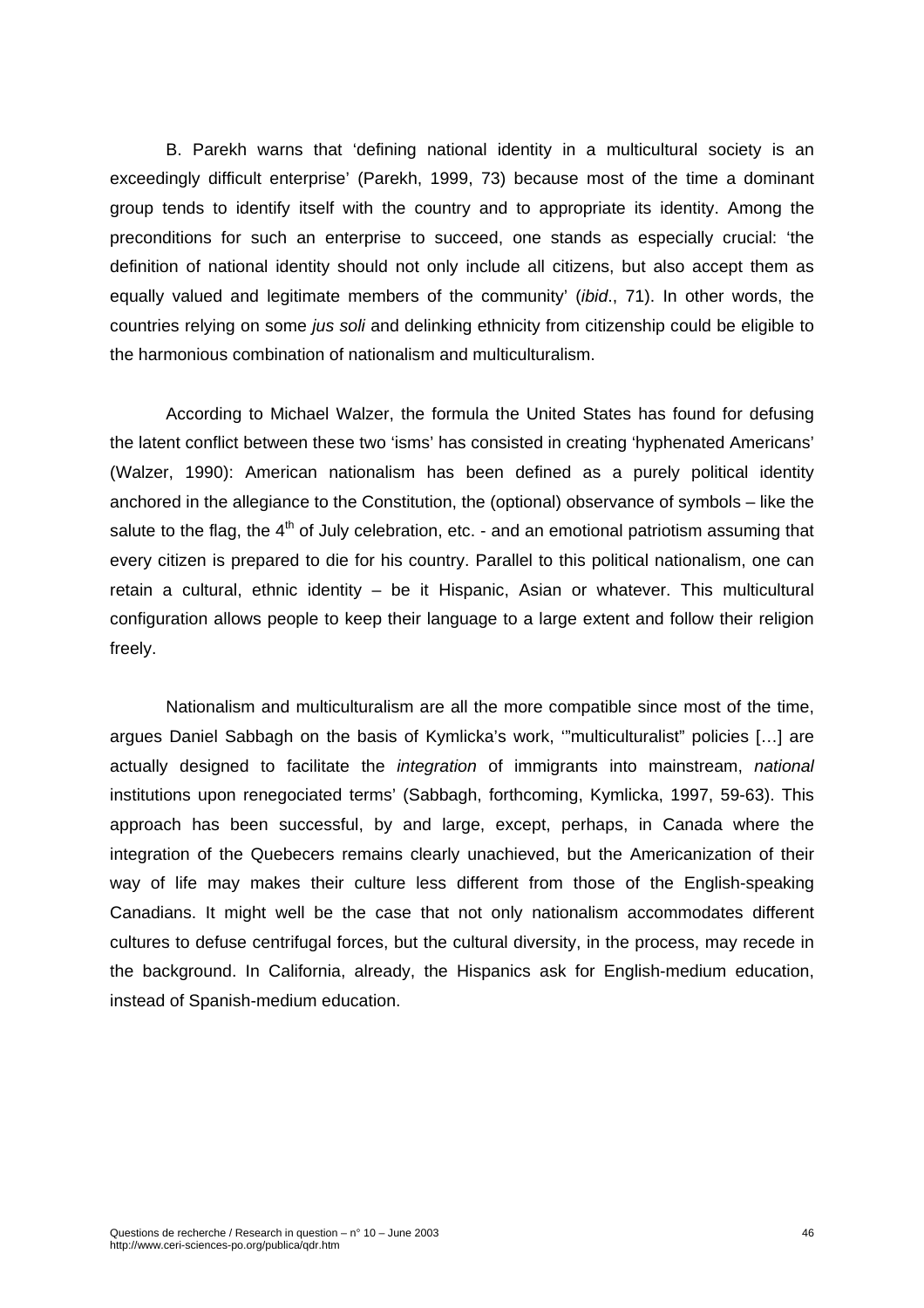B. Parekh warns that 'defining national identity in a multicultural society is an exceedingly difficult enterprise' (Parekh, 1999, 73) because most of the time a dominant group tends to identify itself with the country and to appropriate its identity. Among the preconditions for such an enterprise to succeed, one stands as especially crucial: 'the definition of national identity should not only include all citizens, but also accept them as equally valued and legitimate members of the community' (*ibid*., 71). In other words, the countries relying on some *jus soli* and delinking ethnicity from citizenship could be eligible to the harmonious combination of nationalism and multiculturalism.

 According to Michael Walzer, the formula the United States has found for defusing the latent conflict between these two 'isms' has consisted in creating 'hyphenated Americans' (Walzer, 1990): American nationalism has been defined as a purely political identity anchored in the allegiance to the Constitution, the (optional) observance of symbols – like the salute to the flag, the  $4<sup>th</sup>$  of July celebration, etc. - and an emotional patriotism assuming that every citizen is prepared to die for his country. Parallel to this political nationalism, one can retain a cultural, ethnic identity – be it Hispanic, Asian or whatever. This multicultural configuration allows people to keep their language to a large extent and follow their religion freely.

 Nationalism and multiculturalism are all the more compatible since most of the time, argues Daniel Sabbagh on the basis of Kymlicka's work, '"multiculturalist" policies […] are actually designed to facilitate the *integration* of immigrants into mainstream, *national* institutions upon renegociated terms' (Sabbagh, forthcoming, Kymlicka, 1997, 59-63). This approach has been successful, by and large, except, perhaps, in Canada where the integration of the Quebecers remains clearly unachieved, but the Americanization of their way of life may makes their culture less different from those of the English-speaking Canadians. It might well be the case that not only nationalism accommodates different cultures to defuse centrifugal forces, but the cultural diversity, in the process, may recede in the background. In California, already, the Hispanics ask for English-medium education, instead of Spanish-medium education.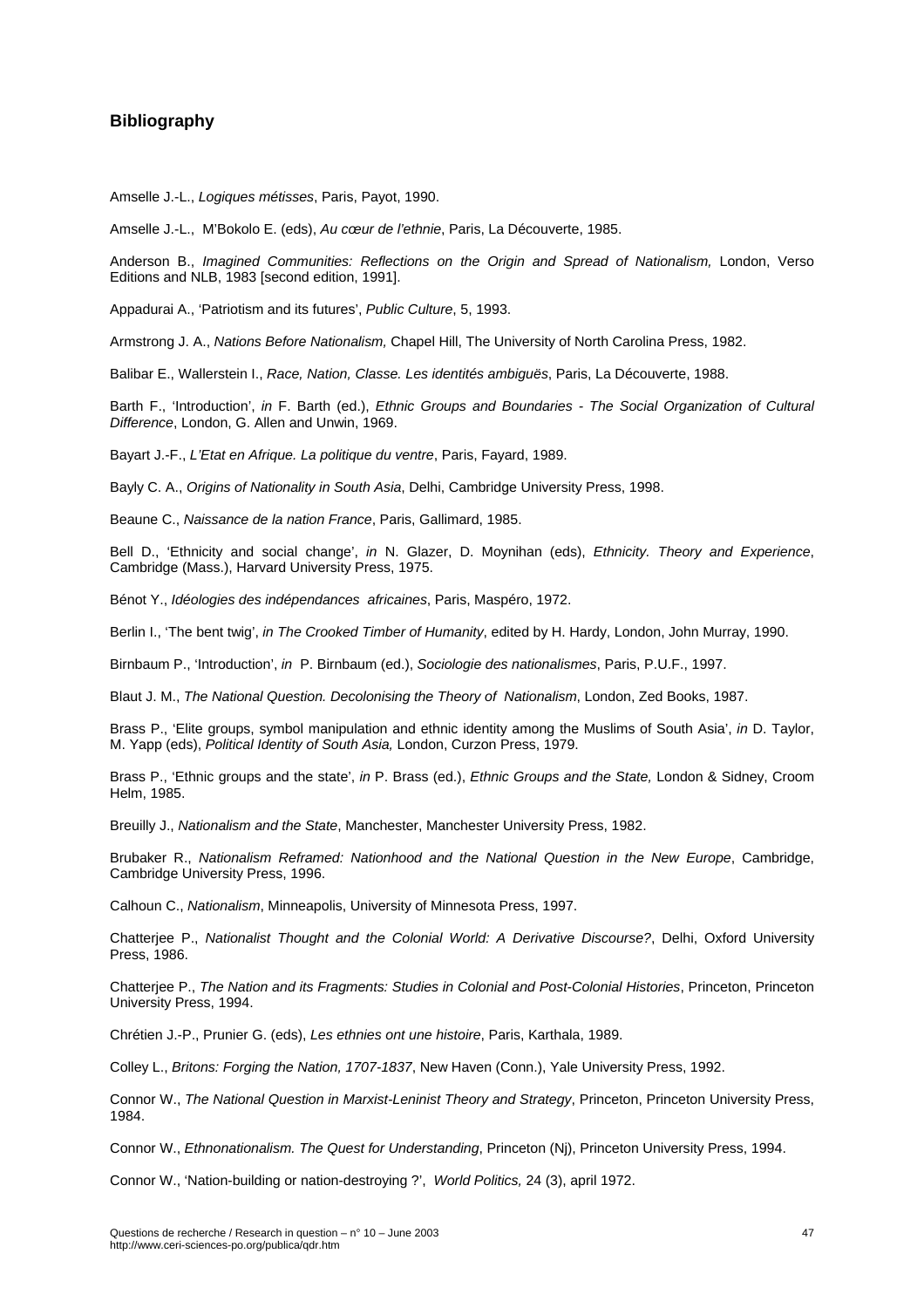# **Bibliography**

Amselle J.-L., *Logiques métisses*, Paris, Payot, 1990.

Amselle J.-L., M'Bokolo E. (eds), *Au cœur de l'ethnie*, Paris, La Découverte, 1985.

Anderson B., *Imagined Communities: Reflections on the Origin and Spread of Nationalism,* London, Verso Editions and NLB, 1983 [second edition, 1991].

Appadurai A., 'Patriotism and its futures', *Public Culture*, 5, 1993.

Armstrong J. A., *Nations Before Nationalism,* Chapel Hill, The University of North Carolina Press, 1982.

Balibar E., Wallerstein I., *Race, Nation, Classe. Les identités ambiguës*, Paris, La Découverte, 1988.

Barth F., 'Introduction', *in* F. Barth (ed.), *Ethnic Groups and Boundaries - The Social Organization of Cultural Difference*, London, G. Allen and Unwin, 1969.

Bayart J.-F., *L'Etat en Afrique. La politique du ventre*, Paris, Fayard, 1989.

Bayly C. A., *Origins of Nationality in South Asia*, Delhi, Cambridge University Press, 1998.

Beaune C., *Naissance de la nation France*, Paris, Gallimard, 1985.

Bell D., 'Ethnicity and social change', *in* N. Glazer, D. Moynihan (eds), *Ethnicity. Theory and Experience*, Cambridge (Mass.), Harvard University Press, 1975.

Bénot Y., *Idéologies des indépendances africaines*, Paris, Maspéro, 1972.

Berlin I., 'The bent twig', *in The Crooked Timber of Humanity*, edited by H. Hardy, London, John Murray, 1990.

Birnbaum P., 'Introduction', *in* P. Birnbaum (ed.), *Sociologie des nationalismes*, Paris, P.U.F., 1997.

Blaut J. M., *The National Question. Decolonising the Theory of Nationalism*, London, Zed Books, 1987.

Brass P., 'Elite groups, symbol manipulation and ethnic identity among the Muslims of South Asia', *in* D. Taylor, M. Yapp (eds), *Political Identity of South Asia,* London, Curzon Press, 1979.

Brass P., 'Ethnic groups and the state', *in* P. Brass (ed.), *Ethnic Groups and the State,* London & Sidney, Croom Helm, 1985.

Breuilly J., *Nationalism and the State*, Manchester, Manchester University Press, 1982.

Brubaker R., *Nationalism Reframed: Nationhood and the National Question in the New Europe*, Cambridge, Cambridge University Press, 1996.

Calhoun C., *Nationalism*, Minneapolis, University of Minnesota Press, 1997.

Chatterjee P., *Nationalist Thought and the Colonial World: A Derivative Discourse?*, Delhi, Oxford University Press, 1986.

Chatterjee P., *The Nation and its Fragments: Studies in Colonial and Post-Colonial Histories*, Princeton, Princeton University Press, 1994.

Chrétien J.-P., Prunier G. (eds), *Les ethnies ont une histoire*, Paris, Karthala, 1989.

Colley L., *Britons: Forging the Nation, 1707-1837*, New Haven (Conn.), Yale University Press, 1992.

Connor W., *The National Question in Marxist-Leninist Theory and Strategy*, Princeton, Princeton University Press, 1984.

Connor W., *Ethnonationalism. The Quest for Understanding*, Princeton (Nj), Princeton University Press, 1994.

Connor W., 'Nation-building or nation-destroying ?', *World Politics,* 24 (3), april 1972.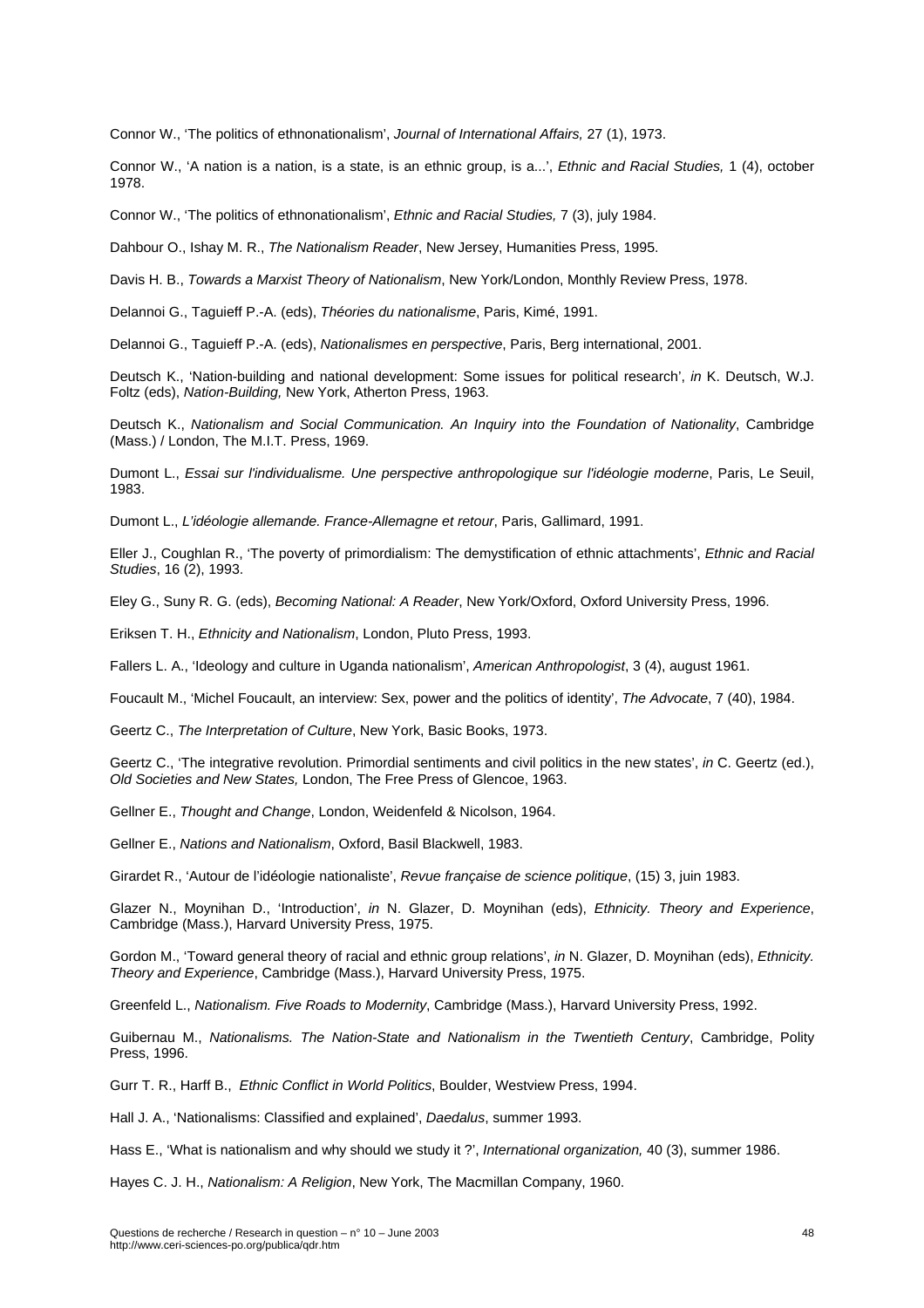Connor W., 'The politics of ethnonationalism', *Journal of International Affairs,* 27 (1), 1973.

Connor W., 'A nation is a nation, is a state, is an ethnic group, is a...', *Ethnic and Racial Studies,* 1 (4), october 1978.

Connor W., 'The politics of ethnonationalism', *Ethnic and Racial Studies,* 7 (3), july 1984.

Dahbour O., Ishay M. R., *The Nationalism Reader*, New Jersey, Humanities Press, 1995.

Davis H. B., *Towards a Marxist Theory of Nationalism*, New York/London, Monthly Review Press, 1978.

Delannoi G., Taguieff P.-A. (eds), *Théories du nationalisme*, Paris, Kimé, 1991.

Delannoi G., Taguieff P.-A. (eds), *Nationalismes en perspective*, Paris, Berg international, 2001.

Deutsch K., 'Nation-building and national development: Some issues for political research', *in* K. Deutsch, W.J. Foltz (eds), *Nation-Building,* New York, Atherton Press, 1963.

Deutsch K., *Nationalism and Social Communication. An Inquiry into the Foundation of Nationality*, Cambridge (Mass.) / London, The M.I.T. Press, 1969.

Dumont L., *Essai sur l'individualisme. Une perspective anthropologique sur l'idéologie moderne*, Paris, Le Seuil, 1983.

Dumont L., *L'idéologie allemande. France-Allemagne et retour*, Paris, Gallimard, 1991.

Eller J., Coughlan R., 'The poverty of primordialism: The demystification of ethnic attachments', *Ethnic and Racial Studies*, 16 (2), 1993.

Eley G., Suny R. G. (eds), *Becoming National: A Reader*, New York/Oxford, Oxford University Press, 1996.

Eriksen T. H., *Ethnicity and Nationalism*, London, Pluto Press, 1993.

Fallers L. A., 'Ideology and culture in Uganda nationalism', *American Anthropologist*, 3 (4), august 1961.

Foucault M., 'Michel Foucault, an interview: Sex, power and the politics of identity', *The Advocate*, 7 (40), 1984.

Geertz C., *The Interpretation of Culture*, New York, Basic Books, 1973.

Geertz C., 'The integrative revolution. Primordial sentiments and civil politics in the new states', *in* C. Geertz (ed.), *Old Societies and New States,* London, The Free Press of Glencoe, 1963.

Gellner E., *Thought and Change*, London, Weidenfeld & Nicolson, 1964.

Gellner E., *Nations and Nationalism*, Oxford, Basil Blackwell, 1983.

Girardet R., 'Autour de l'idéologie nationaliste', *Revue française de science politique*, (15) 3, juin 1983.

Glazer N., Moynihan D., 'Introduction', *in* N. Glazer, D. Moynihan (eds), *Ethnicity. Theory and Experience*, Cambridge (Mass.), Harvard University Press, 1975.

Gordon M., 'Toward general theory of racial and ethnic group relations', *in* N. Glazer, D. Moynihan (eds), *Ethnicity. Theory and Experience*, Cambridge (Mass.), Harvard University Press, 1975.

Greenfeld L., *Nationalism. Five Roads to Modernity*, Cambridge (Mass.), Harvard University Press, 1992.

Guibernau M., *Nationalisms. The Nation-State and Nationalism in the Twentieth Century*, Cambridge, Polity Press, 1996.

Gurr T. R., Harff B., *Ethnic Conflict in World Politics*, Boulder, Westview Press, 1994.

Hall J. A., 'Nationalisms: Classified and explained', *Daedalus*, summer 1993.

Hass E., 'What is nationalism and why should we study it ?', *International organization,* 40 (3), summer 1986.

Hayes C. J. H., *Nationalism: A Religion*, New York, The Macmillan Company, 1960.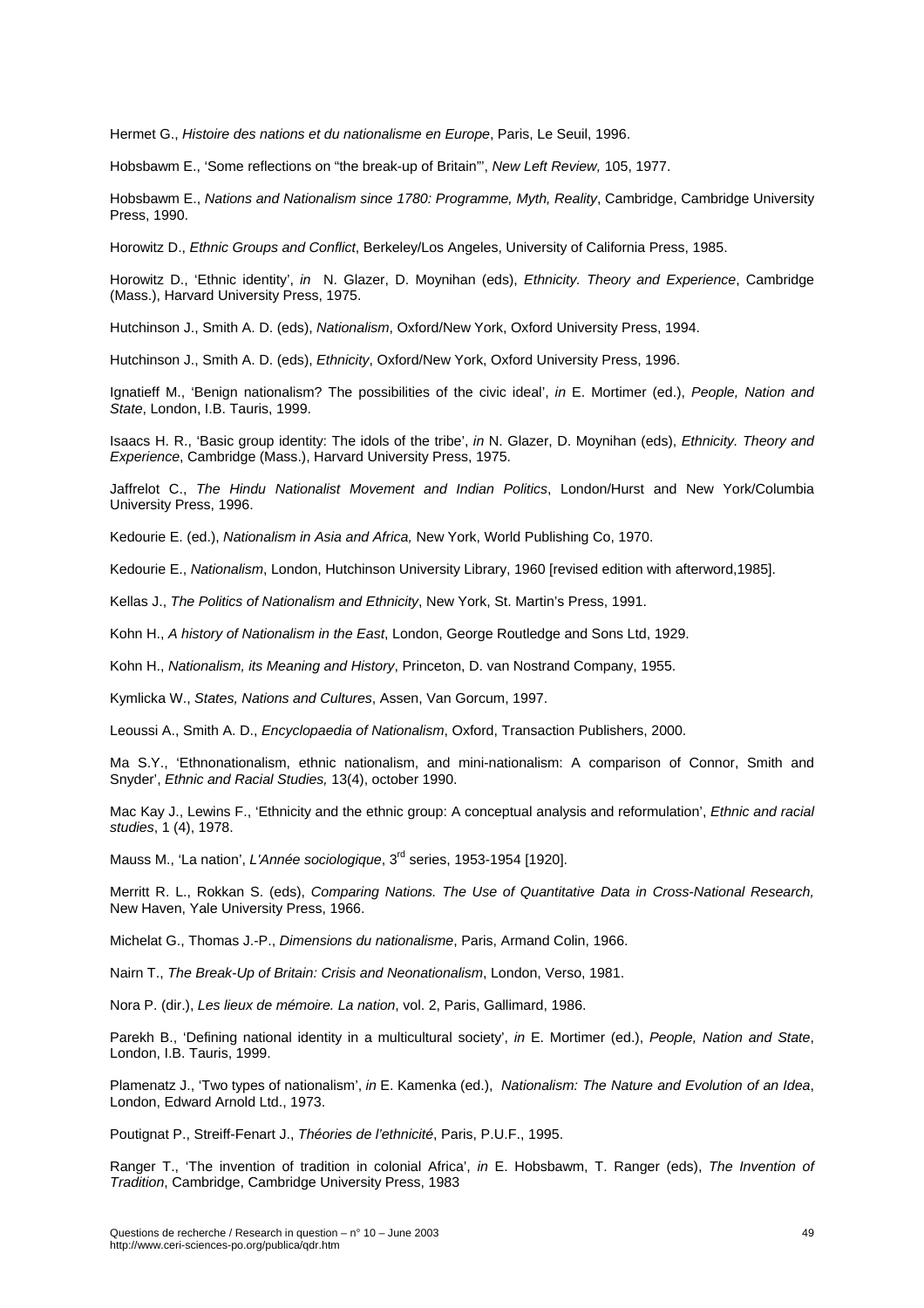Hermet G., *Histoire des nations et du nationalisme en Europe*, Paris, Le Seuil, 1996.

Hobsbawm E., 'Some reflections on "the break-up of Britain"', *New Left Review,* 105, 1977.

Hobsbawm E., *Nations and Nationalism since 1780: Programme, Myth, Reality*, Cambridge, Cambridge University Press, 1990.

Horowitz D., *Ethnic Groups and Conflict*, Berkeley/Los Angeles, University of California Press, 1985.

Horowitz D., 'Ethnic identity', *in* N. Glazer, D. Moynihan (eds), *Ethnicity. Theory and Experience*, Cambridge (Mass.), Harvard University Press, 1975.

Hutchinson J., Smith A. D. (eds), *Nationalism*, Oxford/New York, Oxford University Press, 1994.

Hutchinson J., Smith A. D. (eds), *Ethnicity*, Oxford/New York, Oxford University Press, 1996.

Ignatieff M., 'Benign nationalism? The possibilities of the civic ideal', *in* E. Mortimer (ed.), *People, Nation and State*, London, I.B. Tauris, 1999.

Isaacs H. R., 'Basic group identity: The idols of the tribe', *in* N. Glazer, D. Moynihan (eds), *Ethnicity. Theory and Experience*, Cambridge (Mass.), Harvard University Press, 1975.

Jaffrelot C., *The Hindu Nationalist Movement and Indian Politics*, London/Hurst and New York/Columbia University Press, 1996.

Kedourie E. (ed.), *Nationalism in Asia and Africa,* New York, World Publishing Co, 1970.

Kedourie E., *Nationalism*, London, Hutchinson University Library, 1960 [revised edition with afterword,1985].

Kellas J., *The Politics of Nationalism and Ethnicity*, New York, St. Martin's Press, 1991.

Kohn H., *A history of Nationalism in the East*, London, George Routledge and Sons Ltd, 1929.

Kohn H., *Nationalism, its Meaning and History*, Princeton, D. van Nostrand Company, 1955.

Kymlicka W., *States, Nations and Cultures*, Assen, Van Gorcum, 1997.

Leoussi A., Smith A. D., *Encyclopaedia of Nationalism*, Oxford, Transaction Publishers, 2000.

Ma S.Y., 'Ethnonationalism, ethnic nationalism, and mini-nationalism: A comparison of Connor, Smith and Snyder', *Ethnic and Racial Studies,* 13(4), october 1990.

Mac Kay J., Lewins F., 'Ethnicity and the ethnic group: A conceptual analysis and reformulation', *Ethnic and racial studies*, 1 (4), 1978.

Mauss M., 'La nation', *L'Année sociologique*, 3rd series, 1953-1954 [1920].

Merritt R. L., Rokkan S. (eds), *Comparing Nations. The Use of Quantitative Data in Cross-National Research,* New Haven, Yale University Press, 1966.

Michelat G., Thomas J.-P., *Dimensions du nationalisme*, Paris, Armand Colin, 1966.

Nairn T., *The Break-Up of Britain: Crisis and Neonationalism*, London, Verso, 1981.

Nora P. (dir.), *Les lieux de mémoire. La nation*, vol. 2, Paris, Gallimard, 1986.

Parekh B., 'Defining national identity in a multicultural society', *in* E. Mortimer (ed.), *People, Nation and State*, London, I.B. Tauris, 1999.

Plamenatz J., 'Two types of nationalism', *in* E. Kamenka (ed.), *Nationalism: The Nature and Evolution of an Idea*, London, Edward Arnold Ltd., 1973.

Poutignat P., Streiff-Fenart J., *Théories de l'ethnicité*, Paris, P.U.F., 1995.

Ranger T., 'The invention of tradition in colonial Africa', *in* E. Hobsbawm, T. Ranger (eds), *The Invention of Tradition*, Cambridge, Cambridge University Press, 1983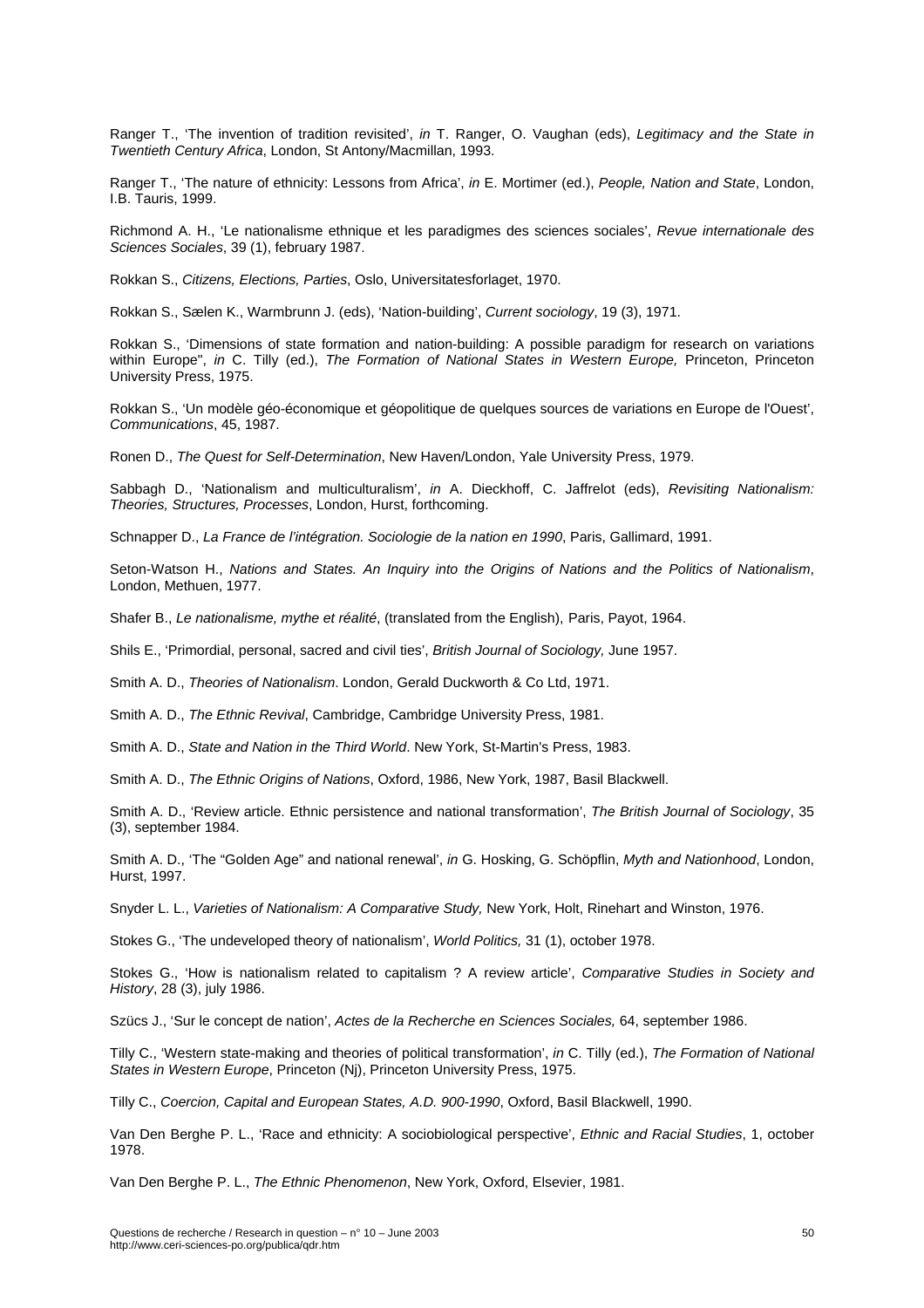Ranger T., 'The invention of tradition revisited', *in* T. Ranger, O. Vaughan (eds), *Legitimacy and the State in Twentieth Century Africa*, London, St Antony/Macmillan, 1993.

Ranger T., 'The nature of ethnicity: Lessons from Africa', *in* E. Mortimer (ed.), *People, Nation and State*, London, I.B. Tauris, 1999.

Richmond A. H., 'Le nationalisme ethnique et les paradigmes des sciences sociales', *Revue internationale des Sciences Sociales*, 39 (1), february 1987.

Rokkan S., *Citizens, Elections, Parties*, Oslo, Universitatesforlaget, 1970.

Rokkan S., Sælen K., Warmbrunn J. (eds), 'Nation-building', *Current sociology*, 19 (3), 1971.

Rokkan S., 'Dimensions of state formation and nation-building: A possible paradigm for research on variations within Europe", *in* C. Tilly (ed.), *The Formation of National States in Western Europe,* Princeton, Princeton University Press, 1975.

Rokkan S., 'Un modèle géo-économique et géopolitique de quelques sources de variations en Europe de l'Ouest', *Communications*, 45, 1987.

Ronen D., *The Quest for Self-Determination*, New Haven/London, Yale University Press, 1979.

Sabbagh D., 'Nationalism and multiculturalism', *in* A. Dieckhoff, C. Jaffrelot (eds), *Revisiting Nationalism: Theories, Structures, Processes*, London, Hurst, forthcoming.

Schnapper D., *La France de l'intégration. Sociologie de la nation en 1990*, Paris, Gallimard, 1991.

Seton-Watson H., *Nations and States. An Inquiry into the Origins of Nations and the Politics of Nationalism*, London, Methuen, 1977.

Shafer B., *Le nationalisme, mythe et réalité*, (translated from the English), Paris, Payot, 1964.

Shils E., 'Primordial, personal, sacred and civil ties', *British Journal of Sociology,* June 1957.

Smith A. D., *Theories of Nationalism*. London, Gerald Duckworth & Co Ltd, 1971.

Smith A. D., *The Ethnic Revival*, Cambridge, Cambridge University Press, 1981.

Smith A. D., *State and Nation in the Third World*. New York, St-Martin's Press, 1983.

Smith A. D., *The Ethnic Origins of Nations*, Oxford, 1986, New York, 1987, Basil Blackwell.

Smith A. D., 'Review article. Ethnic persistence and national transformation', *The British Journal of Sociology*, 35 (3), september 1984.

Smith A. D., 'The "Golden Age" and national renewal', *in* G. Hosking, G. Schöpflin, *Myth and Nationhood*, London, Hurst, 1997.

Snyder L. L., *Varieties of Nationalism: A Comparative Study,* New York, Holt, Rinehart and Winston, 1976.

Stokes G., 'The undeveloped theory of nationalism', *World Politics,* 31 (1), october 1978.

Stokes G., 'How is nationalism related to capitalism ? A review article', *Comparative Studies in Society and History*, 28 (3), july 1986.

Szücs J., 'Sur le concept de nation', *Actes de la Recherche en Sciences Sociales,* 64, september 1986.

Tilly C., 'Western state-making and theories of political transformation', *in* C. Tilly (ed.), *The Formation of National States in Western Europe*, Princeton (Nj), Princeton University Press, 1975.

Tilly C., *Coercion, Capital and European States, A.D. 900-1990*, Oxford, Basil Blackwell, 1990.

Van Den Berghe P. L., 'Race and ethnicity: A sociobiological perspective', *Ethnic and Racial Studies*, 1, october 1978.

Van Den Berghe P. L., *The Ethnic Phenomenon*, New York, Oxford, Elsevier, 1981.